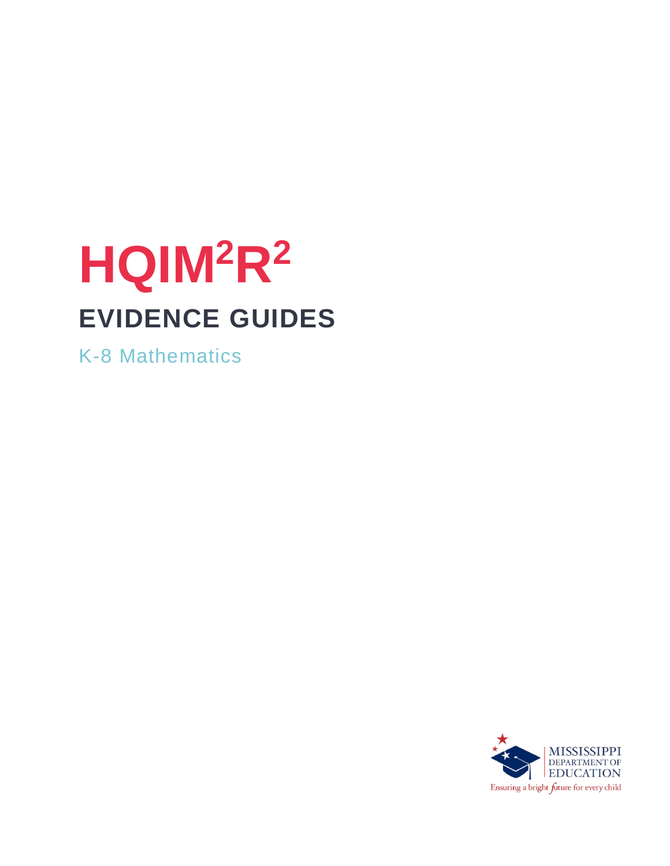# **HQIM<sup>2</sup>R<sup>2</sup> EVIDENCE GUIDES**

K-8 Mathematics

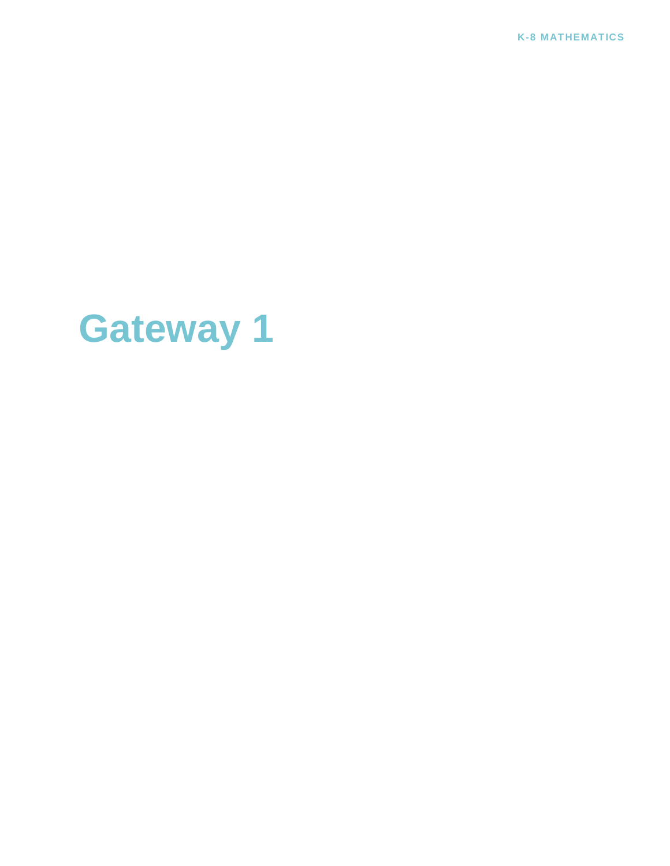**K-8 MATHEMATICS**

# **Gateway 1**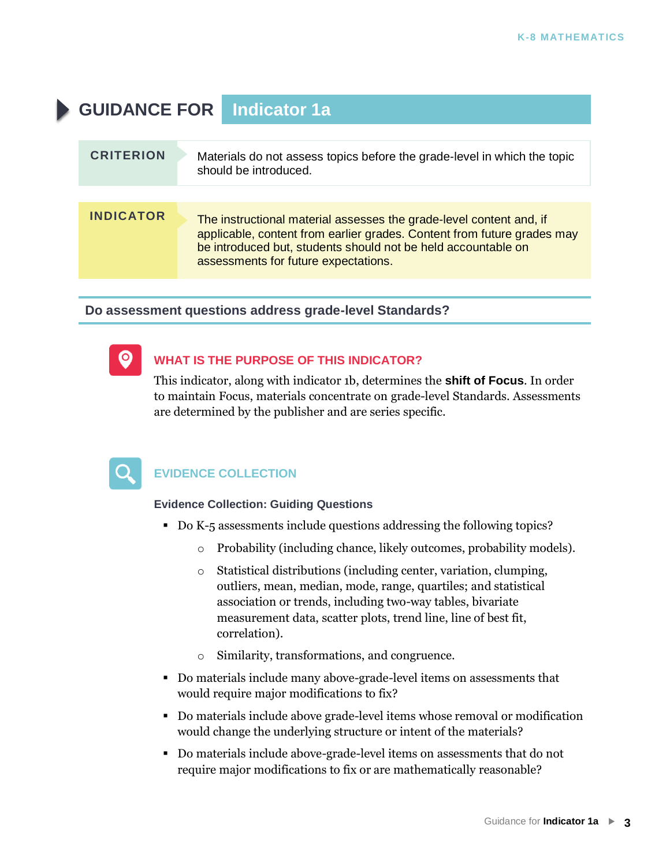## **GUIDANCE FOR Indicator 1a CRITERION** Materials do not assess topics before the grade-level in which the topic should be introduced. **INDICATOR** The instructional material assesses the grade-level content and, if applicable, content from earlier grades. Content from future grades may be introduced but, students should not be held accountable on assessments for future expectations.

**Do assessment questions address grade-level Standards?**



#### **WHAT IS THE PURPOSE OF THIS INDICATOR?**

This indicator, along with indicator 1b, determines the **shift of Focus**. In order to maintain Focus, materials concentrate on grade-level Standards. Assessments are determined by the publisher and are series specific.



#### **EVIDENCE COLLECTION**

#### **Evidence Collection: Guiding Questions**

- Do K-5 assessments include questions addressing the following topics?
	- o Probability (including chance, likely outcomes, probability models).
	- o Statistical distributions (including center, variation, clumping, outliers, mean, median, mode, range, quartiles; and statistical association or trends, including two-way tables, bivariate measurement data, scatter plots, trend line, line of best fit, correlation).
	- o Similarity, transformations, and congruence.
- Do materials include many above-grade-level items on assessments that would require major modifications to fix?
- Do materials include above grade-level items whose removal or modification would change the underlying structure or intent of the materials?
- Do materials include above-grade-level items on assessments that do not require major modifications to fix or are mathematically reasonable?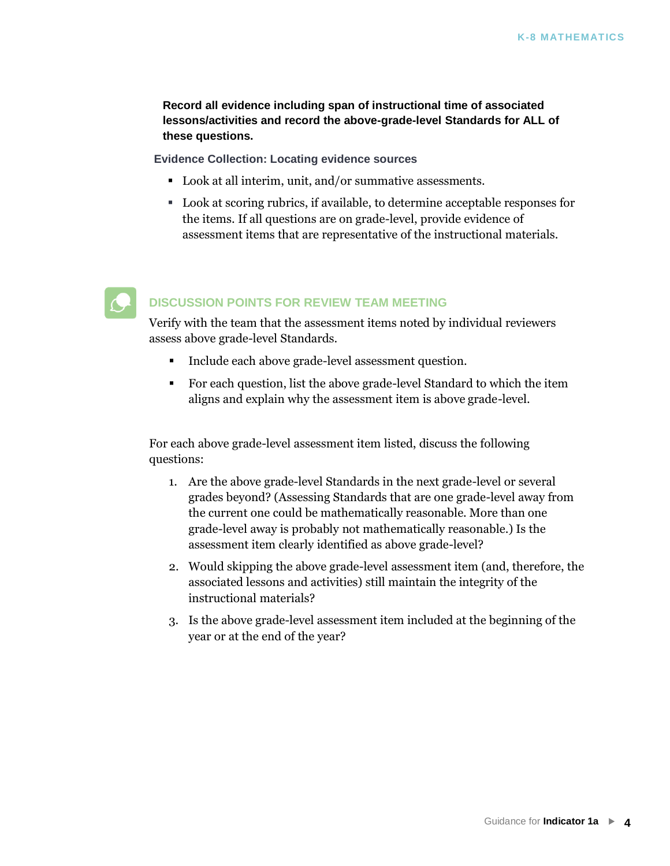**Record all evidence including span of instructional time of associated lessons/activities and record the above-grade-level Standards for ALL of these questions.** 

**Evidence Collection: Locating evidence sources**

- Look at all interim, unit, and/or summative assessments.
- Look at scoring rubrics, if available, to determine acceptable responses for the items. If all questions are on grade-level, provide evidence of assessment items that are representative of the instructional materials.



#### **DISCUSSION POINTS FOR REVIEW TEAM MEETING**

Verify with the team that the assessment items noted by individual reviewers assess above grade-level Standards.

- **•** Include each above grade-level assessment question.
- For each question, list the above grade-level Standard to which the item aligns and explain why the assessment item is above grade-level.

For each above grade-level assessment item listed, discuss the following questions:

- 1. Are the above grade-level Standards in the next grade-level or several grades beyond? (Assessing Standards that are one grade-level away from the current one could be mathematically reasonable. More than one grade-level away is probably not mathematically reasonable.) Is the assessment item clearly identified as above grade-level?
- 2. Would skipping the above grade-level assessment item (and, therefore, the associated lessons and activities) still maintain the integrity of the instructional materials?
- 3. Is the above grade-level assessment item included at the beginning of the year or at the end of the year?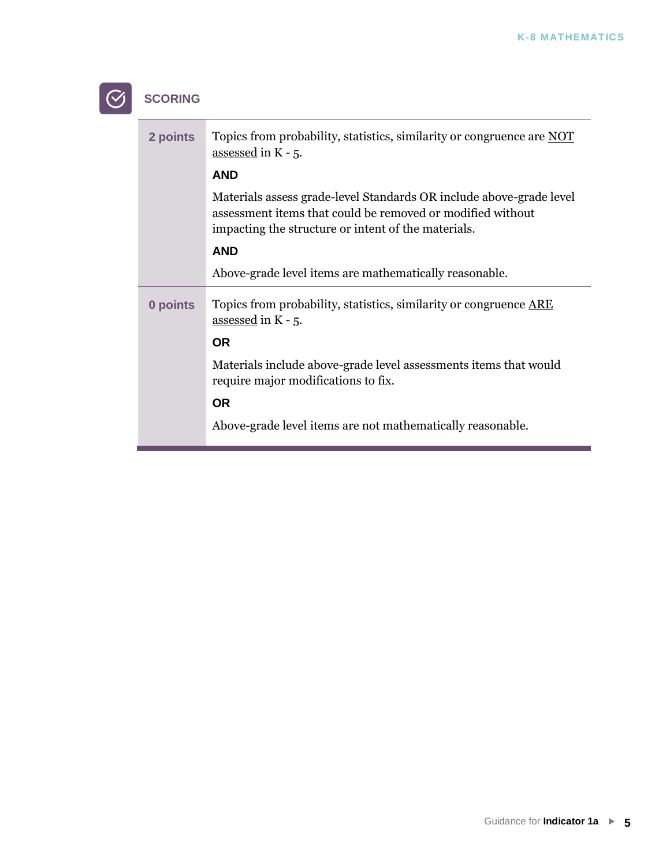| <b>SCORING</b> |                                                                                                                                                                                          |
|----------------|------------------------------------------------------------------------------------------------------------------------------------------------------------------------------------------|
| 2 points       | Topics from probability, statistics, similarity or congruence are NOT<br>assessed in K - 5.                                                                                              |
|                | <b>AND</b>                                                                                                                                                                               |
|                | Materials assess grade-level Standards OR include above-grade level<br>assessment items that could be removed or modified without<br>impacting the structure or intent of the materials. |
|                | <b>AND</b>                                                                                                                                                                               |
|                | Above-grade level items are mathematically reasonable.                                                                                                                                   |
| 0 points       | Topics from probability, statistics, similarity or congruence ARE<br>assessed in K - 5.                                                                                                  |
|                | <b>OR</b>                                                                                                                                                                                |
|                | Materials include above-grade level assessments items that would<br>require major modifications to fix.                                                                                  |
|                | <b>OR</b>                                                                                                                                                                                |
|                | Above-grade level items are not mathematically reasonable.                                                                                                                               |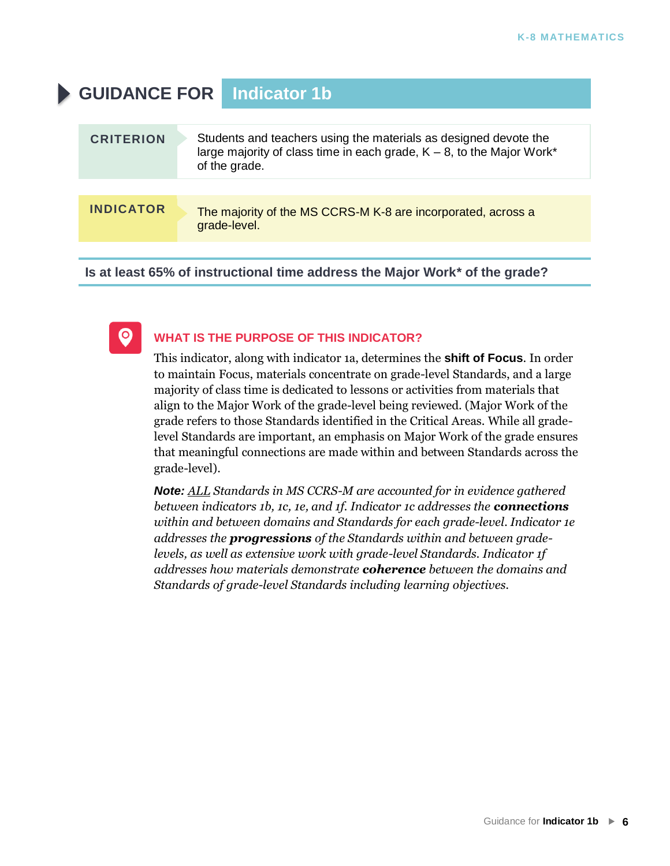### **GUIDANCE FOR Indicator 1b**

| <b>INDICATOR</b><br>The majority of the MS CCRS-M K-8 are incorporated, across a<br>grade-level. | <b>CRITERION</b> | Students and teachers using the materials as designed devote the<br>large majority of class time in each grade, $K - 8$ , to the Major Work*<br>of the grade. |
|--------------------------------------------------------------------------------------------------|------------------|---------------------------------------------------------------------------------------------------------------------------------------------------------------|
|                                                                                                  |                  |                                                                                                                                                               |
|                                                                                                  |                  |                                                                                                                                                               |

**Is at least 65% of instructional time address the Major Work\* of the grade?**



#### **WHAT IS THE PURPOSE OF THIS INDICATOR?**

This indicator, along with indicator 1a, determines the **shift of Focus**. In order to maintain Focus, materials concentrate on grade-level Standards, and a large majority of class time is dedicated to lessons or activities from materials that align to the Major Work of the grade-level being reviewed. (Major Work of the grade refers to those Standards identified in the Critical Areas. While all gradelevel Standards are important, an emphasis on Major Work of the grade ensures that meaningful connections are made within and between Standards across the grade-level).

*Note: ALL Standards in MS CCRS-M are accounted for in evidence gathered between indicators 1b, 1c, 1e, and 1f. Indicator 1c addresses the connections within and between domains and Standards for each grade-level. Indicator 1e addresses the progressions of the Standards within and between gradelevels, as well as extensive work with grade-level Standards. Indicator 1f addresses how materials demonstrate coherence between the domains and Standards of grade-level Standards including learning objectives.*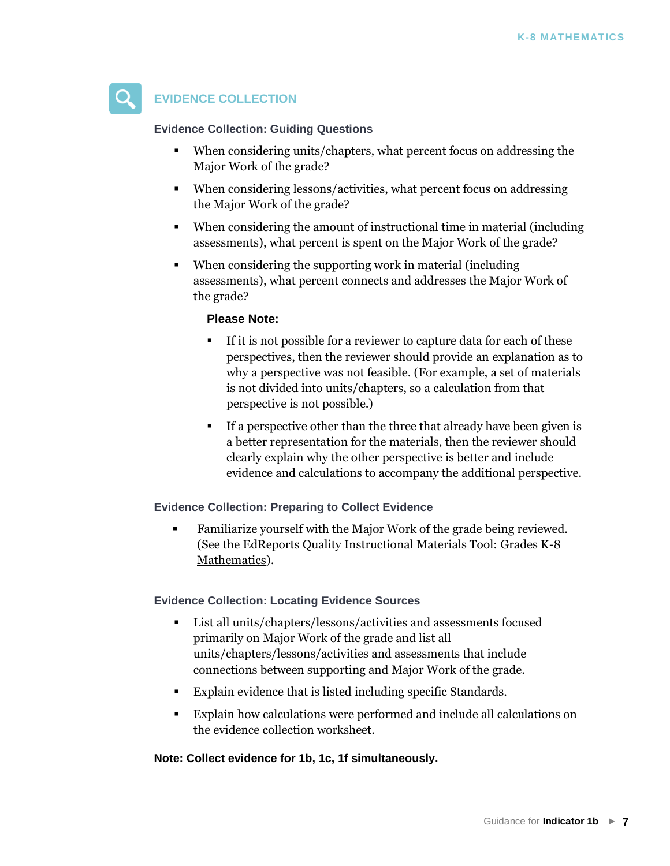

#### **EVIDENCE COLLECTION**

#### **Evidence Collection: Guiding Questions**

- When considering units/chapters, what percent focus on addressing the Major Work of the grade?
- When considering lessons/activities, what percent focus on addressing the Major Work of the grade?
- When considering the amount of instructional time in material (including assessments), what percent is spent on the Major Work of the grade?
- When considering the supporting work in material (including assessments), what percent connects and addresses the Major Work of the grade?

#### **Please Note:**

- If it is not possible for a reviewer to capture data for each of these perspectives, then the reviewer should provide an explanation as to why a perspective was not feasible. (For example, a set of materials is not divided into units/chapters, so a calculation from that perspective is not possible.)
- If a perspective other than the three that already have been given is a better representation for the materials, then the reviewer should clearly explain why the other perspective is better and include evidence and calculations to accompany the additional perspective.

#### **Evidence Collection: Preparing to Collect Evidence**

▪ Familiarize yourself with the Major Work of the grade being reviewed. (See th[e EdReports Quality Instructional Materials Tool: Grades K-8](http://www.edreports.org/files/EdReports-Quality-Instructional-Materials-Tool-K-8-Math_1.pdf)  [Mathematics\).](http://www.edreports.org/files/EdReports-Quality-Instructional-Materials-Tool-K-8-Math_1.pdf) 

#### **[Evidence Collection: Locating Evidence Sources](http://www.edreports.org/files/EdReports-Quality-Instructional-Materials-Tool-K-8-Math_1.pdf)**

- [List all units/ch](http://www.edreports.org/files/EdReports-Quality-Instructional-Materials-Tool-K-8-Math_1.pdf)apters/lessons/activities and assessments focused primarily on Major Work of the grade and list all units/chapters/lessons/activities and assessments that include connections between supporting and Major Work of the grade.
- Explain evidence that is listed including specific Standards.
- Explain how calculations were performed and include all calculations on the evidence collection worksheet.

#### **Note: Collect evidence for 1b, 1c, 1f simultaneously.**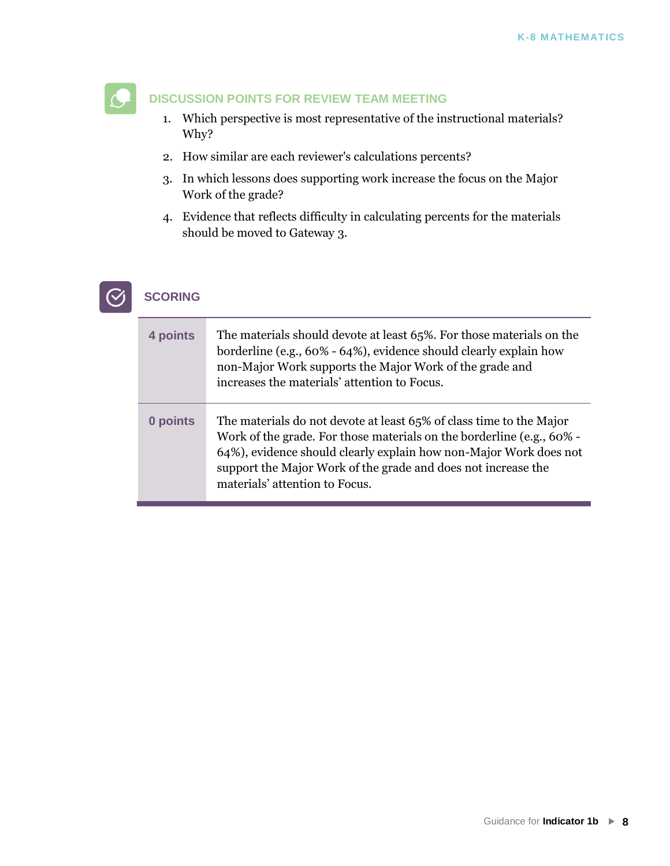#### **DISCUSSION POINTS FOR REVIEW TEAM MEETING**

- 1. Which perspective is most representative of the instructional materials? Why?
- 2. How similar are each reviewer's calculations percents?
- 3. In which lessons does supporting work increase the focus on the Major Work of the grade?
- 4. Evidence that reflects difficulty in calculating percents for the materials should be moved to Gateway 3.



#### **SCORING**

| 4 points | The materials should devote at least 65%. For those materials on the<br>borderline (e.g., 60% - 64%), evidence should clearly explain how<br>non-Major Work supports the Major Work of the grade and<br>increases the materials' attention to Focus.                                                                 |
|----------|----------------------------------------------------------------------------------------------------------------------------------------------------------------------------------------------------------------------------------------------------------------------------------------------------------------------|
| 0 points | The materials do not devote at least 65% of class time to the Major<br>Work of the grade. For those materials on the borderline (e.g., 60% -<br>64%), evidence should clearly explain how non-Major Work does not<br>support the Major Work of the grade and does not increase the<br>materials' attention to Focus. |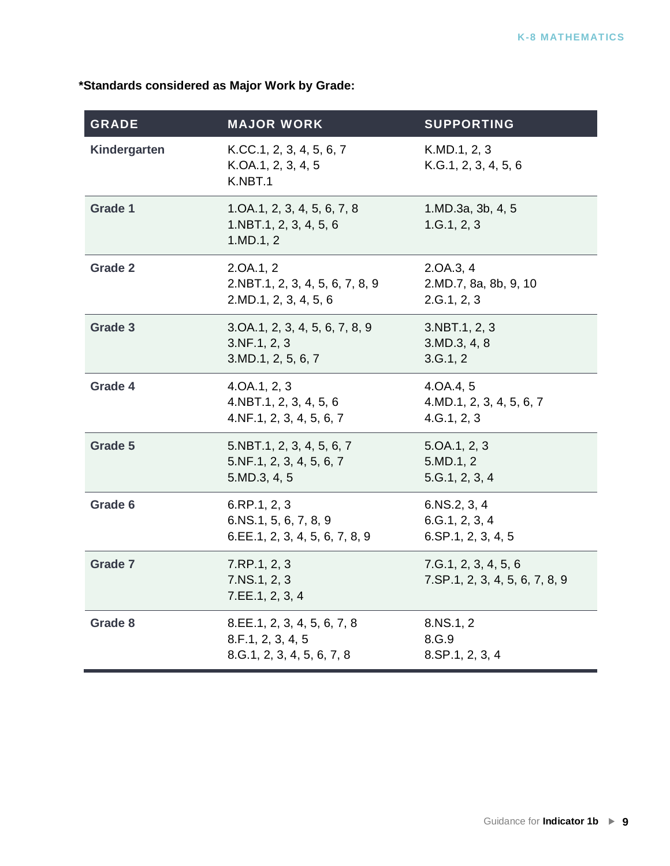#### **\*Standards considered as Major Work by Grade:**

| <b>GRADE</b>   | <b>MAJOR WORK</b>                                                              | <b>SUPPORTING</b>                                        |
|----------------|--------------------------------------------------------------------------------|----------------------------------------------------------|
| Kindergarten   | K.CC.1, 2, 3, 4, 5, 6, 7<br>K.OA.1, 2, 3, 4, 5<br>K.NBT.1                      | K.MD.1, 2, 3<br>K.G.1, 2, 3, 4, 5, 6                     |
| <b>Grade 1</b> | 1.0A.1, 2, 3, 4, 5, 6, 7, 8<br>1.NBT.1, 2, 3, 4, 5, 6<br>1.MD.1, 2             | 1.MD.3a, 3b, 4, 5<br>1.G.1, 2, 3                         |
| <b>Grade 2</b> | 2.0A.1, 2<br>2.NBT.1, 2, 3, 4, 5, 6, 7, 8, 9<br>2.MD.1, 2, 3, 4, 5, 6          | 2.0A.3, 4<br>2.MD.7, 8a, 8b, 9, 10<br>2.G.1, 2, 3        |
| Grade 3        | 3.OA.1, 2, 3, 4, 5, 6, 7, 8, 9<br>3.NF.1, 2, 3<br>3.MD.1, 2, 5, 6, 7           | 3.NBT.1, 2, 3<br>3.MD.3, 4, 8<br>3.G.1, 2                |
| Grade 4        | 4.0A.1, 2, 3<br>4.NBT.1, 2, 3, 4, 5, 6<br>4.NF.1, 2, 3, 4, 5, 6, 7             | 4.0A.4, 5<br>4.MD.1, 2, 3, 4, 5, 6, 7<br>4.G.1, 2, 3     |
| Grade 5        | 5.NBT.1, 2, 3, 4, 5, 6, 7<br>5.NF.1, 2, 3, 4, 5, 6, 7<br>5.MD.3, 4, 5          | 5.0A.1, 2, 3<br>5.MD.1, 2<br>5. G.1, 2, 3, 4             |
| Grade 6        | 6.RP.1, 2, 3<br>6.NS.1, 5, 6, 7, 8, 9<br>6.EE.1, 2, 3, 4, 5, 6, 7, 8, 9        | 6.NS.2, 3, 4<br>6. G.1, 2, 3, 4<br>$6.$ SP.1, 2, 3, 4, 5 |
| <b>Grade 7</b> | 7.RP.1, 2, 3<br>7.NS.1, 2, 3<br>7.EE.1, 2, 3, 4                                | 7. G.1, 2, 3, 4, 5, 6<br>7.SP.1, 2, 3, 4, 5, 6, 7, 8, 9  |
| Grade 8        | 8.EE.1, 2, 3, 4, 5, 6, 7, 8<br>8.F.1, 2, 3, 4, 5<br>8.G.1, 2, 3, 4, 5, 6, 7, 8 | 8.NS.1, 2<br>8.G.9<br>8.SP.1, 2, 3, 4                    |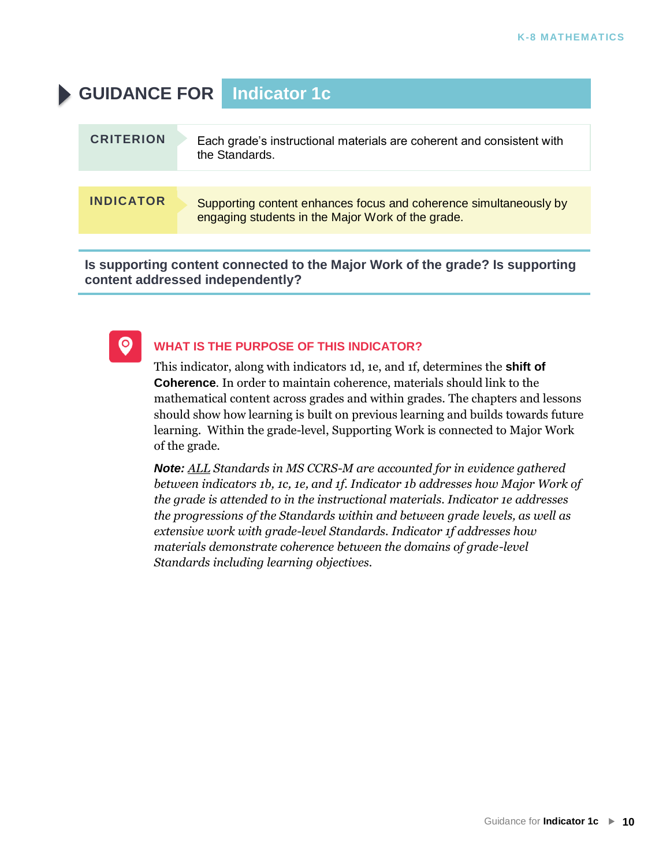### **GUIDANCE FOR Indicator 1c**

| <b>CRITERION</b> | Each grade's instructional materials are coherent and consistent with<br>the Standards.                                |
|------------------|------------------------------------------------------------------------------------------------------------------------|
|                  |                                                                                                                        |
| <b>INDICATOR</b> | Supporting content enhances focus and coherence simultaneously by<br>engaging students in the Major Work of the grade. |
|                  |                                                                                                                        |

**Is supporting content connected to the Major Work of the grade? Is supporting content addressed independently?**



#### **WHAT IS THE PURPOSE OF THIS INDICATOR?**

This indicator, along with indicators 1d, 1e, and 1f, determines the **shift of Coherence**. In order to maintain coherence, materials should link to the mathematical content across grades and within grades. The chapters and lessons should show how learning is built on previous learning and builds towards future learning. Within the grade-level, Supporting Work is connected to Major Work of the grade.

*Note: ALL Standards in MS CCRS-M are accounted for in evidence gathered between indicators 1b, 1c, 1e, and 1f. Indicator 1b addresses how Major Work of the grade is attended to in the instructional materials. Indicator 1e addresses the progressions of the Standards within and between grade levels, as well as extensive work with grade-level Standards. Indicator 1f addresses how materials demonstrate coherence between the domains of grade-level Standards including learning objectives.*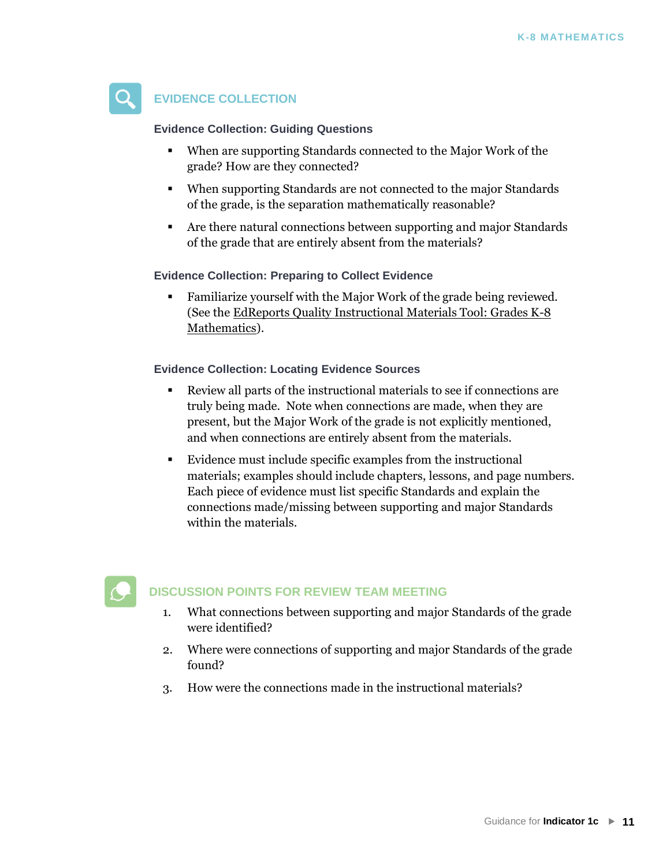

#### **EVIDENCE COLLECTION**

**Evidence Collection: Guiding Questions**

- When are supporting Standards connected to the Major Work of the grade? How are they connected?
- When supporting Standards are not connected to the major Standards of the grade, is the separation mathematically reasonable?
- Are there natural connections between supporting and major Standards of the grade that are entirely absent from the materials?

**Evidence Collection: Preparing to Collect Evidence**

▪ Familiarize yourself with the Major Work of the grade being reviewed. (See th[e EdReports Quality Instructional Materials Tool: Grades K-8](http://www.edreports.org/files/EdReports-Quality-Instructional-Materials-Tool-K-8-Math_1.pdf)  [Mathematics\).](http://www.edreports.org/files/EdReports-Quality-Instructional-Materials-Tool-K-8-Math_1.pdf) 

**[Evidence Collection: Locating Evidence Sources](http://www.edreports.org/files/EdReports-Quality-Instructional-Materials-Tool-K-8-Math_1.pdf)**

- [Review all parts](http://www.edreports.org/files/EdReports-Quality-Instructional-Materials-Tool-K-8-Math_1.pdf) of the instructional materials to see if connections are truly being made. Note when connections are made, when they are present, but the Major Work of the grade is not explicitly mentioned, and when connections are entirely absent from the materials.
- Evidence must include specific examples from the instructional materials; examples should include chapters, lessons, and page numbers. Each piece of evidence must list specific Standards and explain the connections made/missing between supporting and major Standards within the materials.



#### **DISCUSSION POINTS FOR REVIEW TEAM MEETING**

- 1. What connections between supporting and major Standards of the grade were identified?
- 2. Where were connections of supporting and major Standards of the grade found?
- 3. How were the connections made in the instructional materials?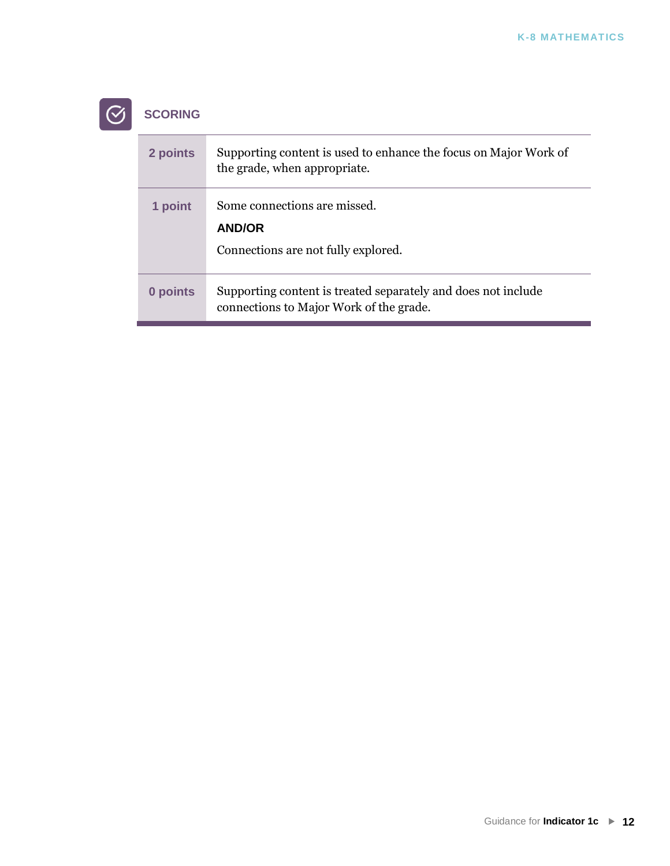## $\boxed{\odot}$  SCORING

| 2 points | Supporting content is used to enhance the focus on Major Work of<br>the grade, when appropriate.         |
|----------|----------------------------------------------------------------------------------------------------------|
| 1 point  | Some connections are missed.<br><b>AND/OR</b><br>Connections are not fully explored.                     |
| 0 points | Supporting content is treated separately and does not include<br>connections to Major Work of the grade. |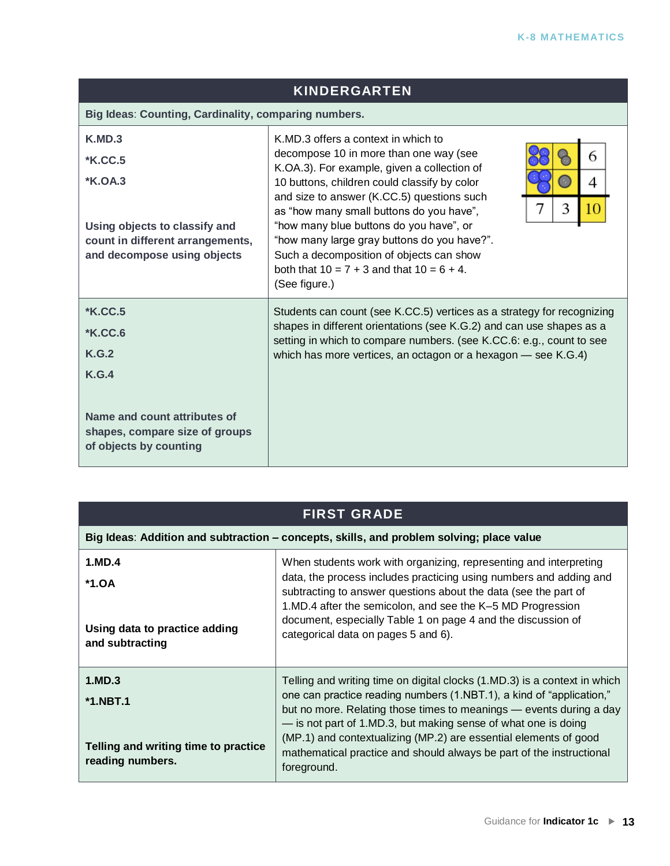| <b>KINDERGARTEN</b>                                                                                                                            |                                                                                                                                                                                                                                                                                                                                                                                                                                                                                                                |  |
|------------------------------------------------------------------------------------------------------------------------------------------------|----------------------------------------------------------------------------------------------------------------------------------------------------------------------------------------------------------------------------------------------------------------------------------------------------------------------------------------------------------------------------------------------------------------------------------------------------------------------------------------------------------------|--|
| Big Ideas: Counting, Cardinality, comparing numbers.                                                                                           |                                                                                                                                                                                                                                                                                                                                                                                                                                                                                                                |  |
| K.MD.3<br><b>*K.CC.5</b><br>$*K.OA.3$<br>Using objects to classify and<br>count in different arrangements,<br>and decompose using objects      | K.MD.3 offers a context in which to<br>decompose 10 in more than one way (see<br>6<br>K.OA.3). For example, given a collection of<br>10 buttons, children could classify by color<br>$\sim$<br>4<br>and size to answer (K.CC.5) questions such<br>3<br>10<br>as "how many small buttons do you have",<br>"how many blue buttons do you have", or<br>"how many large gray buttons do you have?".<br>Such a decomposition of objects can show<br>both that $10 = 7 + 3$ and that $10 = 6 + 4$ .<br>(See figure.) |  |
| <b>*K.CC.5</b><br><b>*K.CC.6</b><br>K.G.2<br>K.G.4<br>Name and count attributes of<br>shapes, compare size of groups<br>of objects by counting | Students can count (see K.CC.5) vertices as a strategy for recognizing<br>shapes in different orientations (see K.G.2) and can use shapes as a<br>setting in which to compare numbers. (see K.CC.6: e.g., count to see<br>which has more vertices, an octagon or a hexagon — see K.G.4)                                                                                                                                                                                                                        |  |

| <b>FIRST GRADE</b>                                       |                                                                                                                                                                                                                                                                                                                                          |  |  |
|----------------------------------------------------------|------------------------------------------------------------------------------------------------------------------------------------------------------------------------------------------------------------------------------------------------------------------------------------------------------------------------------------------|--|--|
|                                                          | Big Ideas: Addition and subtraction – concepts, skills, and problem solving; place value                                                                                                                                                                                                                                                 |  |  |
| 1.MD.4<br>$*1.0A$                                        | When students work with organizing, representing and interpreting<br>data, the process includes practicing using numbers and adding and<br>subtracting to answer questions about the data (see the part of<br>1.MD.4 after the semicolon, and see the K-5 MD Progression<br>document, especially Table 1 on page 4 and the discussion of |  |  |
| Using data to practice adding<br>and subtracting         | categorical data on pages 5 and 6).                                                                                                                                                                                                                                                                                                      |  |  |
| 1.MD.3<br>$*1.NBT.1$                                     | Telling and writing time on digital clocks (1.MD.3) is a context in which<br>one can practice reading numbers (1.NBT.1), a kind of "application,"<br>but no more. Relating those times to meanings — events during a day<br>- is not part of 1.MD.3, but making sense of what one is doing                                               |  |  |
| Telling and writing time to practice<br>reading numbers. | (MP.1) and contextualizing (MP.2) are essential elements of good<br>mathematical practice and should always be part of the instructional<br>foreground.                                                                                                                                                                                  |  |  |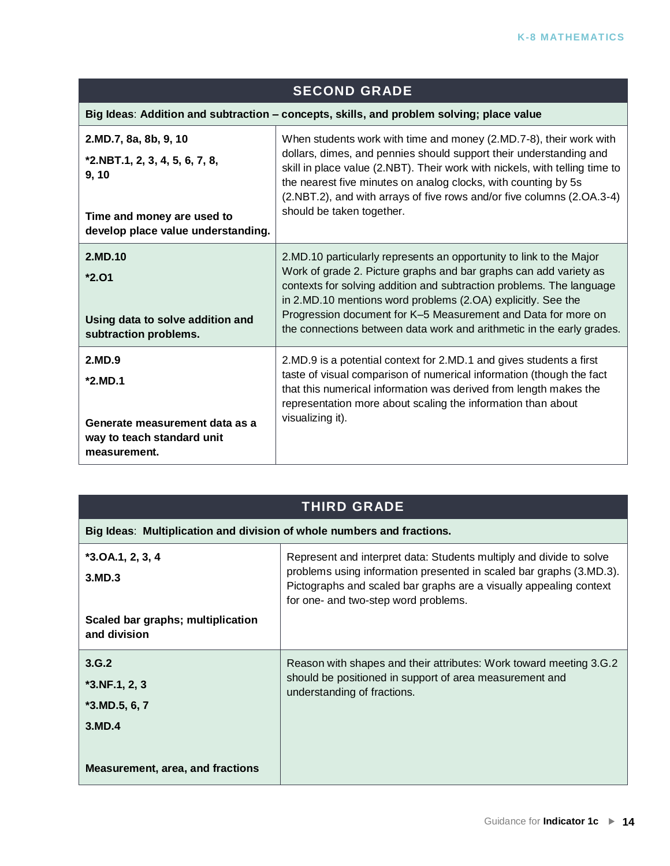| <b>SECOND GRADE</b>                                                                                                                    |                                                                                                                                                                                                                                                                                                                                                                                                                            |  |  |
|----------------------------------------------------------------------------------------------------------------------------------------|----------------------------------------------------------------------------------------------------------------------------------------------------------------------------------------------------------------------------------------------------------------------------------------------------------------------------------------------------------------------------------------------------------------------------|--|--|
|                                                                                                                                        | Big Ideas: Addition and subtraction - concepts, skills, and problem solving; place value                                                                                                                                                                                                                                                                                                                                   |  |  |
| 2.MD.7, 8a, 8b, 9, 10<br>$*2.NBT.1, 2, 3, 4, 5, 6, 7, 8,$<br>9, 10<br>Time and money are used to<br>develop place value understanding. | When students work with time and money (2.MD.7-8), their work with<br>dollars, dimes, and pennies should support their understanding and<br>skill in place value (2.NBT). Their work with nickels, with telling time to<br>the nearest five minutes on analog clocks, with counting by 5s<br>(2.NBT.2), and with arrays of five rows and/or five columns (2.OA.3-4)<br>should be taken together.                           |  |  |
| 2.MD.10<br>$*2.01$<br>Using data to solve addition and<br>subtraction problems.                                                        | 2.MD.10 particularly represents an opportunity to link to the Major<br>Work of grade 2. Picture graphs and bar graphs can add variety as<br>contexts for solving addition and subtraction problems. The language<br>in 2.MD.10 mentions word problems (2.OA) explicitly. See the<br>Progression document for K-5 Measurement and Data for more on<br>the connections between data work and arithmetic in the early grades. |  |  |
| 2.MD.9<br>*2.MD.1<br>Generate measurement data as a<br>way to teach standard unit<br>measurement.                                      | 2.MD.9 is a potential context for 2.MD.1 and gives students a first<br>taste of visual comparison of numerical information (though the fact<br>that this numerical information was derived from length makes the<br>representation more about scaling the information than about<br>visualizing it).                                                                                                                       |  |  |

| Big Ideas: Multiplication and division of whole numbers and fractions. |                                                                                                                                                                                                                                                          |  |
|------------------------------------------------------------------------|----------------------------------------------------------------------------------------------------------------------------------------------------------------------------------------------------------------------------------------------------------|--|
| $*3.0A.1, 2, 3, 4$<br>3.MD.3                                           | Represent and interpret data: Students multiply and divide to solve<br>problems using information presented in scaled bar graphs (3.MD.3).<br>Pictographs and scaled bar graphs are a visually appealing context<br>for one- and two-step word problems. |  |
| Scaled bar graphs; multiplication<br>and division                      |                                                                                                                                                                                                                                                          |  |
| 3.G.2<br>$*3.NF.1, 2, 3$<br>$*3.MD.5, 6, 7$<br>3.MD.4                  | Reason with shapes and their attributes: Work toward meeting 3.G.2<br>should be positioned in support of area measurement and<br>understanding of fractions.                                                                                             |  |
| <b>Measurement, area, and fractions</b>                                |                                                                                                                                                                                                                                                          |  |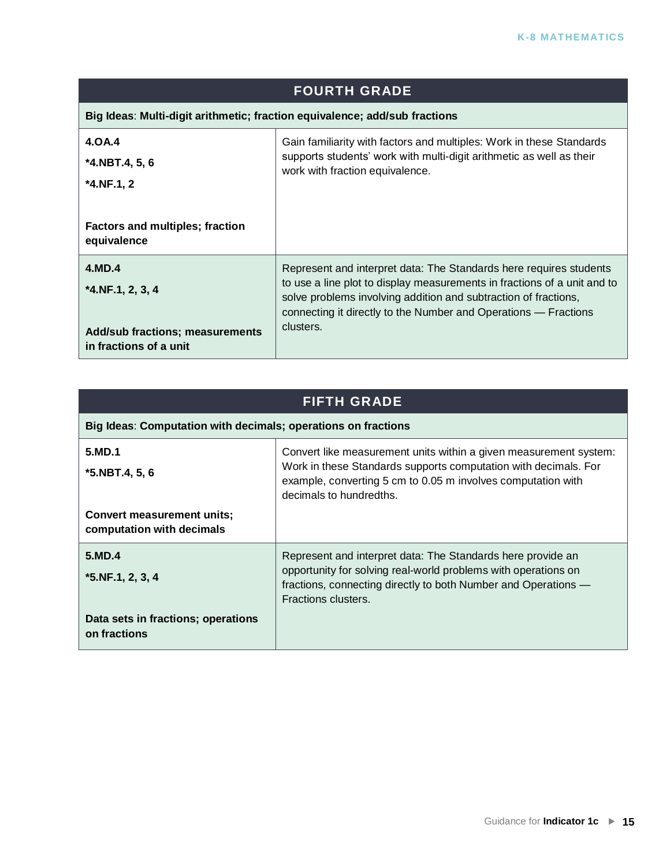| <b>FOURTH GRADE</b>                                                        |                                                                                                                                                                                                                                                                                      |  |
|----------------------------------------------------------------------------|--------------------------------------------------------------------------------------------------------------------------------------------------------------------------------------------------------------------------------------------------------------------------------------|--|
| Big Ideas: Multi-digit arithmetic; fraction equivalence; add/sub fractions |                                                                                                                                                                                                                                                                                      |  |
| 4.OA.4<br>$*4.$ NBT.4, 5, 6<br>$*4.NF.1, 2$                                | Gain familiarity with factors and multiples: Work in these Standards<br>supports students' work with multi-digit arithmetic as well as their<br>work with fraction equivalence.                                                                                                      |  |
| <b>Factors and multiples; fraction</b><br>equivalence                      |                                                                                                                                                                                                                                                                                      |  |
| 4.MD.4<br>$*4.NF.1, 2, 3, 4$                                               | Represent and interpret data: The Standards here requires students<br>to use a line plot to display measurements in fractions of a unit and to<br>solve problems involving addition and subtraction of fractions,<br>connecting it directly to the Number and Operations – Fractions |  |
| <b>Add/sub fractions; measurements</b><br>in fractions of a unit           | clusters.                                                                                                                                                                                                                                                                            |  |

| Big Ideas: Computation with decimals; operations on fractions  |                                                                                                                                                                                                                                 |
|----------------------------------------------------------------|---------------------------------------------------------------------------------------------------------------------------------------------------------------------------------------------------------------------------------|
| 5.MD.1<br>$*5.NBT.4, 5, 6$                                     | Convert like measurement units within a given measurement system:<br>Work in these Standards supports computation with decimals. For<br>example, converting 5 cm to 0.05 m involves computation with<br>decimals to hundredths. |
| <b>Convert measurement units;</b><br>computation with decimals |                                                                                                                                                                                                                                 |
| 5.MD.4<br>$*5.NF.1, 2, 3, 4$                                   | Represent and interpret data: The Standards here provide an<br>opportunity for solving real-world problems with operations on<br>fractions, connecting directly to both Number and Operations —<br>Fractions clusters.          |
| Data sets in fractions; operations<br>on fractions             |                                                                                                                                                                                                                                 |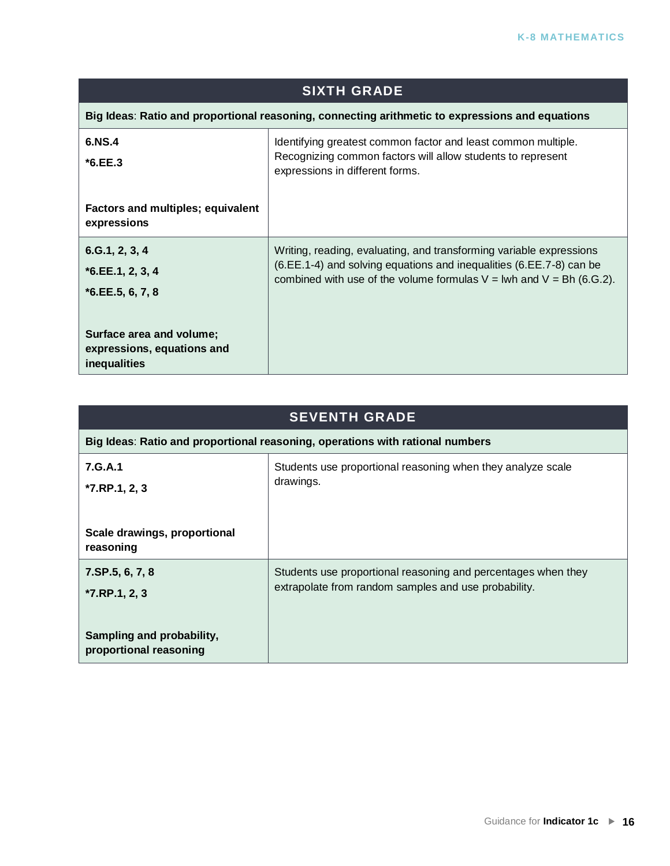| <b>SIXTH GRADE</b>                                                                              |                                                                                                                                                                                                                        |
|-------------------------------------------------------------------------------------------------|------------------------------------------------------------------------------------------------------------------------------------------------------------------------------------------------------------------------|
| Big Ideas: Ratio and proportional reasoning, connecting arithmetic to expressions and equations |                                                                                                                                                                                                                        |
| 6.NS.4<br>$*6.EE.3$                                                                             | Identifying greatest common factor and least common multiple.<br>Recognizing common factors will allow students to represent<br>expressions in different forms.                                                        |
| Factors and multiples; equivalent<br>expressions                                                |                                                                                                                                                                                                                        |
| 6.6.1, 2, 3, 4<br>$*6.EE.1, 2, 3, 4$<br>$*6.EE.5, 6, 7, 8$                                      | Writing, reading, evaluating, and transforming variable expressions<br>(6.EE.1-4) and solving equations and inequalities (6.EE.7-8) can be<br>combined with use of the volume formulas $V = Iwh$ and $V = Bh$ (6.G.2). |
| Surface area and volume;<br>expressions, equations and<br>inequalities                          |                                                                                                                                                                                                                        |

| <b>SEVENTH GRADE</b>                                                          |                                                                                                                       |
|-------------------------------------------------------------------------------|-----------------------------------------------------------------------------------------------------------------------|
| Big Ideas: Ratio and proportional reasoning, operations with rational numbers |                                                                                                                       |
| 7.G.A.1<br>$*7.RP.1, 2, 3$                                                    | Students use proportional reasoning when they analyze scale<br>drawings.                                              |
| Scale drawings, proportional<br>reasoning                                     |                                                                                                                       |
| $7.$ SP $.5, 6, 7, 8$<br>$*7.$ RP.1, 2, 3                                     | Students use proportional reasoning and percentages when they<br>extrapolate from random samples and use probability. |
| Sampling and probability,<br>proportional reasoning                           |                                                                                                                       |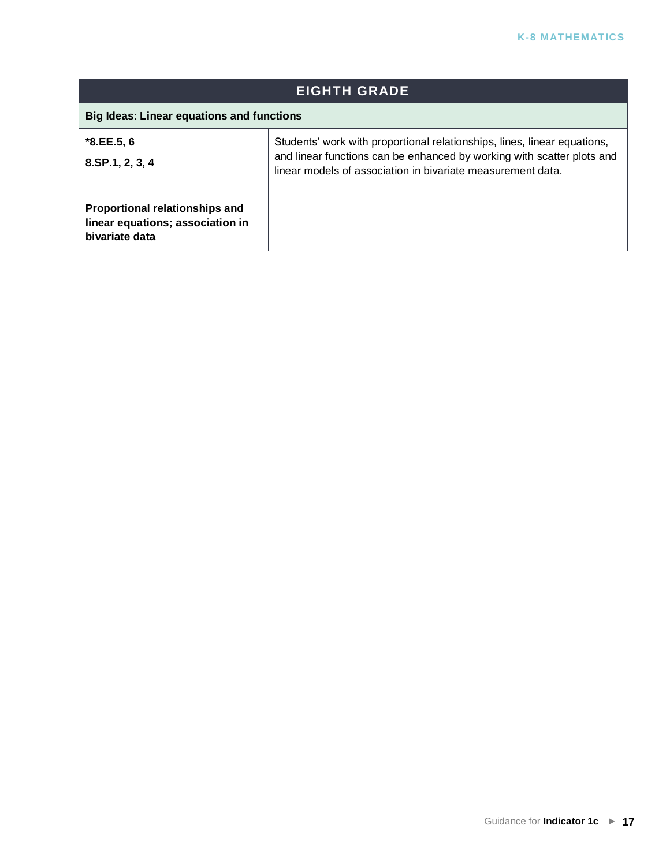| <b>EIGHTH GRADE</b>                                                                         |                                                                                                                                                                                                                   |
|---------------------------------------------------------------------------------------------|-------------------------------------------------------------------------------------------------------------------------------------------------------------------------------------------------------------------|
| Big Ideas: Linear equations and functions                                                   |                                                                                                                                                                                                                   |
| $*8.EE.5, 6$<br>$8.$ SP.1, 2, 3, 4                                                          | Students' work with proportional relationships, lines, linear equations,<br>and linear functions can be enhanced by working with scatter plots and<br>linear models of association in bivariate measurement data. |
| <b>Proportional relationships and</b><br>linear equations; association in<br>bivariate data |                                                                                                                                                                                                                   |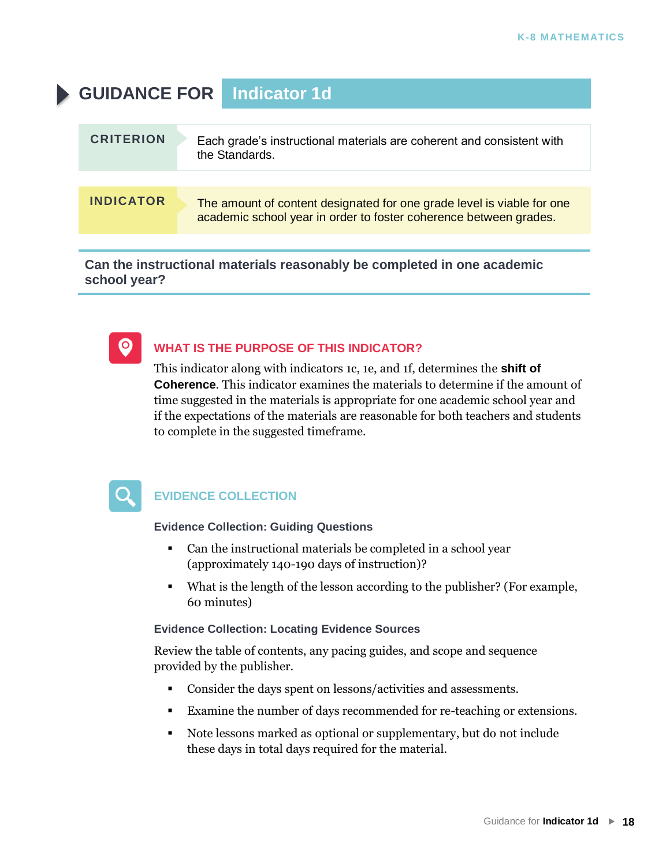### **GUIDANCE FOR Indicator 1d**

| <b>CRITERION</b> | Each grade's instructional materials are coherent and consistent with<br>the Standards.                                                     |
|------------------|---------------------------------------------------------------------------------------------------------------------------------------------|
|                  |                                                                                                                                             |
| <b>INDICATOR</b> | The amount of content designated for one grade level is viable for one<br>academic school year in order to foster coherence between grades. |
|                  |                                                                                                                                             |

**Can the instructional materials reasonably be completed in one academic school year?**



#### **WHAT IS THE PURPOSE OF THIS INDICATOR?**

This indicator along with indicators 1c, 1e, and 1f, determines the **shift of Coherence**. This indicator examines the materials to determine if the amount of time suggested in the materials is appropriate for one academic school year and if the expectations of the materials are reasonable for both teachers and students to complete in the suggested timeframe.



#### **EVIDENCE COLLECTION**

**Evidence Collection: Guiding Questions**

- Can the instructional materials be completed in a school year (approximately 140-190 days of instruction)?
- What is the length of the lesson according to the publisher? (For example, 60 minutes)

#### **Evidence Collection: Locating Evidence Sources**

Review the table of contents, any pacing guides, and scope and sequence provided by the publisher.

- Consider the days spent on lessons/activities and assessments.
- Examine the number of days recommended for re-teaching or extensions.
- Note lessons marked as optional or supplementary, but do not include these days in total days required for the material.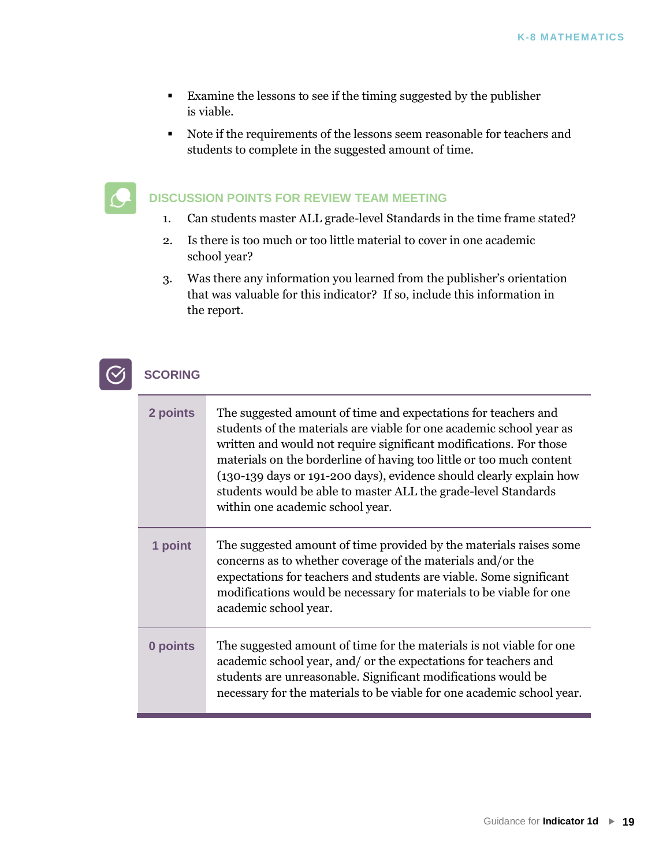- Examine the lessons to see if the timing suggested by the publisher is viable.
- Note if the requirements of the lessons seem reasonable for teachers and students to complete in the suggested amount of time.

#### **DISCUSSION POINTS FOR REVIEW TEAM MEETING**

- 1. Can students master ALL grade-level Standards in the time frame stated?
- 2. Is there is too much or too little material to cover in one academic school year?
- 3. Was there any information you learned from the publisher's orientation that was valuable for this indicator? If so, include this information in the report.

#### **SCORING**

| 2 points | The suggested amount of time and expectations for teachers and<br>students of the materials are viable for one academic school year as<br>written and would not require significant modifications. For those<br>materials on the borderline of having too little or too much content<br>(130-139 days or 191-200 days), evidence should clearly explain how<br>students would be able to master ALL the grade-level Standards<br>within one academic school year. |
|----------|-------------------------------------------------------------------------------------------------------------------------------------------------------------------------------------------------------------------------------------------------------------------------------------------------------------------------------------------------------------------------------------------------------------------------------------------------------------------|
| 1 point  | The suggested amount of time provided by the materials raises some<br>concerns as to whether coverage of the materials and/or the<br>expectations for teachers and students are viable. Some significant<br>modifications would be necessary for materials to be viable for one<br>academic school year.                                                                                                                                                          |
| 0 points | The suggested amount of time for the materials is not viable for one<br>academic school year, and/ or the expectations for teachers and<br>students are unreasonable. Significant modifications would be<br>necessary for the materials to be viable for one academic school year.                                                                                                                                                                                |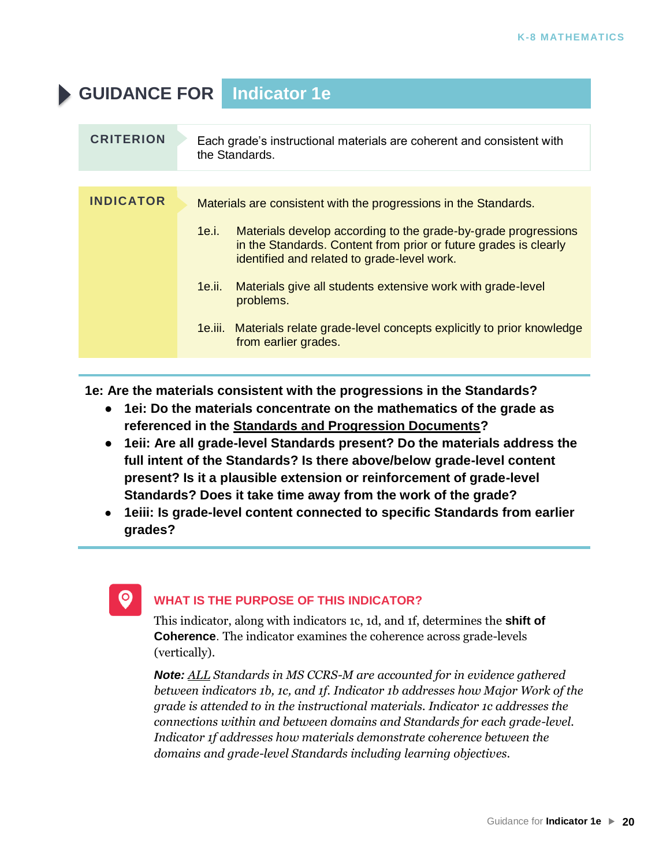### **GUIDANCE FOR Indicator 1e**

| <b>CRITERION</b> | Each grade's instructional materials are coherent and consistent with<br>the Standards.                                                                                                    |
|------------------|--------------------------------------------------------------------------------------------------------------------------------------------------------------------------------------------|
|                  |                                                                                                                                                                                            |
| <b>INDICATOR</b> | Materials are consistent with the progressions in the Standards.                                                                                                                           |
|                  | Materials develop according to the grade-by-grade progressions<br>1e.i.<br>in the Standards. Content from prior or future grades is clearly<br>identified and related to grade-level work. |
|                  | Materials give all students extensive work with grade-level<br>1e.ii.<br>problems.                                                                                                         |
|                  | 1e.iii. Materials relate grade-level concepts explicitly to prior knowledge<br>from earlier grades.                                                                                        |
|                  |                                                                                                                                                                                            |

**1e: Are the materials consistent with the progressions in the Standards?** 

- **1ei: Do the materials concentrate on the mathematics of the grade as referenced in the [Standards and Progression Documents?](http://ime.math.arizona.edu/progressions/)**
- **[1eii: Are all grade-level Standar](http://ime.math.arizona.edu/progressions/)ds present? Do the materials address the full intent of the Standards? Is there above/below grade-level content present? Is it a plausible extension or reinforcement of grade-level Standards? Does it take time away from the work of the grade?**
- **1eiii: Is grade-level content connected to specific Standards from earlier grades?**

### $\bullet$

#### **WHAT IS THE PURPOSE OF THIS INDICATOR?**

This indicator, along with indicators 1c, 1d, and 1f, determines the **shift of Coherence**. The indicator examines the coherence across grade-levels (vertically).

*Note: ALL Standards in MS CCRS-M are accounted for in evidence gathered between indicators 1b, 1c, and 1f. Indicator 1b addresses how Major Work of the grade is attended to in the instructional materials. Indicator 1c addresses the connections within and between domains and Standards for each grade-level. Indicator 1f addresses how materials demonstrate coherence between the domains and grade-level Standards including learning objectives*.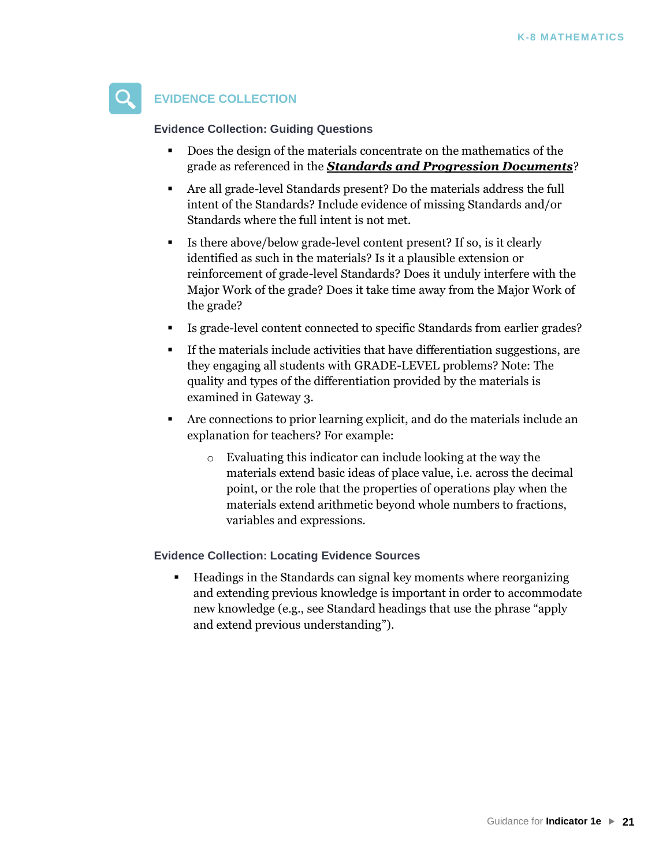

#### **EVIDENCE COLLECTION**

**Evidence Collection: Guiding Questions**

- Does the design of the materials concentrate on the mathematics of the grade as referenced in the *[Standards and Progression Documents](http://ime.math.arizona.edu/progressions/)*[?](http://ime.math.arizona.edu/progressions/)
- [Are all grade-level Standards pre](http://ime.math.arizona.edu/progressions/)sent? Do the materials address the full intent of the Standards? Include evidence of missing Standards and/or Standards where the full intent is not met.
- Is there above/below grade-level content present? If so, is it clearly identified as such in the materials? Is it a plausible extension or reinforcement of grade-level Standards? Does it unduly interfere with the Major Work of the grade? Does it take time away from the Major Work of the grade?
- Is grade-level content connected to specific Standards from earlier grades?
- If the materials include activities that have differentiation suggestions, are they engaging all students with GRADE-LEVEL problems? Note: The quality and types of the differentiation provided by the materials is examined in Gateway 3.
- Are connections to prior learning explicit, and do the materials include an explanation for teachers? For example:
	- o Evaluating this indicator can include looking at the way the materials extend basic ideas of place value, i.e. across the decimal point, or the role that the properties of operations play when the materials extend arithmetic beyond whole numbers to fractions, variables and expressions.

**Evidence Collection: Locating Evidence Sources**

Headings in the Standards can signal key moments where reorganizing and extending previous knowledge is important in order to accommodate new knowledge (e.g., see Standard headings that use the phrase "apply and extend previous understanding").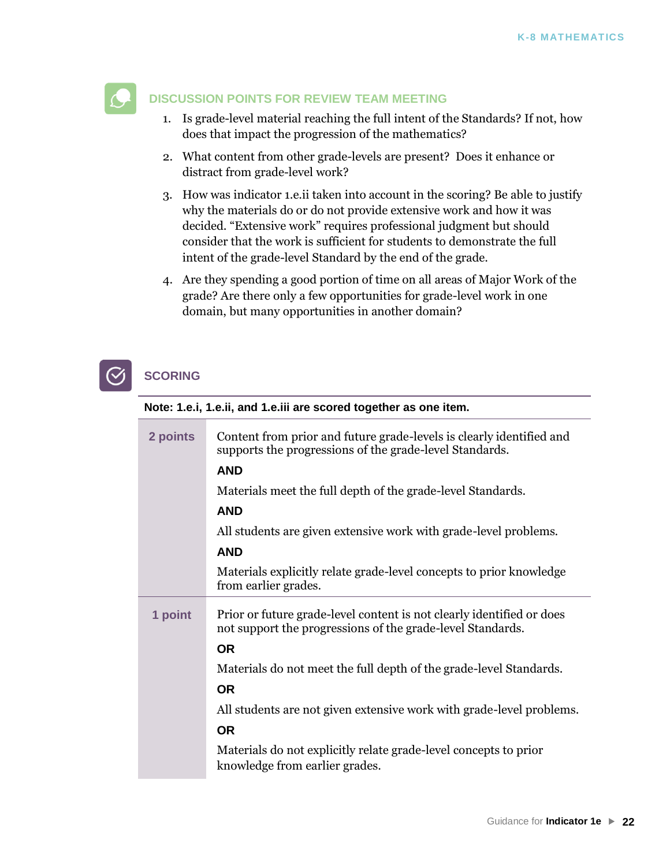

#### **DISCUSSION POINTS FOR REVIEW TEAM MEETING**

- 1. Is grade-level material reaching the full intent of the Standards? If not, how does that impact the progression of the mathematics?
- 2. What content from other grade-levels are present? Does it enhance or distract from grade-level work?
- 3. How was indicator 1.e.ii taken into account in the scoring? Be able to justify why the materials do or do not provide extensive work and how it was decided. "Extensive work" requires professional judgment but should consider that the work is sufficient for students to demonstrate the full intent of the grade-level Standard by the end of the grade.
- 4. Are they spending a good portion of time on all areas of Major Work of the grade? Are there only a few opportunities for grade-level work in one domain, but many opportunities in another domain?



#### **SCORING**

#### **Note: 1.e.i, 1.e.ii, and 1.e.iii are scored together as one item.**

| 2 points | Content from prior and future grade-levels is clearly identified and<br>supports the progressions of the grade-level Standards.<br><b>AND</b> |
|----------|-----------------------------------------------------------------------------------------------------------------------------------------------|
|          | Materials meet the full depth of the grade-level Standards.                                                                                   |
|          | <b>AND</b>                                                                                                                                    |
|          | All students are given extensive work with grade-level problems.                                                                              |
|          | <b>AND</b>                                                                                                                                    |
|          | Materials explicitly relate grade-level concepts to prior knowledge<br>from earlier grades.                                                   |
| 1 point  | Prior or future grade-level content is not clearly identified or does<br>not support the progressions of the grade-level Standards.           |
|          | <b>OR</b>                                                                                                                                     |
|          | Materials do not meet the full depth of the grade-level Standards.                                                                            |
|          | <b>OR</b>                                                                                                                                     |
|          | All students are not given extensive work with grade-level problems.                                                                          |
|          | <b>OR</b>                                                                                                                                     |
|          | Materials do not explicitly relate grade-level concepts to prior<br>knowledge from earlier grades.                                            |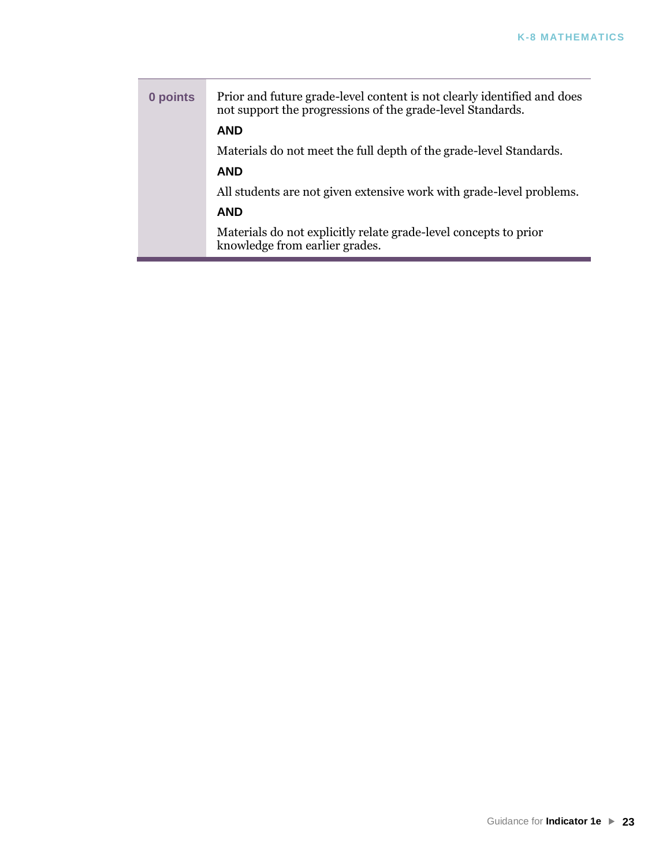| 0 points | Prior and future grade-level content is not clearly identified and does<br>not support the progressions of the grade-level Standards. |
|----------|---------------------------------------------------------------------------------------------------------------------------------------|
|          | <b>AND</b>                                                                                                                            |
|          | Materials do not meet the full depth of the grade-level Standards.                                                                    |
|          | <b>AND</b>                                                                                                                            |
|          | All students are not given extensive work with grade-level problems.                                                                  |
|          | <b>AND</b>                                                                                                                            |
|          | Materials do not explicitly relate grade-level concepts to prior<br>knowledge from earlier grades.                                    |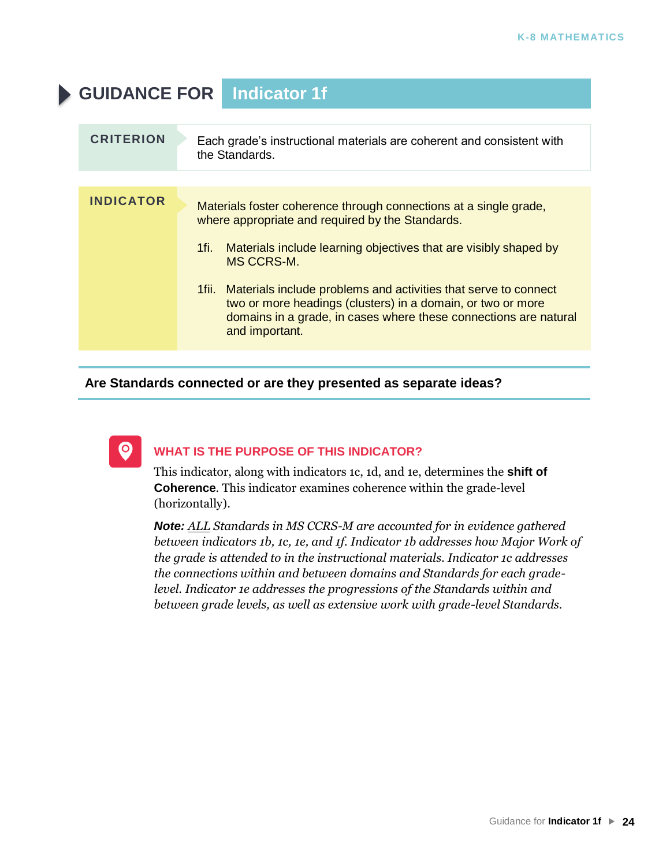## **GUIDANCE FOR Indicator 1f CRITERION** Each grade's instructional materials are coherent and consistent with the Standards. **INDICATOR** Materials foster coherence through connections at a single grade, where appropriate and required by the Standards.

- 1fi. Materials include learning objectives that are visibly shaped by MS CCRS-M.
- 1fii. Materials include problems and activities that serve to connect two or more headings (clusters) in a domain, or two or more domains in a grade, in cases where these connections are natural and important.

#### **Are Standards connected or are they presented as separate ideas?**



#### **WHAT IS THE PURPOSE OF THIS INDICATOR?**

This indicator, along with indicators 1c, 1d, and 1e, determines the **shift of Coherence**. This indicator examines coherence within the grade-level (horizontally).

*Note: ALL Standards in MS CCRS-M are accounted for in evidence gathered between indicators 1b, 1c, 1e, and 1f. Indicator 1b addresses how Major Work of the grade is attended to in the instructional materials. Indicator 1c addresses the connections within and between domains and Standards for each gradelevel. Indicator 1e addresses the progressions of the Standards within and between grade levels, as well as extensive work with grade-level Standards.*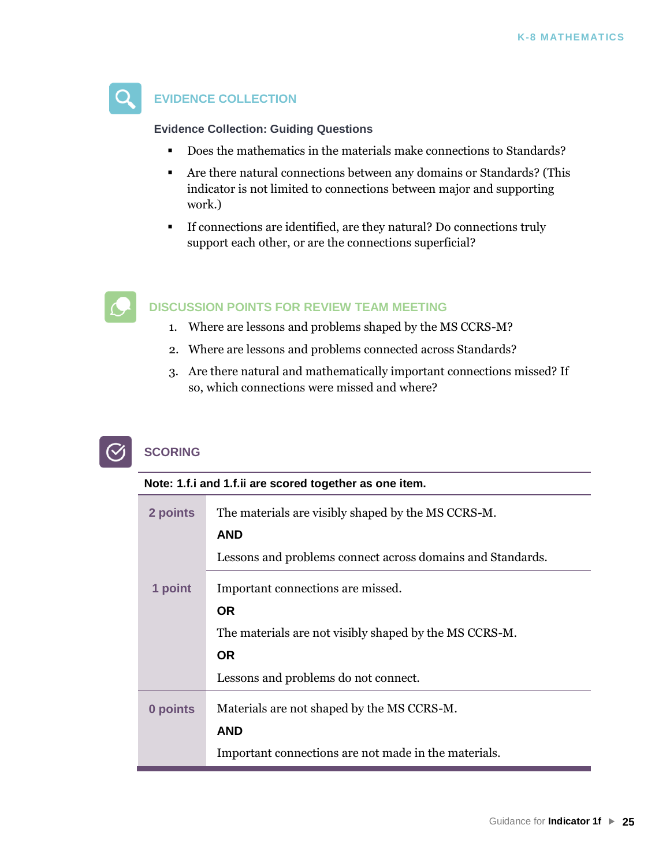

#### **EVIDENCE COLLECTION**

**Evidence Collection: Guiding Questions**

- Does the mathematics in the materials make connections to Standards?
- Are there natural connections between any domains or Standards? (This indicator is not limited to connections between major and supporting work.)
- If connections are identified, are they natural? Do connections truly support each other, or are the connections superficial?



#### **DISCUSSION POINTS FOR REVIEW TEAM MEETING**

- 1. Where are lessons and problems shaped by the MS CCRS-M?
- 2. Where are lessons and problems connected across Standards?
- 3. Are there natural and mathematically important connections missed? If so, which connections were missed and where?



| Note: 1.f. i and 1.f. ii are scored together as one item. |                                                            |
|-----------------------------------------------------------|------------------------------------------------------------|
| 2 points                                                  | The materials are visibly shaped by the MS CCRS-M.         |
|                                                           | <b>AND</b>                                                 |
|                                                           | Lessons and problems connect across domains and Standards. |
| 1 point                                                   | Important connections are missed.                          |
|                                                           | <b>OR</b>                                                  |
|                                                           | The materials are not visibly shaped by the MS CCRS-M.     |
|                                                           | <b>OR</b>                                                  |
|                                                           | Lessons and problems do not connect.                       |
| 0 points                                                  | Materials are not shaped by the MS CCRS-M.                 |
|                                                           | <b>AND</b>                                                 |
|                                                           | Important connections are not made in the materials.       |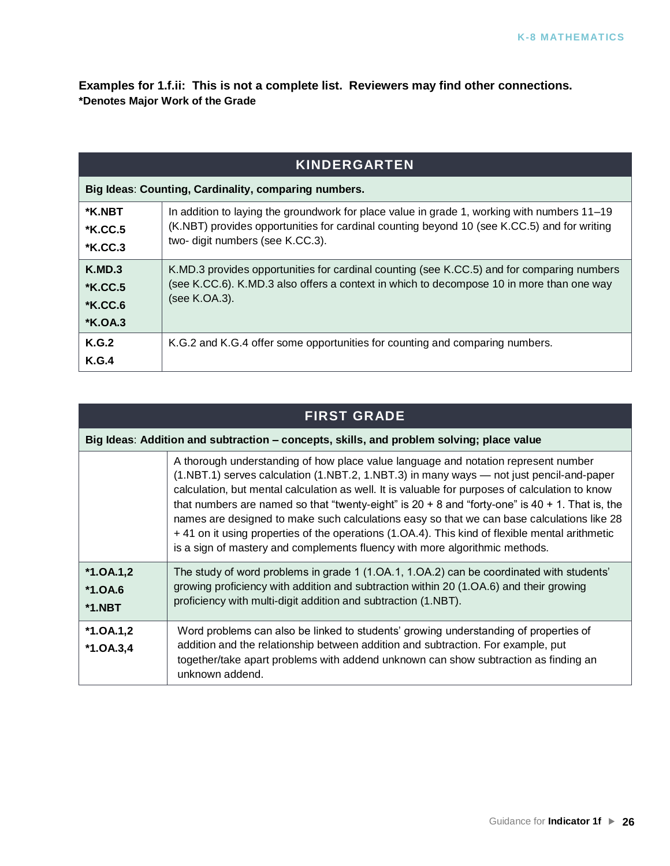**Examples for 1.f.ii: This is not a complete list. Reviewers may find other connections. \*Denotes Major Work of the Grade**

| <b>KINDERGARTEN</b>                                     |                                                                                                                                                                                                                                |  |
|---------------------------------------------------------|--------------------------------------------------------------------------------------------------------------------------------------------------------------------------------------------------------------------------------|--|
|                                                         | Big Ideas: Counting, Cardinality, comparing numbers.                                                                                                                                                                           |  |
| *K.NBT<br><b>*K.CC.5</b><br><b>*K.CC.3</b>              | In addition to laying the groundwork for place value in grade 1, working with numbers 11–19<br>(K.NBT) provides opportunities for cardinal counting beyond 10 (see K.CC.5) and for writing<br>two- digit numbers (see K.CC.3). |  |
| K.MD.3<br><b>*K.CC.5</b><br><b>*K.CC.6</b><br>$*K.OA.3$ | K.MD.3 provides opportunities for cardinal counting (see K.CC.5) and for comparing numbers<br>(see K.CC.6). K.MD.3 also offers a context in which to decompose 10 in more than one way<br>(see K.OA.3).                        |  |
| <b>K.G.2</b><br>K.G.4                                   | K.G.2 and K.G.4 offer some opportunities for counting and comparing numbers.                                                                                                                                                   |  |

| <b>FIRST GRADE</b>                   |                                                                                                                                                                                                                                                                                                                                                                                                                                                                                                                                                                                                                                                                          |  |  |
|--------------------------------------|--------------------------------------------------------------------------------------------------------------------------------------------------------------------------------------------------------------------------------------------------------------------------------------------------------------------------------------------------------------------------------------------------------------------------------------------------------------------------------------------------------------------------------------------------------------------------------------------------------------------------------------------------------------------------|--|--|
|                                      | Big Ideas: Addition and subtraction – concepts, skills, and problem solving; place value                                                                                                                                                                                                                                                                                                                                                                                                                                                                                                                                                                                 |  |  |
|                                      | A thorough understanding of how place value language and notation represent number<br>(1.NBT.1) serves calculation (1.NBT.2, 1.NBT.3) in many ways — not just pencil-and-paper<br>calculation, but mental calculation as well. It is valuable for purposes of calculation to know<br>that numbers are named so that "twenty-eight" is $20 + 8$ and "forty-one" is $40 + 1$ . That is, the<br>names are designed to make such calculations easy so that we can base calculations like 28<br>+41 on it using properties of the operations (1.0A.4). This kind of flexible mental arithmetic<br>is a sign of mastery and complements fluency with more algorithmic methods. |  |  |
| $*1.0A.1,2$<br>$*1.0A.6$<br>$*1.NBT$ | The study of word problems in grade 1 (1.0A.1, 1.0A.2) can be coordinated with students'<br>growing proficiency with addition and subtraction within 20 (1.OA.6) and their growing<br>proficiency with multi-digit addition and subtraction (1.NBT).                                                                                                                                                                                                                                                                                                                                                                                                                     |  |  |
| $*1.0A.1,2$<br>$*1.0A.3,4$           | Word problems can also be linked to students' growing understanding of properties of<br>addition and the relationship between addition and subtraction. For example, put<br>together/take apart problems with addend unknown can show subtraction as finding an<br>unknown addend.                                                                                                                                                                                                                                                                                                                                                                                       |  |  |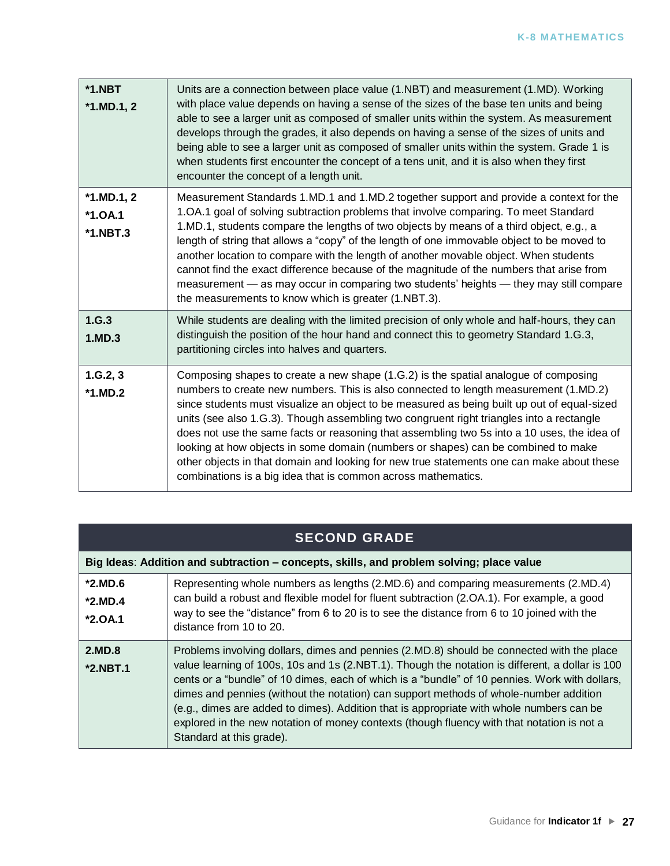| $*1.NBT$<br>$*1.MD.1, 2$                     | Units are a connection between place value (1.NBT) and measurement (1.MD). Working<br>with place value depends on having a sense of the sizes of the base ten units and being<br>able to see a larger unit as composed of smaller units within the system. As measurement<br>develops through the grades, it also depends on having a sense of the sizes of units and<br>being able to see a larger unit as composed of smaller units within the system. Grade 1 is<br>when students first encounter the concept of a tens unit, and it is also when they first<br>encounter the concept of a length unit.                                                                                                               |
|----------------------------------------------|--------------------------------------------------------------------------------------------------------------------------------------------------------------------------------------------------------------------------------------------------------------------------------------------------------------------------------------------------------------------------------------------------------------------------------------------------------------------------------------------------------------------------------------------------------------------------------------------------------------------------------------------------------------------------------------------------------------------------|
| $*1.MD.1, 2$<br>$*1.0A.1$<br><b>*1.NBT.3</b> | Measurement Standards 1.MD.1 and 1.MD.2 together support and provide a context for the<br>1.OA.1 goal of solving subtraction problems that involve comparing. To meet Standard<br>1.MD.1, students compare the lengths of two objects by means of a third object, e.g., a<br>length of string that allows a "copy" of the length of one immovable object to be moved to<br>another location to compare with the length of another movable object. When students<br>cannot find the exact difference because of the magnitude of the numbers that arise from<br>measurement — as may occur in comparing two students' heights — they may still compare<br>the measurements to know which is greater (1.NBT.3).            |
| 1.G.3<br>1.MD.3                              | While students are dealing with the limited precision of only whole and half-hours, they can<br>distinguish the position of the hour hand and connect this to geometry Standard 1.G.3,<br>partitioning circles into halves and quarters.                                                                                                                                                                                                                                                                                                                                                                                                                                                                                 |
| 1.G.2, 3<br>$*1.MD.2$                        | Composing shapes to create a new shape (1.G.2) is the spatial analogue of composing<br>numbers to create new numbers. This is also connected to length measurement (1.MD.2)<br>since students must visualize an object to be measured as being built up out of equal-sized<br>units (see also 1.G.3). Though assembling two congruent right triangles into a rectangle<br>does not use the same facts or reasoning that assembling two 5s into a 10 uses, the idea of<br>looking at how objects in some domain (numbers or shapes) can be combined to make<br>other objects in that domain and looking for new true statements one can make about these<br>combinations is a big idea that is common across mathematics. |

### **SECOND GRADE**

| Big Ideas: Addition and subtraction – concepts, skills, and problem solving; place value |                                                                                                                                                                                                                                                                                                                                                                                                                                                                                                                                                                                                               |  |
|------------------------------------------------------------------------------------------|---------------------------------------------------------------------------------------------------------------------------------------------------------------------------------------------------------------------------------------------------------------------------------------------------------------------------------------------------------------------------------------------------------------------------------------------------------------------------------------------------------------------------------------------------------------------------------------------------------------|--|
| $*2.MD.6$<br>$*2.MD.4$<br>$*2.0A.1$                                                      | Representing whole numbers as lengths (2.MD.6) and comparing measurements (2.MD.4)<br>can build a robust and flexible model for fluent subtraction (2.OA.1). For example, a good<br>way to see the "distance" from 6 to 20 is to see the distance from 6 to 10 joined with the<br>distance from 10 to 20.                                                                                                                                                                                                                                                                                                     |  |
| 2.MD.8<br>$*2.NBT.1$                                                                     | Problems involving dollars, dimes and pennies (2.MD.8) should be connected with the place<br>value learning of 100s, 10s and 1s (2.NBT.1). Though the notation is different, a dollar is 100<br>cents or a "bundle" of 10 dimes, each of which is a "bundle" of 10 pennies. Work with dollars,<br>dimes and pennies (without the notation) can support methods of whole-number addition<br>(e.g., dimes are added to dimes). Addition that is appropriate with whole numbers can be<br>explored in the new notation of money contexts (though fluency with that notation is not a<br>Standard at this grade). |  |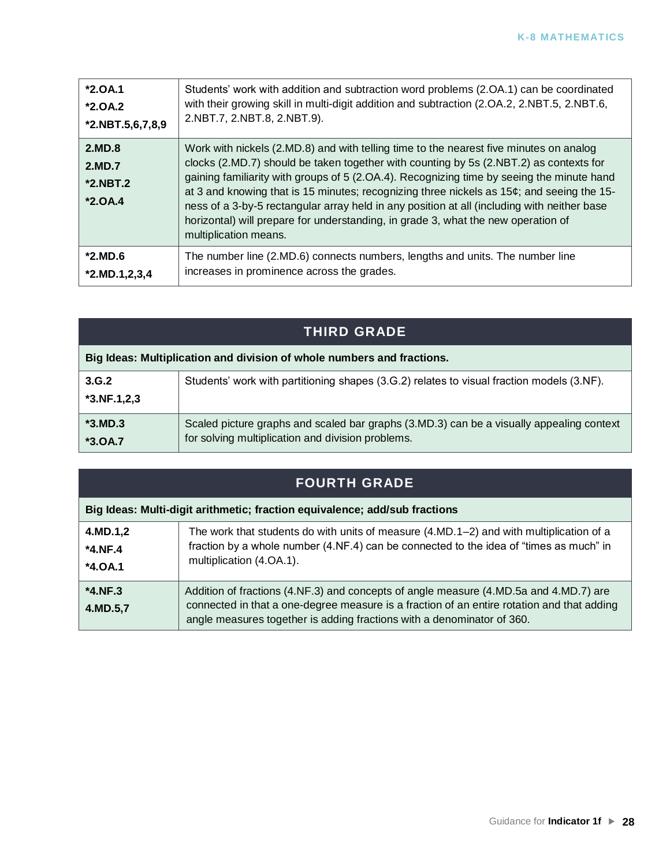| $*2.0A.1$                                 | Students' work with addition and subtraction word problems (2.0A.1) can be coordinated                                                                                                                                                                                                                                                                                                                                                                                                                                                                                                     |
|-------------------------------------------|--------------------------------------------------------------------------------------------------------------------------------------------------------------------------------------------------------------------------------------------------------------------------------------------------------------------------------------------------------------------------------------------------------------------------------------------------------------------------------------------------------------------------------------------------------------------------------------------|
| $*2.0A.2$                                 | with their growing skill in multi-digit addition and subtraction (2.OA.2, 2.NBT.5, 2.NBT.6,                                                                                                                                                                                                                                                                                                                                                                                                                                                                                                |
| $*2.NBT.5,6,7,8,9$                        | 2.NBT.7, 2.NBT.8, 2.NBT.9).                                                                                                                                                                                                                                                                                                                                                                                                                                                                                                                                                                |
| 2.MD.8<br>2.MD.7<br>*2.NBT.2<br>$*2.0A.4$ | Work with nickels (2.MD.8) and with telling time to the nearest five minutes on analog<br>clocks (2.MD.7) should be taken together with counting by 5s (2.NBT.2) as contexts for<br>gaining familiarity with groups of 5 (2.OA.4). Recognizing time by seeing the minute hand<br>at 3 and knowing that is 15 minutes; recognizing three nickels as $15¢$ ; and seeing the 15-<br>ness of a 3-by-5 rectangular array held in any position at all (including with neither base<br>horizontal) will prepare for understanding, in grade 3, what the new operation of<br>multiplication means. |
| $*2.MD.6$                                 | The number line (2.MD.6) connects numbers, lengths and units. The number line                                                                                                                                                                                                                                                                                                                                                                                                                                                                                                              |
| $*2.MD.1,2,3,4$                           | increases in prominence across the grades.                                                                                                                                                                                                                                                                                                                                                                                                                                                                                                                                                 |

| <b>THIRD GRADE</b>                                                     |                                                                                                                                               |
|------------------------------------------------------------------------|-----------------------------------------------------------------------------------------------------------------------------------------------|
| Big Ideas: Multiplication and division of whole numbers and fractions. |                                                                                                                                               |
| 3.G.2<br>$*3.NF.1,2,3$                                                 | Students' work with partitioning shapes (3.G.2) relates to visual fraction models (3.NF).                                                     |
| $*3.MD.3$<br>$*3.0A.7$                                                 | Scaled picture graphs and scaled bar graphs (3.MD.3) can be a visually appealing context<br>for solving multiplication and division problems. |

| <b>FOURTH GRADE</b>                                                        |                                                                                                                                                                                                                                                               |  |
|----------------------------------------------------------------------------|---------------------------------------------------------------------------------------------------------------------------------------------------------------------------------------------------------------------------------------------------------------|--|
| Big Ideas: Multi-digit arithmetic; fraction equivalence; add/sub fractions |                                                                                                                                                                                                                                                               |  |
| 4.MD.1,2<br>$*4.NF.4$<br>$*4.0A.1$                                         | The work that students do with units of measure (4.MD.1–2) and with multiplication of a<br>fraction by a whole number (4.NF.4) can be connected to the idea of "times as much" in<br>multiplication (4.OA.1).                                                 |  |
| $*4.NF.3$<br>4.MD.5,7                                                      | Addition of fractions (4.NF.3) and concepts of angle measure (4.MD.5a and 4.MD.7) are<br>connected in that a one-degree measure is a fraction of an entire rotation and that adding<br>angle measures together is adding fractions with a denominator of 360. |  |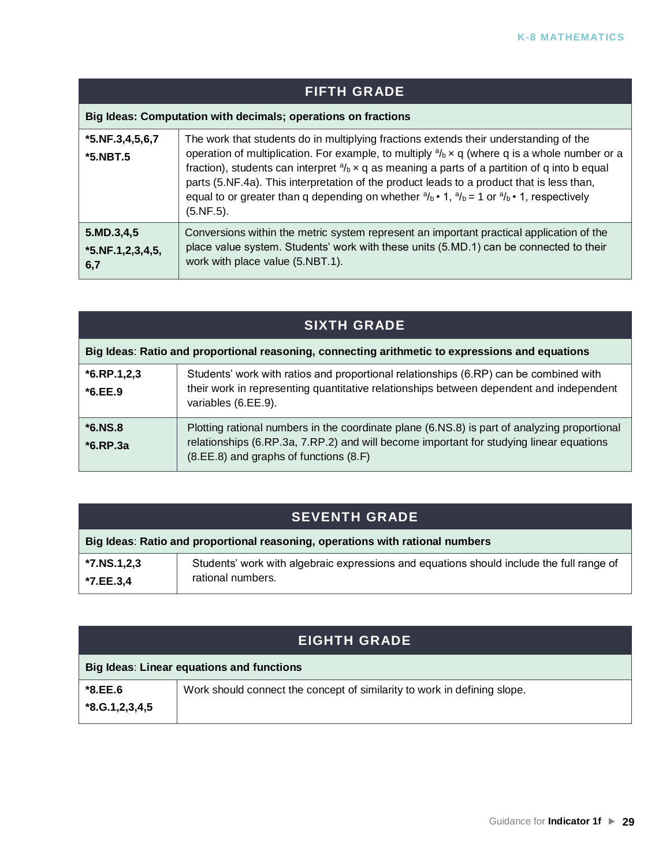| <b>FIFTH GRADE</b>                                            |                                                                                                                                                                                                                                                                                                                                                                                                                                                                                                                                                                                |
|---------------------------------------------------------------|--------------------------------------------------------------------------------------------------------------------------------------------------------------------------------------------------------------------------------------------------------------------------------------------------------------------------------------------------------------------------------------------------------------------------------------------------------------------------------------------------------------------------------------------------------------------------------|
| Big Ideas: Computation with decimals; operations on fractions |                                                                                                                                                                                                                                                                                                                                                                                                                                                                                                                                                                                |
| $*5.NF.3,4,5,6,7$<br>$*5.NBT.5$                               | The work that students do in multiplying fractions extends their understanding of the<br>operation of multiplication. For example, to multiply $\frac{\partial f}{\partial x} \times q$ (where q is a whole number or a<br>fraction), students can interpret $a/b \times q$ as meaning a parts of a partition of q into b equal<br>parts (5.NF.4a). This interpretation of the product leads to a product that is less than,<br>equal to or greater than q depending on whether $\frac{a}{b} \cdot 1$ , $\frac{a}{b} = 1$ or $\frac{a}{b} \cdot 1$ , respectively<br>(5.NF.5). |
| 5.MD.3,4,5<br>$*5.$ NF.1,2,3,4,5,<br>6,7                      | Conversions within the metric system represent an important practical application of the<br>place value system. Students' work with these units (5.MD.1) can be connected to their<br>work with place value (5.NBT.1).                                                                                                                                                                                                                                                                                                                                                         |

| <b>SIXTH GRADE</b>                                                                              |                                                                                                                                                                                                                                   |
|-------------------------------------------------------------------------------------------------|-----------------------------------------------------------------------------------------------------------------------------------------------------------------------------------------------------------------------------------|
| Big Ideas: Ratio and proportional reasoning, connecting arithmetic to expressions and equations |                                                                                                                                                                                                                                   |
| $*6$ .RP.1,2,3<br>$*6.EE.9$                                                                     | Students' work with ratios and proportional relationships (6.RP) can be combined with<br>their work in representing quantitative relationships between dependent and independent<br>variables (6.EE.9).                           |
| $*6.NS.8$<br>$*6$ .RP.3a                                                                        | Plotting rational numbers in the coordinate plane (6.NS.8) is part of analyzing proportional<br>relationships (6.RP.3a, 7.RP.2) and will become important for studying linear equations<br>(8.EE.8) and graphs of functions (8.F) |

### **SEVENTH GRADE**

| Big Ideas: Ratio and proportional reasoning, operations with rational numbers |                                                                                          |
|-------------------------------------------------------------------------------|------------------------------------------------------------------------------------------|
| $^{\prime}$ *7.NS.1,2,3                                                       | Students' work with algebraic expressions and equations should include the full range of |
| <b>*7.EE.3.4</b>                                                              | rational numbers.                                                                        |

### **EIGHTH GRADE**

| Big Ideas: Linear equations and functions |                                                                          |
|-------------------------------------------|--------------------------------------------------------------------------|
| *8.EE.6                                   | Work should connect the concept of similarity to work in defining slope. |
| $*8. G.1, 2, 3, 4, 5$                     |                                                                          |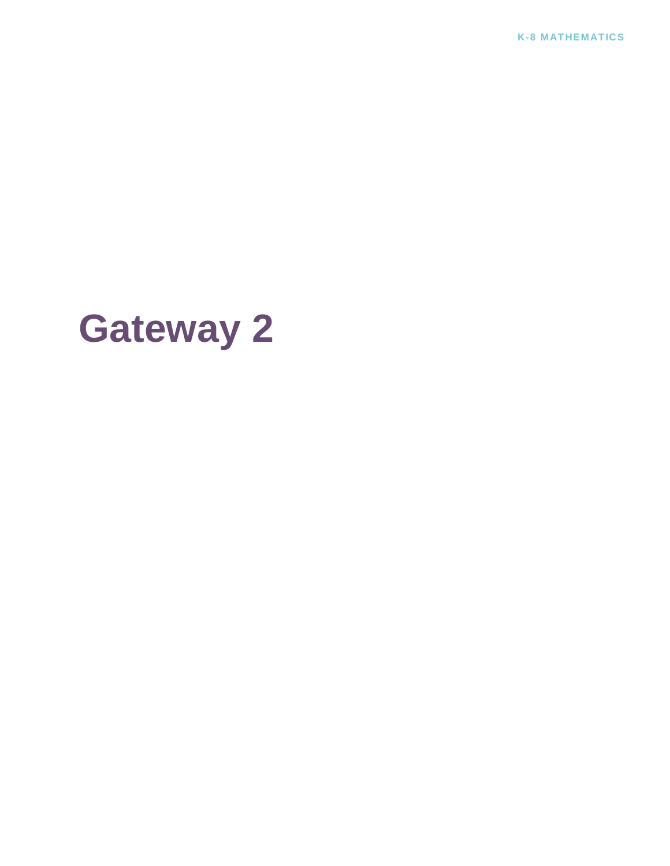**K-8 MATHEMATICS**

# **Gateway 2**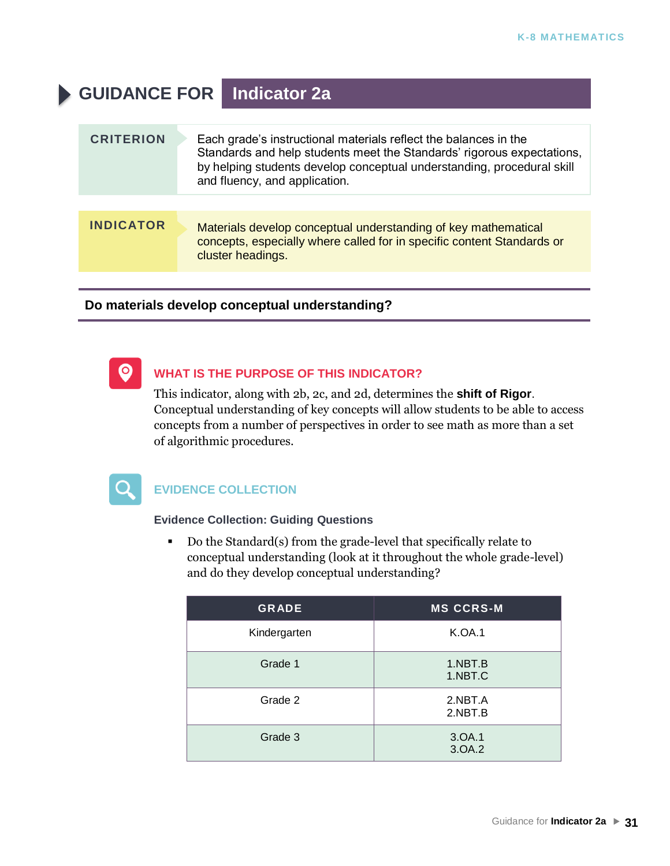### **GUIDANCE FOR Indicator 2a**

| <b>CRITERION</b> | Each grade's instructional materials reflect the balances in the<br>Standards and help students meet the Standards' rigorous expectations,<br>by helping students develop conceptual understanding, procedural skill<br>and fluency, and application. |
|------------------|-------------------------------------------------------------------------------------------------------------------------------------------------------------------------------------------------------------------------------------------------------|
|                  |                                                                                                                                                                                                                                                       |
| <b>INDICATOR</b> | Materials develop conceptual understanding of key mathematical<br>concepts, especially where called for in specific content Standards or<br>cluster headings.                                                                                         |

#### **Do materials develop conceptual understanding?**



#### **WHAT IS THE PURPOSE OF THIS INDICATOR?**

This indicator, along with 2b, 2c, and 2d, determines the **shift of Rigor**. Conceptual understanding of key concepts will allow students to be able to access concepts from a number of perspectives in order to see math as more than a set of algorithmic procedures.



#### **EVIDENCE COLLECTION**

#### **Evidence Collection: Guiding Questions**

▪ Do the Standard(s) from the grade-level that specifically relate to conceptual understanding (look at it throughout the whole grade-level) and do they develop conceptual understanding?

| <b>GRADE</b> | <b>MS CCRS-M</b>   |
|--------------|--------------------|
| Kindergarten | <b>K.OA.1</b>      |
| Grade 1      | 1.NBT.B<br>1.NBT.C |
| Grade 2      | 2.NBT.A<br>2.NBT.B |
| Grade 3      | 3.OA.1<br>3.OA.2   |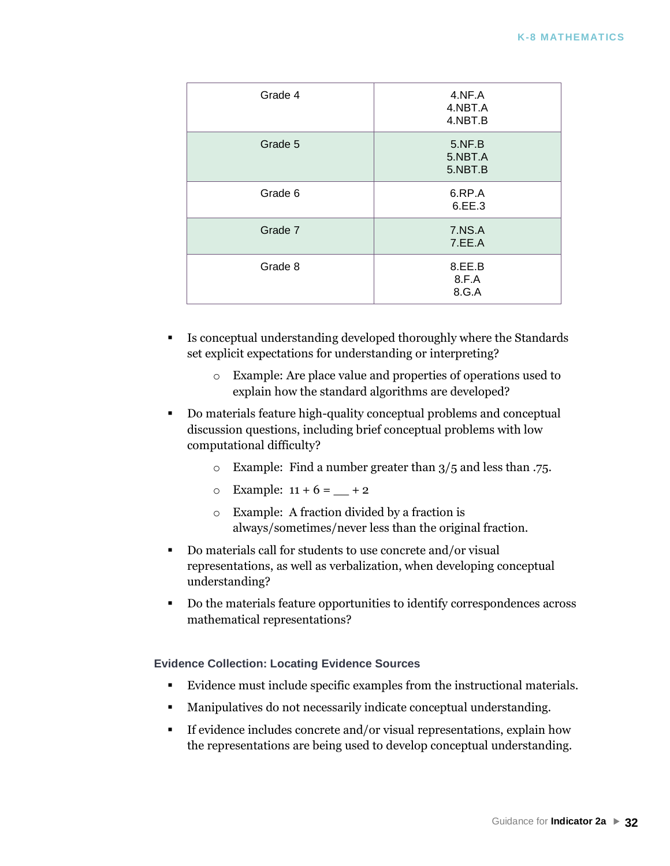| Grade 4 | 4.NF.A<br>4.NBT.A<br>4.NBT.B |
|---------|------------------------------|
| Grade 5 | 5.NF.B<br>5.NBT.A<br>5.NBT.B |
| Grade 6 | 6.RP.A<br>6.EE.3             |
| Grade 7 | 7.NS.A<br>7.EE.A             |
| Grade 8 | 8.EE.B<br>8.F.A<br>8.G.A     |

- Is conceptual understanding developed thoroughly where the Standards set explicit expectations for understanding or interpreting?
	- o Example: Are place value and properties of operations used to explain how the standard algorithms are developed?
- Do materials feature high-quality conceptual problems and conceptual discussion questions, including brief conceptual problems with low computational difficulty?
	- o Example: Find a number greater than 3/5 and less than .75.
	- $\circ$  Example: 11 + 6 = + 2
	- o Example: A fraction divided by a fraction is always/sometimes/never less than the original fraction.
- Do materials call for students to use concrete and/or visual representations, as well as verbalization, when developing conceptual understanding?
- Do the materials feature opportunities to identify correspondences across mathematical representations?

#### **Evidence Collection: Locating Evidence Sources**

- Evidence must include specific examples from the instructional materials.
- Manipulatives do not necessarily indicate conceptual understanding.
- If evidence includes concrete and/or visual representations, explain how the representations are being used to develop conceptual understanding.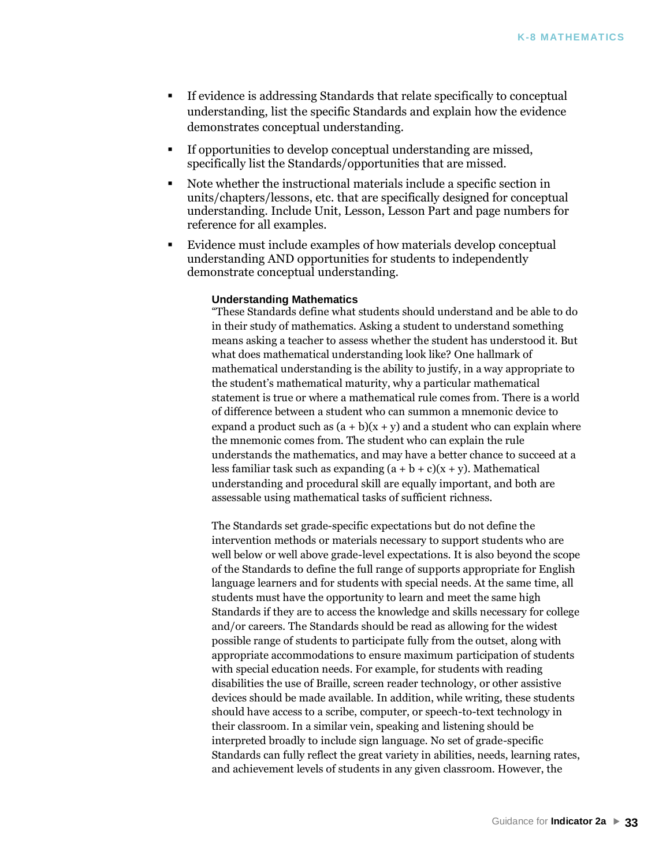- If evidence is addressing Standards that relate specifically to conceptual understanding, list the specific Standards and explain how the evidence demonstrates conceptual understanding.
- If opportunities to develop conceptual understanding are missed, specifically list the Standards/opportunities that are missed.
- Note whether the instructional materials include a specific section in units/chapters/lessons, etc. that are specifically designed for conceptual understanding. Include Unit, Lesson, Lesson Part and page numbers for reference for all examples.
- Evidence must include examples of how materials develop conceptual understanding AND opportunities for students to independently demonstrate conceptual understanding.

#### **Understanding Mathematics**

"These Standards define what students should understand and be able to do in their study of mathematics. Asking a student to understand something means asking a teacher to assess whether the student has understood it. But what does mathematical understanding look like? One hallmark of mathematical understanding is the ability to justify, in a way appropriate to the student's mathematical maturity, why a particular mathematical statement is true or where a mathematical rule comes from. There is a world of difference between a student who can summon a mnemonic device to expand a product such as  $(a + b)(x + y)$  and a student who can explain where the mnemonic comes from. The student who can explain the rule understands the mathematics, and may have a better chance to succeed at a less familiar task such as expanding  $(a + b + c)(x + y)$ . Mathematical understanding and procedural skill are equally important, and both are assessable using mathematical tasks of sufficient richness.

The Standards set grade-specific expectations but do not define the intervention methods or materials necessary to support students who are well below or well above grade-level expectations. It is also beyond the scope of the Standards to define the full range of supports appropriate for English language learners and for students with special needs. At the same time, all students must have the opportunity to learn and meet the same high Standards if they are to access the knowledge and skills necessary for college and/or careers. The Standards should be read as allowing for the widest possible range of students to participate fully from the outset, along with appropriate accommodations to ensure maximum participation of students with special education needs. For example, for students with reading disabilities the use of Braille, screen reader technology, or other assistive devices should be made available. In addition, while writing, these students should have access to a scribe, computer, or speech-to-text technology in their classroom. In a similar vein, speaking and listening should be interpreted broadly to include sign language. No set of grade-specific Standards can fully reflect the great variety in abilities, needs, learning rates, and achievement levels of students in any given classroom. However, the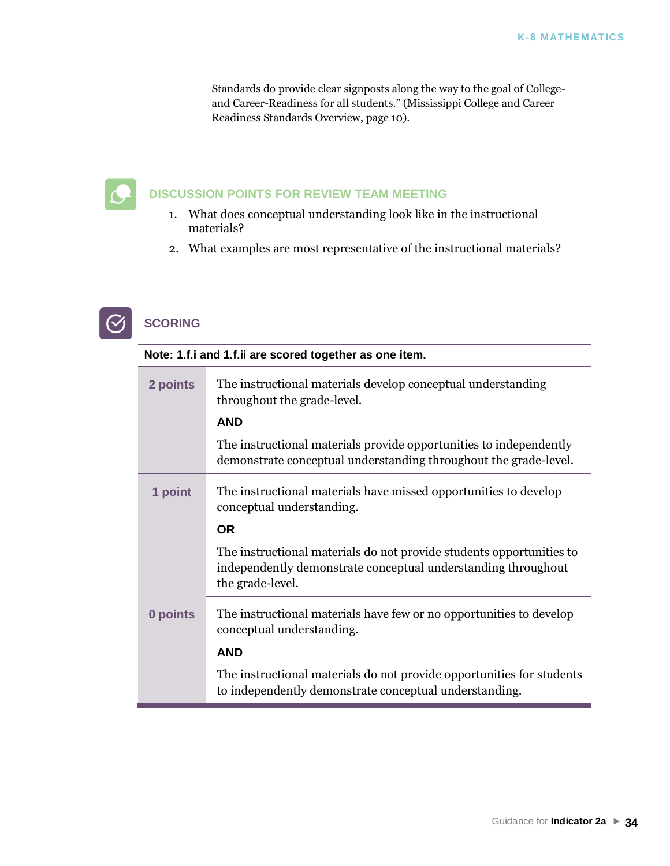Standards do provide clear signposts along the way to the goal of Collegeand Career-Readiness for all students." (Mississippi College and Career Readiness Standards Overview, page 10).



### **DISCUSSION POINTS FOR REVIEW TEAM MEETING**

- 1. What does conceptual understanding look like in the instructional materials?
- 2. What examples are most representative of the instructional materials?



#### **SCORING**

| Note: 1.f.i and 1.f.ii are scored together as one item. |                                                                                                                                                           |  |
|---------------------------------------------------------|-----------------------------------------------------------------------------------------------------------------------------------------------------------|--|
| 2 points                                                | The instructional materials develop conceptual understanding<br>throughout the grade-level.                                                               |  |
|                                                         | <b>AND</b>                                                                                                                                                |  |
|                                                         | The instructional materials provide opportunities to independently<br>demonstrate conceptual understanding throughout the grade-level.                    |  |
| 1 point                                                 | The instructional materials have missed opportunities to develop<br>conceptual understanding.                                                             |  |
|                                                         | <b>OR</b>                                                                                                                                                 |  |
|                                                         | The instructional materials do not provide students opportunities to<br>independently demonstrate conceptual understanding throughout<br>the grade-level. |  |
| 0 points                                                | The instructional materials have few or no opportunities to develop<br>conceptual understanding.                                                          |  |
|                                                         | <b>AND</b>                                                                                                                                                |  |
|                                                         | The instructional materials do not provide opportunities for students<br>to independently demonstrate conceptual understanding.                           |  |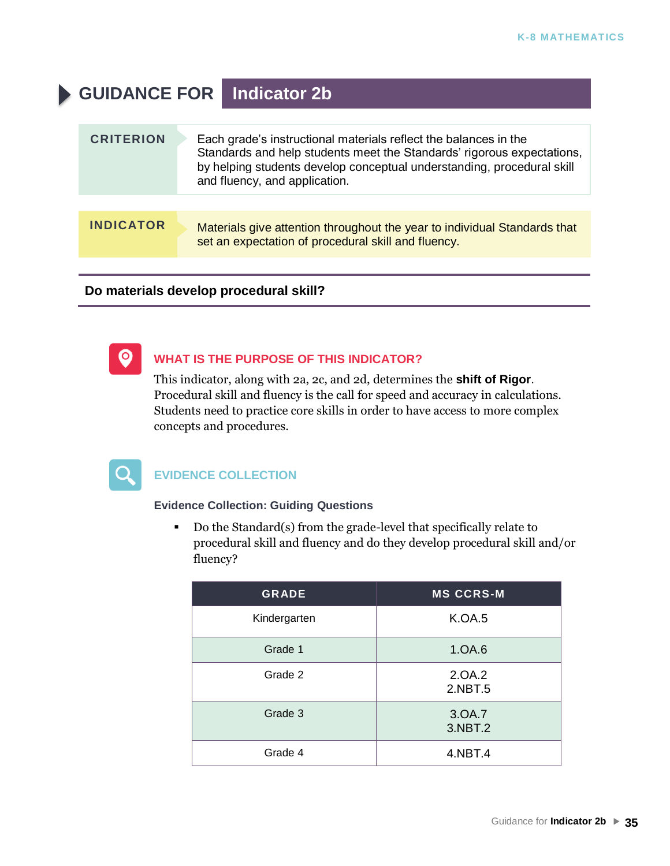### **GUIDANCE FOR Indicator 2b**

| <b>CRITERION</b> | Each grade's instructional materials reflect the balances in the<br>Standards and help students meet the Standards' rigorous expectations,<br>by helping students develop conceptual understanding, procedural skill<br>and fluency, and application. |
|------------------|-------------------------------------------------------------------------------------------------------------------------------------------------------------------------------------------------------------------------------------------------------|
|                  |                                                                                                                                                                                                                                                       |
| <b>INDICATOR</b> | Materials give attention throughout the year to individual Standards that<br>set an expectation of procedural skill and fluency.                                                                                                                      |

#### **Do materials develop procedural skill?**



#### **WHAT IS THE PURPOSE OF THIS INDICATOR?**

This indicator, along with 2a, 2c, and 2d, determines the **shift of Rigor**. Procedural skill and fluency is the call for speed and accuracy in calculations. Students need to practice core skills in order to have access to more complex concepts and procedures.



#### **EVIDENCE COLLECTION**

#### **Evidence Collection: Guiding Questions**

■ Do the Standard(s) from the grade-level that specifically relate to procedural skill and fluency and do they develop procedural skill and/or fluency?

| <b>GRADE</b> | <b>MS CCRS-M</b>  |
|--------------|-------------------|
| Kindergarten | <b>K.OA.5</b>     |
| Grade 1      | 1.OA.6            |
| Grade 2      | 2.0A.2<br>2.NBT.5 |
| Grade 3      | 3.0A.7<br>3.NBT.2 |
| Grade 4      | 4.NBT.4           |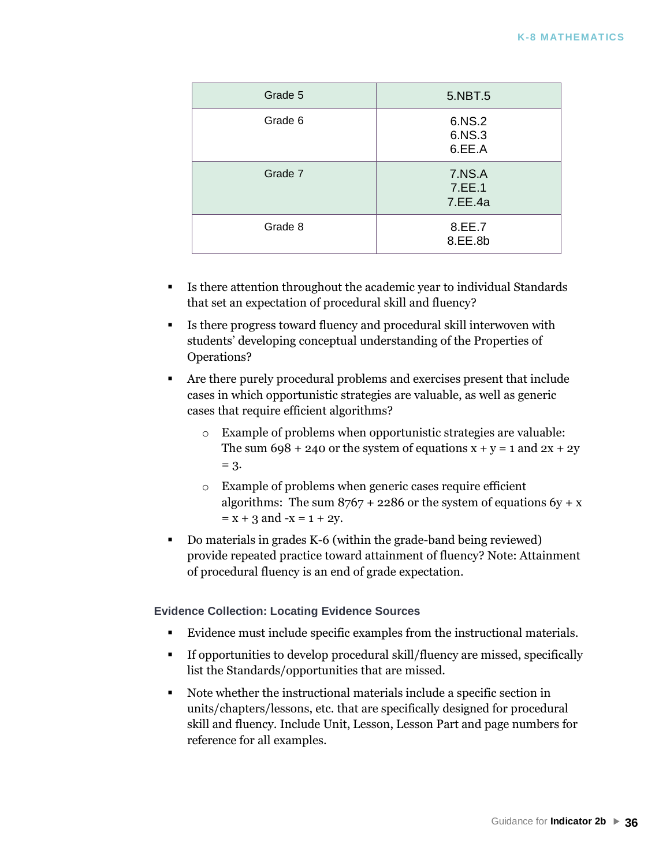| Grade 5 | 5.NBT.5                     |
|---------|-----------------------------|
| Grade 6 | 6.NS.2<br>6.NS.3<br>6.EE.A  |
| Grade 7 | 7.NS.A<br>7.EE.1<br>7.EE.4a |
| Grade 8 | 8.EE.7<br>8.EE.8b           |

- Is there attention throughout the academic year to individual Standards that set an expectation of procedural skill and fluency?
- Is there progress toward fluency and procedural skill interwoven with students' developing conceptual understanding of the Properties of Operations?
- Are there purely procedural problems and exercises present that include cases in which opportunistic strategies are valuable, as well as generic cases that require efficient algorithms?
	- o Example of problems when opportunistic strategies are valuable: The sum  $698 + 240$  or the system of equations  $x + y = 1$  and  $2x + 2y$  $= 3.$
	- o Example of problems when generic cases require efficient algorithms: The sum  $8767 + 2286$  or the system of equations  $6y + x$  $= x + 3$  and  $-x = 1 + 2y$ .
- Do materials in grades K-6 (within the grade-band being reviewed) provide repeated practice toward attainment of fluency? Note: Attainment of procedural fluency is an end of grade expectation.

#### **Evidence Collection: Locating Evidence Sources**

- Evidence must include specific examples from the instructional materials.
- If opportunities to develop procedural skill/fluency are missed, specifically list the Standards/opportunities that are missed.
- Note whether the instructional materials include a specific section in units/chapters/lessons, etc. that are specifically designed for procedural skill and fluency. Include Unit, Lesson, Lesson Part and page numbers for reference for all examples.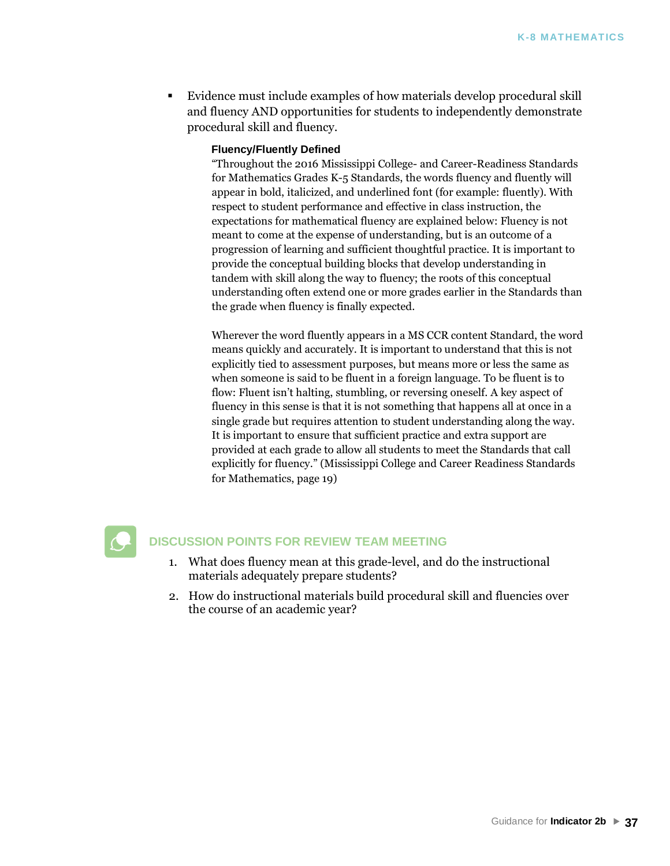Evidence must include examples of how materials develop procedural skill and fluency AND opportunities for students to independently demonstrate procedural skill and fluency.

### **Fluency/Fluently Defined**

"Throughout the 2016 Mississippi College- and Career-Readiness Standards for Mathematics Grades K-5 Standards, the words fluency and fluently will appear in bold, italicized, and underlined font (for example: fluently). With respect to student performance and effective in class instruction, the expectations for mathematical fluency are explained below: Fluency is not meant to come at the expense of understanding, but is an outcome of a progression of learning and sufficient thoughtful practice. It is important to provide the conceptual building blocks that develop understanding in tandem with skill along the way to fluency; the roots of this conceptual understanding often extend one or more grades earlier in the Standards than the grade when fluency is finally expected.

Wherever the word fluently appears in a MS CCR content Standard, the word means quickly and accurately. It is important to understand that this is not explicitly tied to assessment purposes, but means more or less the same as when someone is said to be fluent in a foreign language. To be fluent is to flow: Fluent isn't halting, stumbling, or reversing oneself. A key aspect of fluency in this sense is that it is not something that happens all at once in a single grade but requires attention to student understanding along the way. It is important to ensure that sufficient practice and extra support are provided at each grade to allow all students to meet the Standards that call explicitly for fluency." (Mississippi College and Career Readiness Standards for Mathematics, page 19)



### **DISCUSSION POINTS FOR REVIEW TEAM MEETING**

- 1. What does fluency mean at this grade-level, and do the instructional materials adequately prepare students?
- 2. How do instructional materials build procedural skill and fluencies over the course of an academic year?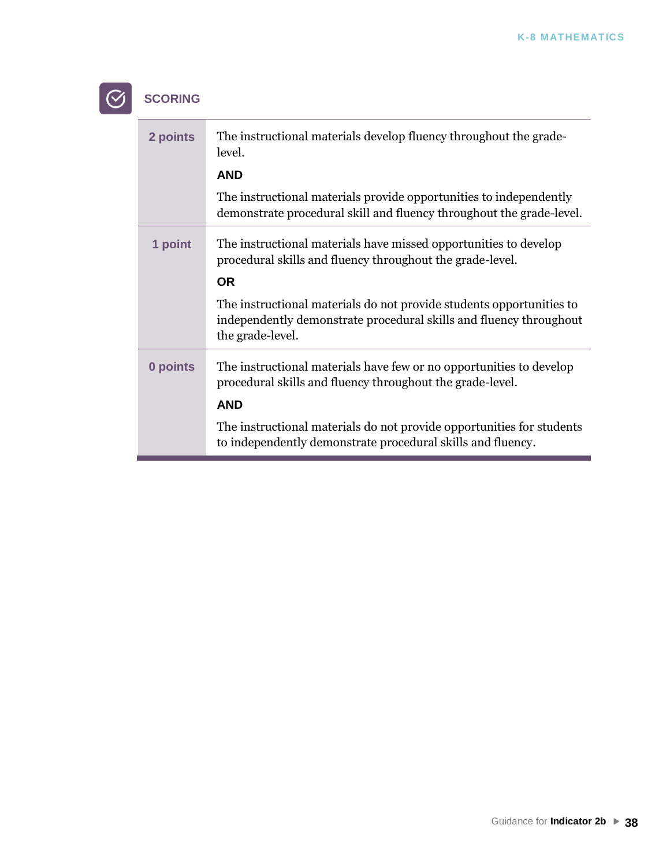# **SCORING**

 $\odot$ 

| 2 points | The instructional materials develop fluency throughout the grade-<br>level.                                                                                    |
|----------|----------------------------------------------------------------------------------------------------------------------------------------------------------------|
|          | <b>AND</b>                                                                                                                                                     |
|          | The instructional materials provide opportunities to independently<br>demonstrate procedural skill and fluency throughout the grade-level.                     |
| 1 point  | The instructional materials have missed opportunities to develop<br>procedural skills and fluency throughout the grade-level.<br><b>OR</b>                     |
|          | The instructional materials do not provide students opportunities to<br>independently demonstrate procedural skills and fluency throughout<br>the grade-level. |
| 0 points | The instructional materials have few or no opportunities to develop<br>procedural skills and fluency throughout the grade-level.                               |
|          | <b>AND</b>                                                                                                                                                     |
|          | The instructional materials do not provide opportunities for students<br>to independently demonstrate procedural skills and fluency.                           |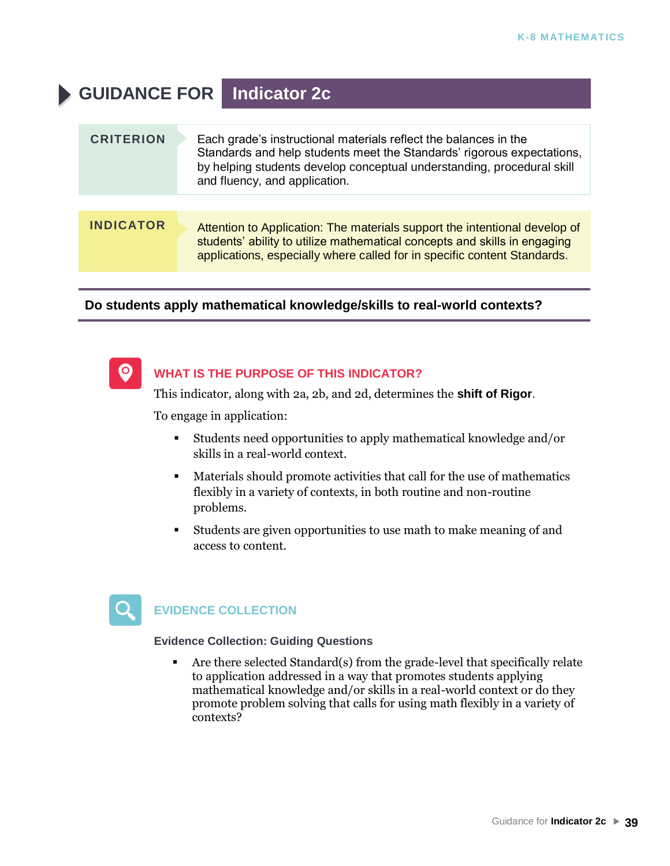# **GUIDANCE FOR Indicator 2c**

| <b>CRITERION</b> | Each grade's instructional materials reflect the balances in the<br>Standards and help students meet the Standards' rigorous expectations,<br>by helping students develop conceptual understanding, procedural skill<br>and fluency, and application. |
|------------------|-------------------------------------------------------------------------------------------------------------------------------------------------------------------------------------------------------------------------------------------------------|
|                  |                                                                                                                                                                                                                                                       |
| <b>INDICATOR</b> | Attention to Application: The materials support the intentional develop of<br>students' ability to utilize mathematical concepts and skills in engaging<br>applications, especially where called for in specific content Standards.                   |

### **Do students apply mathematical knowledge/skills to real-world contexts?**



### **WHAT IS THE PURPOSE OF THIS INDICATOR?**

This indicator, along with 2a, 2b, and 2d, determines the **shift of Rigor**.

To engage in application:

- Students need opportunities to apply mathematical knowledge and/or skills in a real-world context.
- Materials should promote activities that call for the use of mathematics flexibly in a variety of contexts, in both routine and non-routine problems.
- Students are given opportunities to use math to make meaning of and access to content.



### **EVIDENCE COLLECTION**

**Evidence Collection: Guiding Questions**

▪ Are there selected Standard(s) from the grade-level that specifically relate to application addressed in a way that promotes students applying mathematical knowledge and/or skills in a real-world context or do they promote problem solving that calls for using math flexibly in a variety of contexts?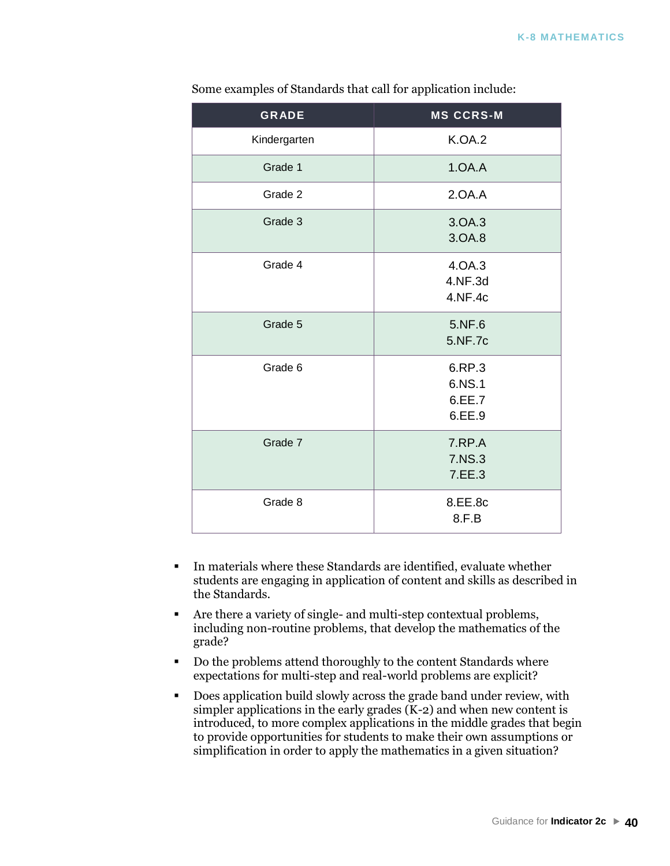| <b>GRADE</b> | <b>MS CCRS-M</b>                     |
|--------------|--------------------------------------|
| Kindergarten | <b>K.OA.2</b>                        |
| Grade 1      | 1.0A.A                               |
| Grade 2      | 2.0A.A                               |
| Grade 3      | 3.OA.3<br>3.OA.8                     |
| Grade 4      | 4.0A.3<br>4.NF.3d<br>4.NF.4c         |
| Grade 5      | 5.NF.6<br>5.NF.7c                    |
| Grade 6      | 6.RP.3<br>6.NS.1<br>6.EE.7<br>6.EE.9 |
| Grade 7      | 7.RP.A<br>7.NS.3<br>7.EE.3           |
| Grade 8      | 8.EE.8c<br>8.F.B                     |

Some examples of Standards that call for application include:

- In materials where these Standards are identified, evaluate whether students are engaging in application of content and skills as described in the Standards.
- Are there a variety of single- and multi-step contextual problems, including non-routine problems, that develop the mathematics of the grade?
- Do the problems attend thoroughly to the content Standards where expectations for multi-step and real-world problems are explicit?
- Does application build slowly across the grade band under review, with simpler applications in the early grades  $(K-2)$  and when new content is introduced, to more complex applications in the middle grades that begin to provide opportunities for students to make their own assumptions or simplification in order to apply the mathematics in a given situation?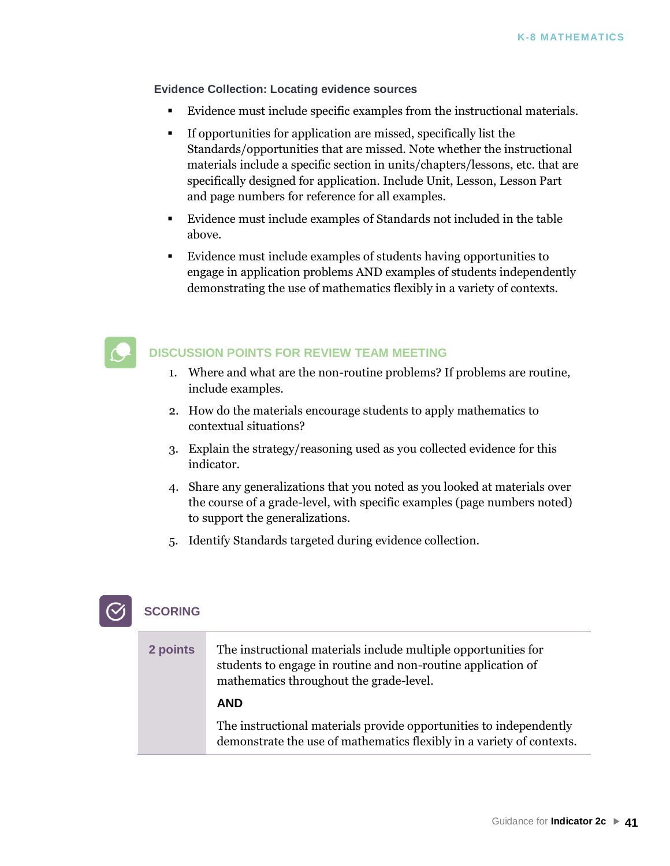**Evidence Collection: Locating evidence sources**

- Evidence must include specific examples from the instructional materials.
- If opportunities for application are missed, specifically list the Standards/opportunities that are missed. Note whether the instructional materials include a specific section in units/chapters/lessons, etc. that are specifically designed for application. Include Unit, Lesson, Lesson Part and page numbers for reference for all examples.
- Evidence must include examples of Standards not included in the table above.
- Evidence must include examples of students having opportunities to engage in application problems AND examples of students independently demonstrating the use of mathematics flexibly in a variety of contexts.



### **DISCUSSION POINTS FOR REVIEW TEAM MEETING**

- 1. Where and what are the non-routine problems? If problems are routine, include examples.
- 2. How do the materials encourage students to apply mathematics to contextual situations?
- 3. Explain the strategy/reasoning used as you collected evidence for this indicator.
- 4. Share any generalizations that you noted as you looked at materials over the course of a grade-level, with specific examples (page numbers noted) to support the generalizations.
- 5. Identify Standards targeted during evidence collection.



| 2 points | The instructional materials include multiple opportunities for<br>students to engage in routine and non-routine application of<br>mathematics throughout the grade-level. |
|----------|---------------------------------------------------------------------------------------------------------------------------------------------------------------------------|
|          | <b>AND</b>                                                                                                                                                                |
|          | The instructional materials provide opportunities to independently<br>demonstrate the use of mathematics flexibly in a variety of contexts.                               |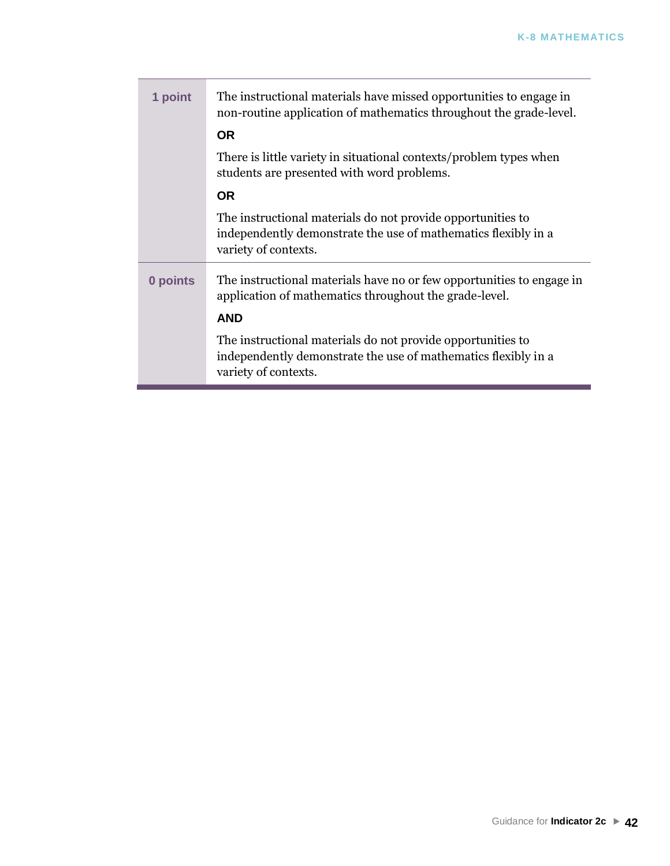| 1 point  | The instructional materials have missed opportunities to engage in<br>non-routine application of mathematics throughout the grade-level.              |
|----------|-------------------------------------------------------------------------------------------------------------------------------------------------------|
|          | <b>OR</b>                                                                                                                                             |
|          | There is little variety in situational contexts/problem types when<br>students are presented with word problems.                                      |
|          | <b>OR</b>                                                                                                                                             |
|          | The instructional materials do not provide opportunities to<br>independently demonstrate the use of mathematics flexibly in a<br>variety of contexts. |
| 0 points | The instructional materials have no or few opportunities to engage in<br>application of mathematics throughout the grade-level.                       |
|          | <b>AND</b>                                                                                                                                            |
|          | The instructional materials do not provide opportunities to<br>independently demonstrate the use of mathematics flexibly in a<br>variety of contexts. |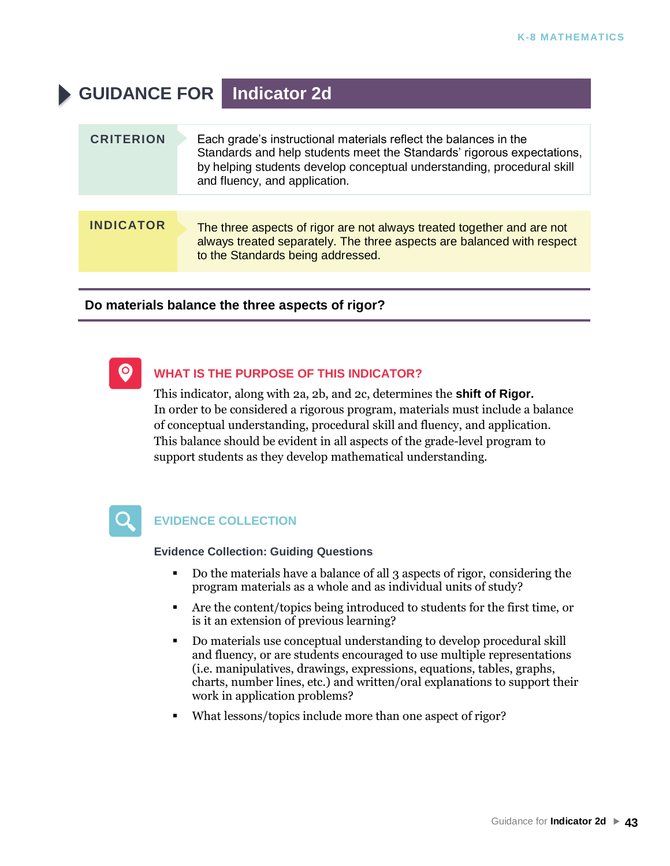# **GUIDANCE FOR Indicator 2d**

| <b>CRITERION</b> | Each grade's instructional materials reflect the balances in the<br>Standards and help students meet the Standards' rigorous expectations,<br>by helping students develop conceptual understanding, procedural skill<br>and fluency, and application. |
|------------------|-------------------------------------------------------------------------------------------------------------------------------------------------------------------------------------------------------------------------------------------------------|
|                  |                                                                                                                                                                                                                                                       |
| <b>INDICATOR</b> | The three aspects of rigor are not always treated together and are not<br>always treated separately. The three aspects are balanced with respect<br>to the Standards being addressed.                                                                 |

### **Do materials balance the three aspects of rigor?**



### **WHAT IS THE PURPOSE OF THIS INDICATOR?**

This indicator, along with 2a, 2b, and 2c, determines the **shift of Rigor.** In order to be considered a rigorous program, materials must include a balance of conceptual understanding, procedural skill and fluency, and application. This balance should be evident in all aspects of the grade-level program to support students as they develop mathematical understanding.



### **EVIDENCE COLLECTION**

- Do the materials have a balance of all 3 aspects of rigor, considering the program materials as a whole and as individual units of study?
- Are the content/topics being introduced to students for the first time, or is it an extension of previous learning?
- Do materials use conceptual understanding to develop procedural skill and fluency, or are students encouraged to use multiple representations (i.e. manipulatives, drawings, expressions, equations, tables, graphs, charts, number lines, etc.) and written/oral explanations to support their work in application problems?
- What lessons/topics include more than one aspect of rigor?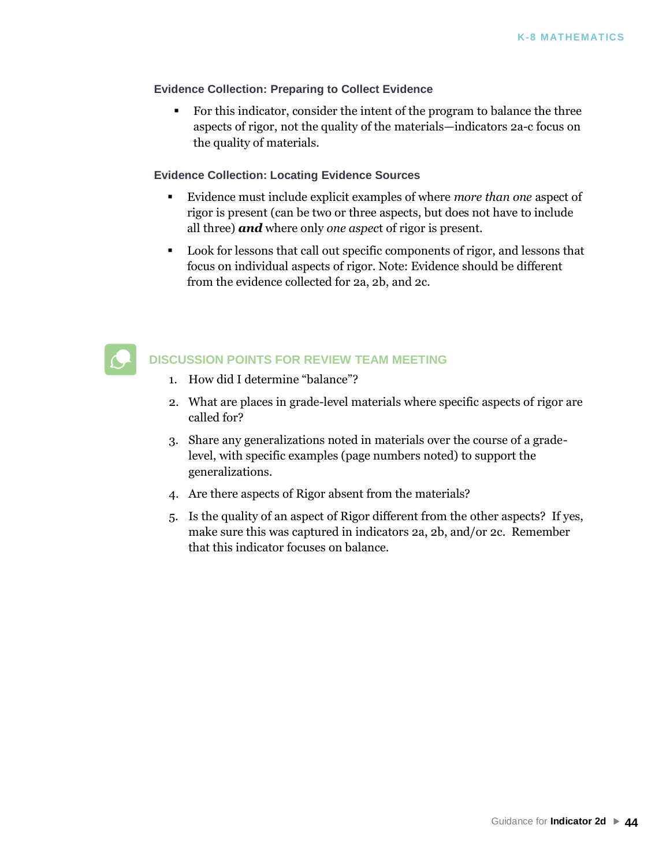### **Evidence Collection: Preparing to Collect Evidence**

▪ For this indicator, consider the intent of the program to balance the three aspects of rigor, not the quality of the materials—indicators 2a-c focus on the quality of materials.

### **Evidence Collection: Locating Evidence Sources**

- Evidence must include explicit examples of where *more than one* aspect of rigor is present (can be two or three aspects, but does not have to include all three) *and* where only *one aspec*t of rigor is present.
- Look for lessons that call out specific components of rigor, and lessons that focus on individual aspects of rigor. Note: Evidence should be different from the evidence collected for 2a, 2b, and 2c.



### **DISCUSSION POINTS FOR REVIEW TEAM MEETING**

- 1. How did I determine "balance"?
- 2. What are places in grade-level materials where specific aspects of rigor are called for?
- 3. Share any generalizations noted in materials over the course of a gradelevel, with specific examples (page numbers noted) to support the generalizations.
- 4. Are there aspects of Rigor absent from the materials?
- 5. Is the quality of an aspect of Rigor different from the other aspects? If yes, make sure this was captured in indicators 2a, 2b, and/or 2c. Remember that this indicator focuses on balance.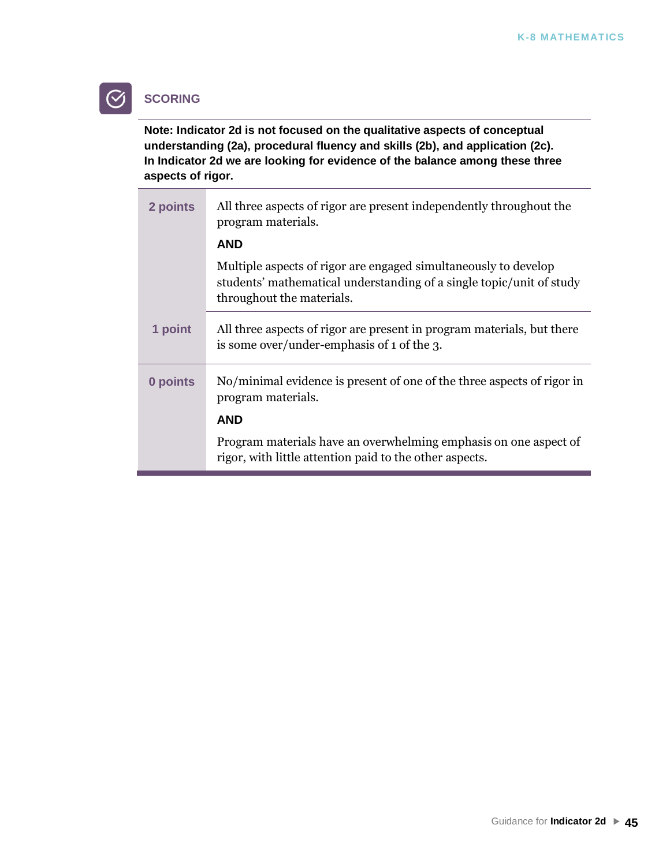## **SCORING**

**Note: Indicator 2d is not focused on the qualitative aspects of conceptual understanding (2a), procedural fluency and skills (2b), and application (2c). In Indicator 2d we are looking for evidence of the balance among these three aspects of rigor.** 

| All three aspects of rigor are present independently throughout the<br>program materials.                                                                            |
|----------------------------------------------------------------------------------------------------------------------------------------------------------------------|
| <b>AND</b>                                                                                                                                                           |
| Multiple aspects of rigor are engaged simultaneously to develop<br>students' mathematical understanding of a single topic/unit of study<br>throughout the materials. |
| All three aspects of rigor are present in program materials, but there<br>is some over/under-emphasis of 1 of the 3.                                                 |
| No/minimal evidence is present of one of the three aspects of rigor in<br>program materials.                                                                         |
| <b>AND</b>                                                                                                                                                           |
| Program materials have an overwhelming emphasis on one aspect of<br>rigor, with little attention paid to the other aspects.                                          |
|                                                                                                                                                                      |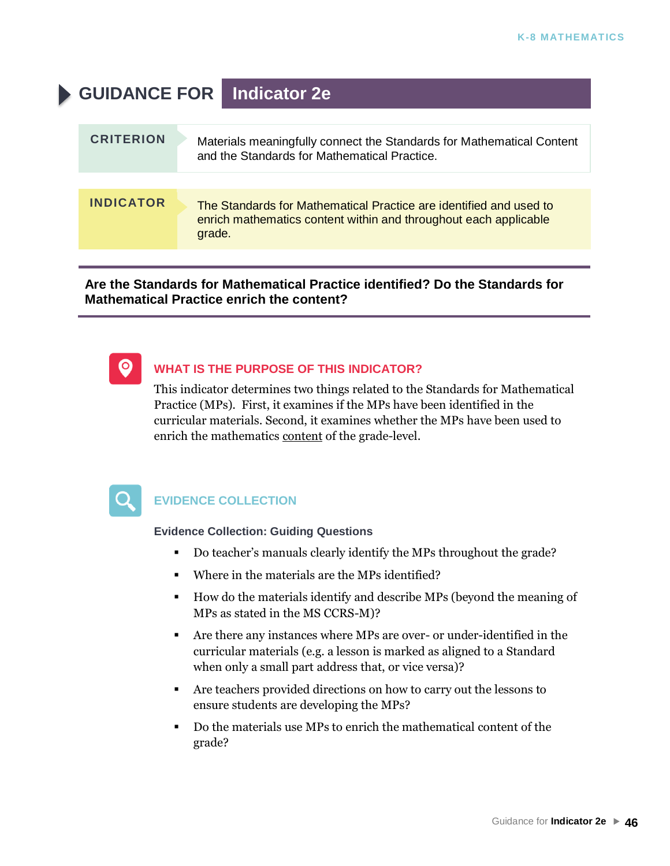# **GUIDANCE FOR Indicator 2e CRITERION** Materials meaningfully connect the Standards for Mathematical Content and the Standards for Mathematical Practice. **INDICATOR** The Standards for Mathematical Practice are identified and used to enrich mathematics content within and throughout each applicable grade.

**Are the Standards for Mathematical Practice identified? Do the Standards for Mathematical Practice enrich the content?**



### **WHAT IS THE PURPOSE OF THIS INDICATOR?**

This indicator determines two things related to the Standards for Mathematical Practice (MPs). First, it examines if the MPs have been identified in the curricular materials. Second, it examines whether the MPs have been used to enrich the mathematics content of the grade-level.



### **EVIDENCE COLLECTION**

- Do teacher's manuals clearly identify the MPs throughout the grade?
- Where in the materials are the MPs identified?
- How do the materials identify and describe MPs (beyond the meaning of MPs as stated in the MS CCRS-M)?
- Are there any instances where MPs are over- or under-identified in the curricular materials (e.g. a lesson is marked as aligned to a Standard when only a small part address that, or vice versa)?
- Are teachers provided directions on how to carry out the lessons to ensure students are developing the MPs?
- Do the materials use MPs to enrich the mathematical content of the grade?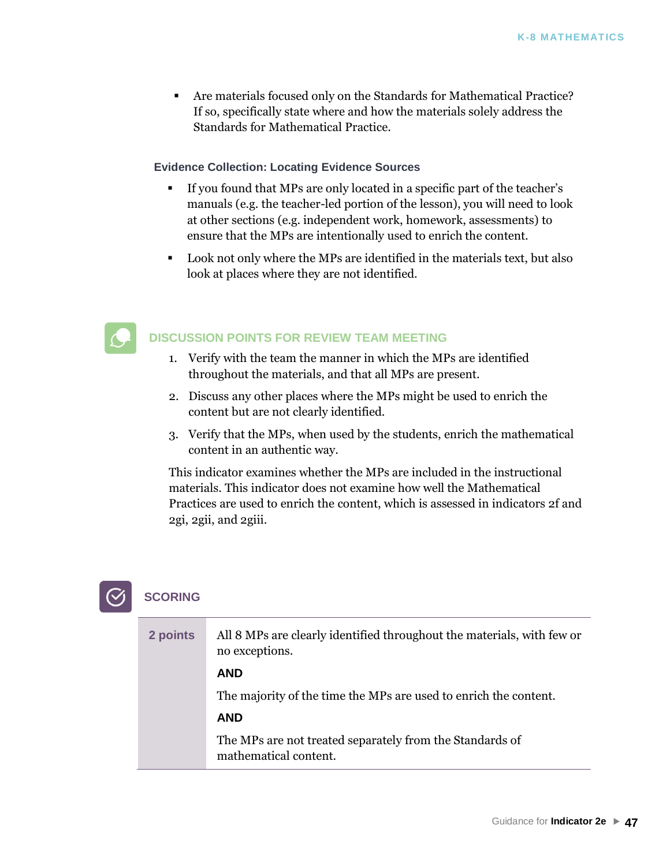▪ Are materials focused only on the Standards for Mathematical Practice? If so, specifically state where and how the materials solely address the Standards for Mathematical Practice.

### **Evidence Collection: Locating Evidence Sources**

- If you found that MPs are only located in a specific part of the teacher's manuals (e.g. the teacher-led portion of the lesson), you will need to look at other sections (e.g. independent work, homework, assessments) to ensure that the MPs are intentionally used to enrich the content.
- Look not only where the MPs are identified in the materials text, but also look at places where they are not identified.



### **DISCUSSION POINTS FOR REVIEW TEAM MEETING**

- 1. Verify with the team the manner in which the MPs are identified throughout the materials, and that all MPs are present.
- 2. Discuss any other places where the MPs might be used to enrich the content but are not clearly identified.
- 3. Verify that the MPs, when used by the students, enrich the mathematical content in an authentic way.

This indicator examines whether the MPs are included in the instructional materials. This indicator does not examine how well the Mathematical Practices are used to enrich the content, which is assessed in indicators 2f and 2gi, 2gii, and 2giii.

| 2 points | All 8 MPs are clearly identified throughout the materials, with few or<br>no exceptions. |
|----------|------------------------------------------------------------------------------------------|
|          | <b>AND</b>                                                                               |
|          | The majority of the time the MPs are used to enrich the content.                         |
|          | <b>AND</b>                                                                               |
|          | The MPs are not treated separately from the Standards of<br>mathematical content.        |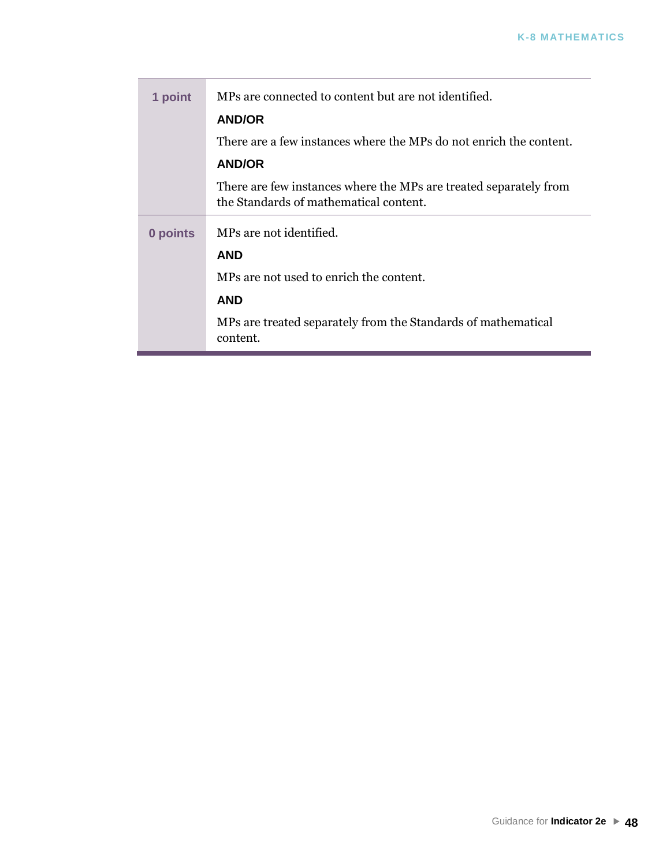| 1 point  | MPs are connected to content but are not identified.                                                        |
|----------|-------------------------------------------------------------------------------------------------------------|
|          | <b>AND/OR</b>                                                                                               |
|          | There are a few instances where the MPs do not enrich the content.                                          |
|          | <b>AND/OR</b>                                                                                               |
|          | There are few instances where the MPs are treated separately from<br>the Standards of mathematical content. |
| 0 points | MPs are not identified.                                                                                     |
|          | <b>AND</b>                                                                                                  |
|          | MPs are not used to enrich the content.                                                                     |
|          | <b>AND</b>                                                                                                  |
|          | MPs are treated separately from the Standards of mathematical<br>content.                                   |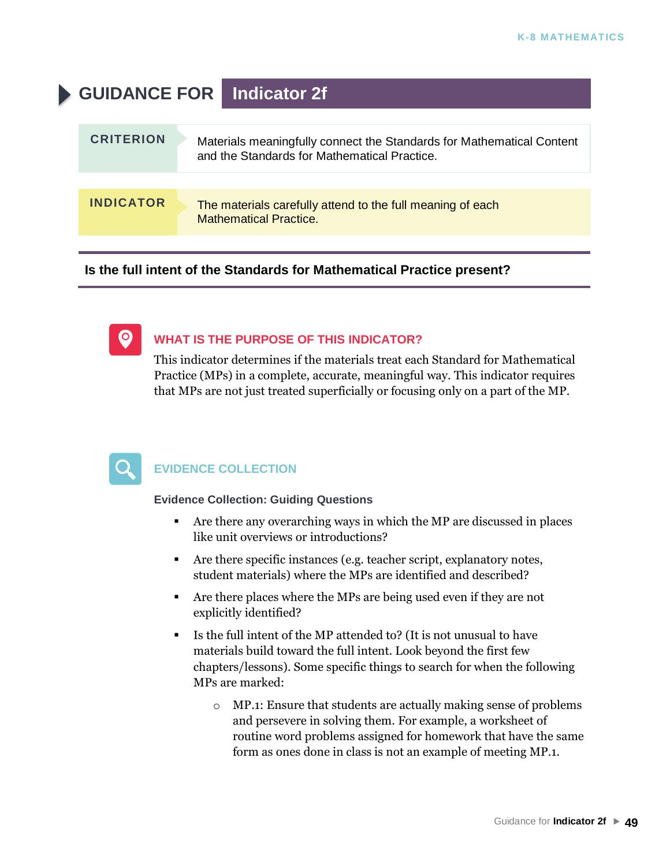# **GUIDANCE FOR Indicator 2f**

| <b>INDICATOR</b><br>The materials carefully attend to the full meaning of each | <b>CRITERION</b> | Materials meaningfully connect the Standards for Mathematical Content<br>and the Standards for Mathematical Practice. |
|--------------------------------------------------------------------------------|------------------|-----------------------------------------------------------------------------------------------------------------------|
|                                                                                |                  |                                                                                                                       |
|                                                                                |                  | <b>Mathematical Practice.</b>                                                                                         |

**Is the full intent of the Standards for Mathematical Practice present?**

 $\bullet$ 

### **WHAT IS THE PURPOSE OF THIS INDICATOR?**

This indicator determines if the materials treat each Standard for Mathematical Practice (MPs) in a complete, accurate, meaningful way. This indicator requires that MPs are not just treated superficially or focusing only on a part of the MP.



### **EVIDENCE COLLECTION**

- Are there any overarching ways in which the MP are discussed in places like unit overviews or introductions?
- Are there specific instances (e.g. teacher script, explanatory notes, student materials) where the MPs are identified and described?
- Are there places where the MPs are being used even if they are not explicitly identified?
- Is the full intent of the MP attended to? (It is not unusual to have materials build toward the full intent. Look beyond the first few chapters/lessons). Some specific things to search for when the following MPs are marked:
	- o MP.1: Ensure that students are actually making sense of problems and persevere in solving them. For example, a worksheet of routine word problems assigned for homework that have the same form as ones done in class is not an example of meeting MP.1.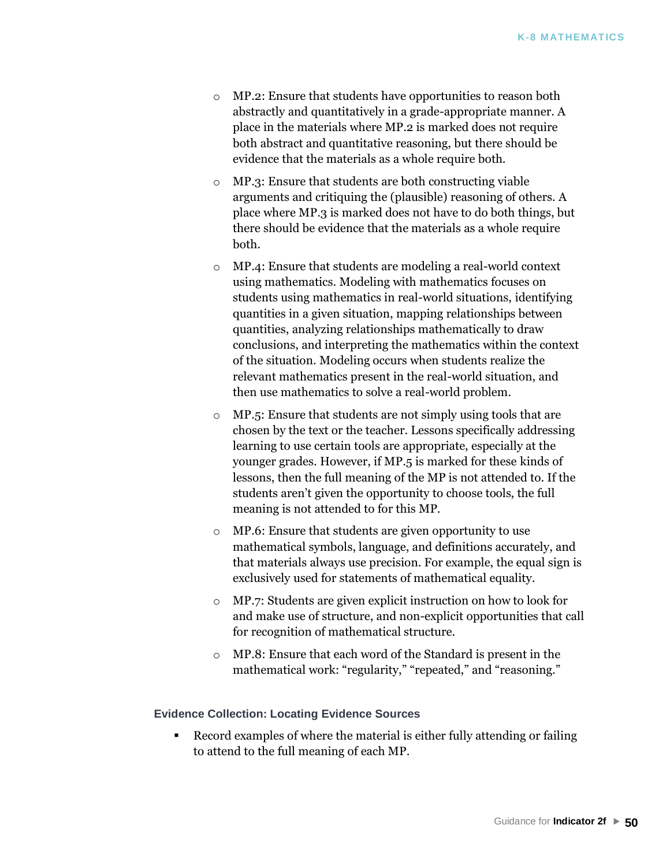- o MP.2: Ensure that students have opportunities to reason both abstractly and quantitatively in a grade-appropriate manner. A place in the materials where MP.2 is marked does not require both abstract and quantitative reasoning, but there should be evidence that the materials as a whole require both.
- MP.3: Ensure that students are both constructing viable arguments and critiquing the (plausible) reasoning of others. A place where MP.3 is marked does not have to do both things, but there should be evidence that the materials as a whole require both.
- o MP.4: Ensure that students are modeling a real-world context using mathematics. Modeling with mathematics focuses on students using mathematics in real-world situations, identifying quantities in a given situation, mapping relationships between quantities, analyzing relationships mathematically to draw conclusions, and interpreting the mathematics within the context of the situation. Modeling occurs when students realize the relevant mathematics present in the real-world situation, and then use mathematics to solve a real-world problem.
- o MP.5: Ensure that students are not simply using tools that are chosen by the text or the teacher. Lessons specifically addressing learning to use certain tools are appropriate, especially at the younger grades. However, if MP.5 is marked for these kinds of lessons, then the full meaning of the MP is not attended to. If the students aren't given the opportunity to choose tools, the full meaning is not attended to for this MP.
- o MP.6: Ensure that students are given opportunity to use mathematical symbols, language, and definitions accurately, and that materials always use precision. For example, the equal sign is exclusively used for statements of mathematical equality.
- o MP.7: Students are given explicit instruction on how to look for and make use of structure, and non-explicit opportunities that call for recognition of mathematical structure.
- o MP.8: Ensure that each word of the Standard is present in the mathematical work: "regularity," "repeated," and "reasoning."

### **Evidence Collection: Locating Evidence Sources**

■ Record examples of where the material is either fully attending or failing to attend to the full meaning of each MP.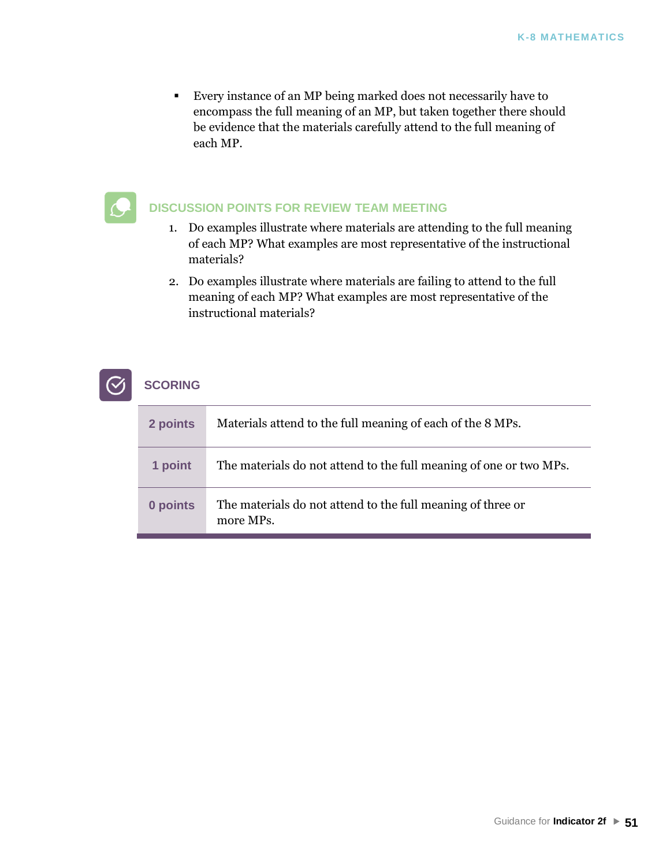■ Every instance of an MP being marked does not necessarily have to encompass the full meaning of an MP, but taken together there should be evidence that the materials carefully attend to the full meaning of each MP.

### **DISCUSSION POINTS FOR REVIEW TEAM MEETING**

- 1. Do examples illustrate where materials are attending to the full meaning of each MP? What examples are most representative of the instructional materials?
- 2. Do examples illustrate where materials are failing to attend to the full meaning of each MP? What examples are most representative of the instructional materials?

| 2 points | Materials attend to the full meaning of each of the 8 MPs.               |
|----------|--------------------------------------------------------------------------|
| 1 point  | The materials do not attend to the full meaning of one or two MPs.       |
| 0 points | The materials do not attend to the full meaning of three or<br>more MPs. |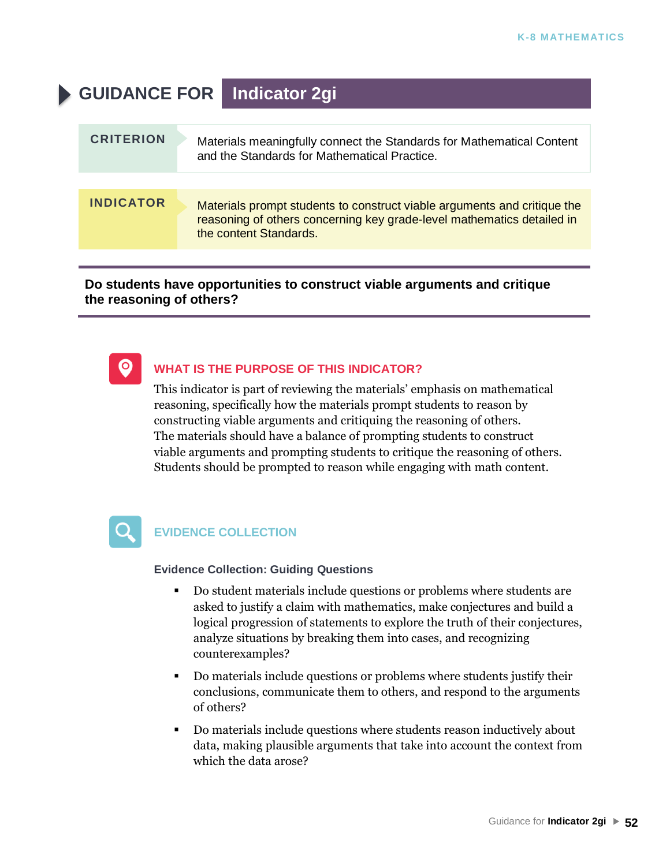# **GUIDANCE FOR Indicator 2gi**

| <b>CRITERION</b> | Materials meaningfully connect the Standards for Mathematical Content<br>and the Standards for Mathematical Practice.                                                        |
|------------------|------------------------------------------------------------------------------------------------------------------------------------------------------------------------------|
|                  |                                                                                                                                                                              |
| <b>INDICATOR</b> | Materials prompt students to construct viable arguments and critique the<br>reasoning of others concerning key grade-level mathematics detailed in<br>the content Standards. |
|                  |                                                                                                                                                                              |

**Do students have opportunities to construct viable arguments and critique the reasoning of others?** 



### **WHAT IS THE PURPOSE OF THIS INDICATOR?**

This indicator is part of reviewing the materials' emphasis on mathematical reasoning, specifically how the materials prompt students to reason by constructing viable arguments and critiquing the reasoning of others. The materials should have a balance of prompting students to construct viable arguments and prompting students to critique the reasoning of others. Students should be prompted to reason while engaging with math content.



### **EVIDENCE COLLECTION**

- Do student materials include questions or problems where students are asked to justify a claim with mathematics, make conjectures and build a logical progression of statements to explore the truth of their conjectures, analyze situations by breaking them into cases, and recognizing counterexamples?
- Do materials include questions or problems where students justify their conclusions, communicate them to others, and respond to the arguments of others?
- Do materials include questions where students reason inductively about data, making plausible arguments that take into account the context from which the data arose?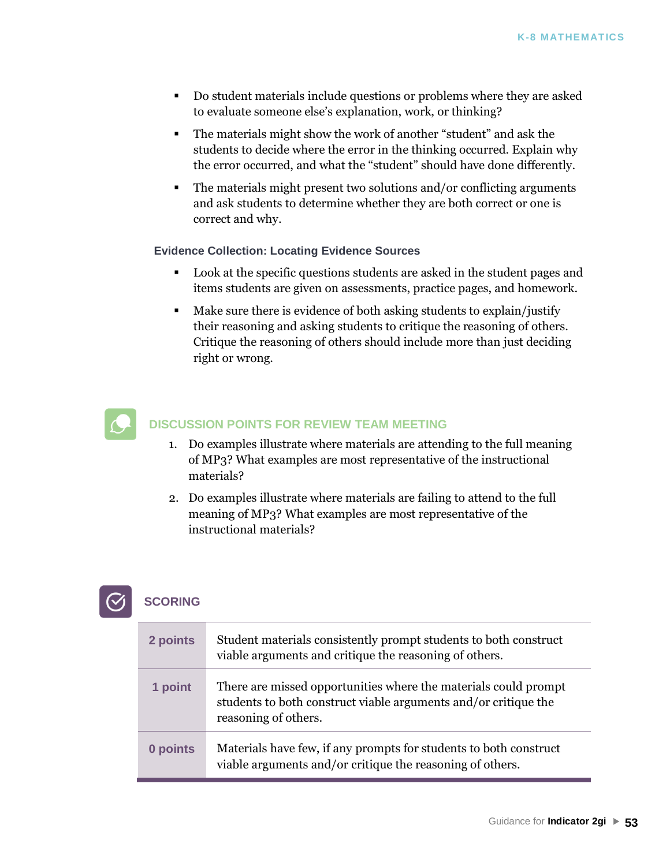- Do student materials include questions or problems where they are asked to evaluate someone else's explanation, work, or thinking?
- The materials might show the work of another "student" and ask the students to decide where the error in the thinking occurred. Explain why the error occurred, and what the "student" should have done differently.
- The materials might present two solutions and/or conflicting arguments and ask students to determine whether they are both correct or one is correct and why.

### **Evidence Collection: Locating Evidence Sources**

- Look at the specific questions students are asked in the student pages and items students are given on assessments, practice pages, and homework.
- Make sure there is evidence of both asking students to explain/justify their reasoning and asking students to critique the reasoning of others. Critique the reasoning of others should include more than just deciding right or wrong.



### **DISCUSSION POINTS FOR REVIEW TEAM MEETING**

- 1. Do examples illustrate where materials are attending to the full meaning of MP3? What examples are most representative of the instructional materials?
- 2. Do examples illustrate where materials are failing to attend to the full meaning of MP3? What examples are most representative of the instructional materials?



| 2 points | Student materials consistently prompt students to both construct<br>viable arguments and critique the reasoning of others.                                 |
|----------|------------------------------------------------------------------------------------------------------------------------------------------------------------|
| 1 point  | There are missed opportunities where the materials could prompt<br>students to both construct viable arguments and/or critique the<br>reasoning of others. |
| 0 points | Materials have few, if any prompts for students to both construct<br>viable arguments and/or critique the reasoning of others.                             |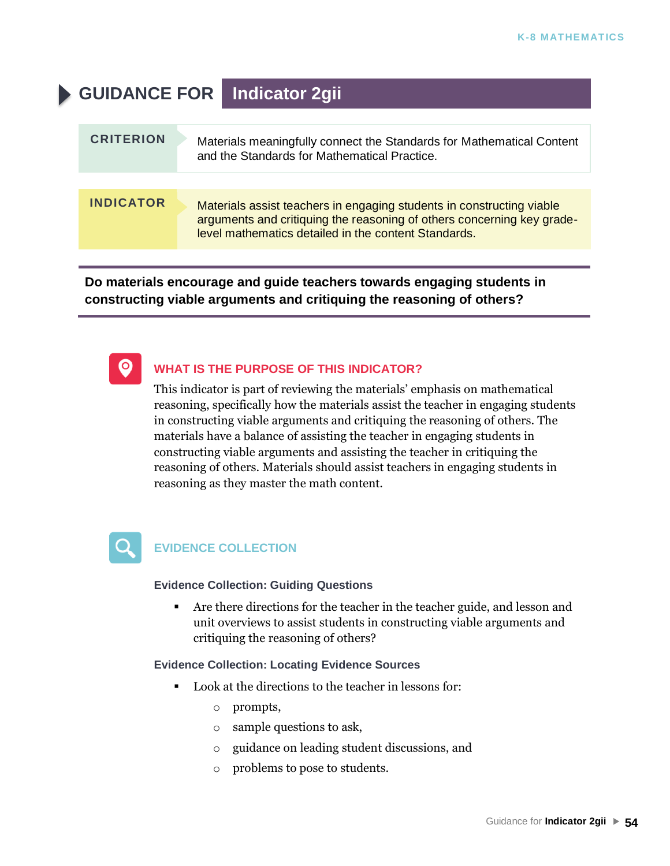# **GUIDANCE FOR Indicator 2gii**

| <b>CRITERION</b> | Materials meaningfully connect the Standards for Mathematical Content<br>and the Standards for Mathematical Practice.                                                                                   |
|------------------|---------------------------------------------------------------------------------------------------------------------------------------------------------------------------------------------------------|
|                  |                                                                                                                                                                                                         |
| <b>INDICATOR</b> | Materials assist teachers in engaging students in constructing viable<br>arguments and critiquing the reasoning of others concerning key grade-<br>level mathematics detailed in the content Standards. |

**Do materials encourage and guide teachers towards engaging students in constructing viable arguments and critiquing the reasoning of others?**



### **WHAT IS THE PURPOSE OF THIS INDICATOR?**

This indicator is part of reviewing the materials' emphasis on mathematical reasoning, specifically how the materials assist the teacher in engaging students in constructing viable arguments and critiquing the reasoning of others. The materials have a balance of assisting the teacher in engaging students in constructing viable arguments and assisting the teacher in critiquing the reasoning of others. Materials should assist teachers in engaging students in reasoning as they master the math content.



### **EVIDENCE COLLECTION**

### **Evidence Collection: Guiding Questions**

■ Are there directions for the teacher in the teacher guide, and lesson and unit overviews to assist students in constructing viable arguments and critiquing the reasoning of others?

### **Evidence Collection: Locating Evidence Sources**

- Look at the directions to the teacher in lessons for:
	- o prompts,
	- o sample questions to ask,
	- o guidance on leading student discussions, and
	- o problems to pose to students.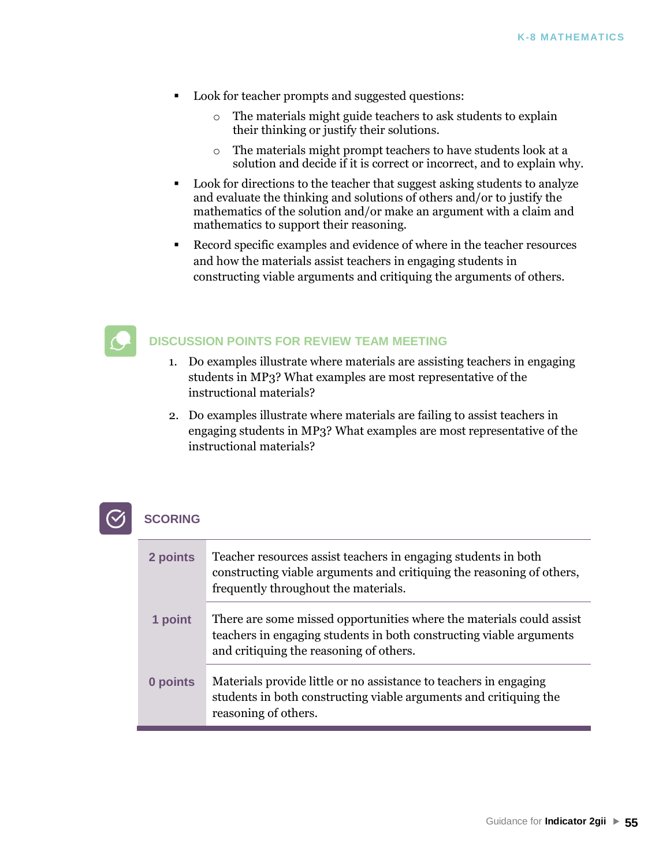- Look for teacher prompts and suggested questions:
	- o The materials might guide teachers to ask students to explain their thinking or justify their solutions.
	- o The materials might prompt teachers to have students look at a solution and decide if it is correct or incorrect, and to explain why.
- Look for directions to the teacher that suggest asking students to analyze and evaluate the thinking and solutions of others and/or to justify the mathematics of the solution and/or make an argument with a claim and mathematics to support their reasoning.
- Record specific examples and evidence of where in the teacher resources and how the materials assist teachers in engaging students in constructing viable arguments and critiquing the arguments of others.



### **DISCUSSION POINTS FOR REVIEW TEAM MEETING**

- 1. Do examples illustrate where materials are assisting teachers in engaging students in MP3? What examples are most representative of the instructional materials?
- 2. Do examples illustrate where materials are failing to assist teachers in engaging students in MP3? What examples are most representative of the instructional materials?



| 2 points | Teacher resources assist teachers in engaging students in both<br>constructing viable arguments and critiquing the reasoning of others,<br>frequently throughout the materials.        |
|----------|----------------------------------------------------------------------------------------------------------------------------------------------------------------------------------------|
| 1 point  | There are some missed opportunities where the materials could assist<br>teachers in engaging students in both constructing viable arguments<br>and critiquing the reasoning of others. |
| 0 points | Materials provide little or no assistance to teachers in engaging<br>students in both constructing viable arguments and critiquing the<br>reasoning of others.                         |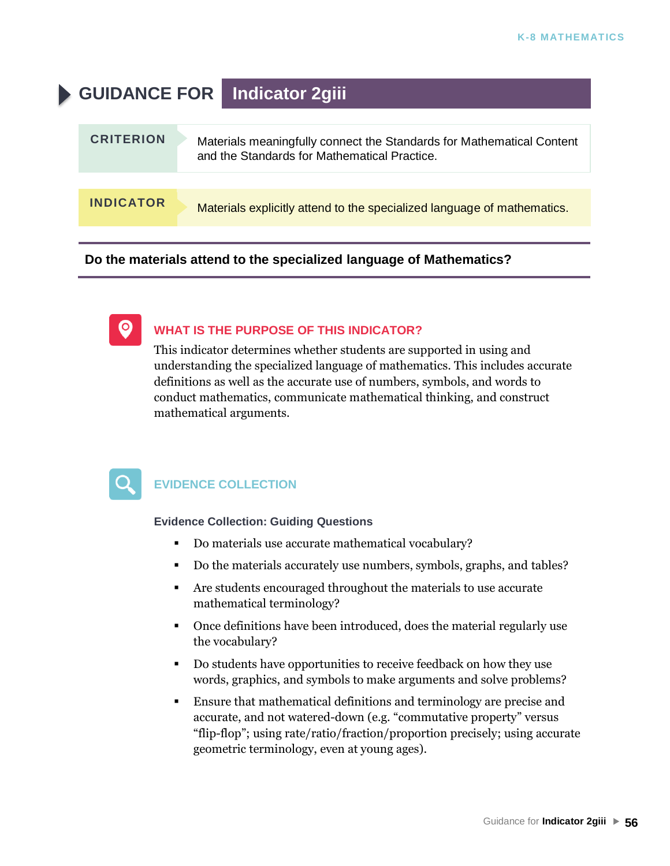# **GUIDANCE FOR Indicator 2giii**

| <b>CRITERION</b> | Materials meaningfully connect the Standards for Mathematical Content<br>and the Standards for Mathematical Practice. |
|------------------|-----------------------------------------------------------------------------------------------------------------------|
|                  |                                                                                                                       |
| <b>INDICATOR</b> | Materials explicitly attend to the specialized language of mathematics.                                               |

**Do the materials attend to the specialized language of Mathematics?**

### **WHAT IS THE PURPOSE OF THIS INDICATOR?**

This indicator determines whether students are supported in using and understanding the specialized language of mathematics. This includes accurate definitions as well as the accurate use of numbers, symbols, and words to conduct mathematics, communicate mathematical thinking, and construct mathematical arguments.

 $\bullet$ 

### **EVIDENCE COLLECTION**

- Do materials use accurate mathematical vocabulary?
- Do the materials accurately use numbers, symbols, graphs, and tables?
- Are students encouraged throughout the materials to use accurate mathematical terminology?
- Once definitions have been introduced, does the material regularly use the vocabulary?
- Do students have opportunities to receive feedback on how they use words, graphics, and symbols to make arguments and solve problems?
- **Ensure that mathematical definitions and terminology are precise and** accurate, and not watered-down (e.g. "commutative property" versus "flip-flop"; using rate/ratio/fraction/proportion precisely; using accurate geometric terminology, even at young ages).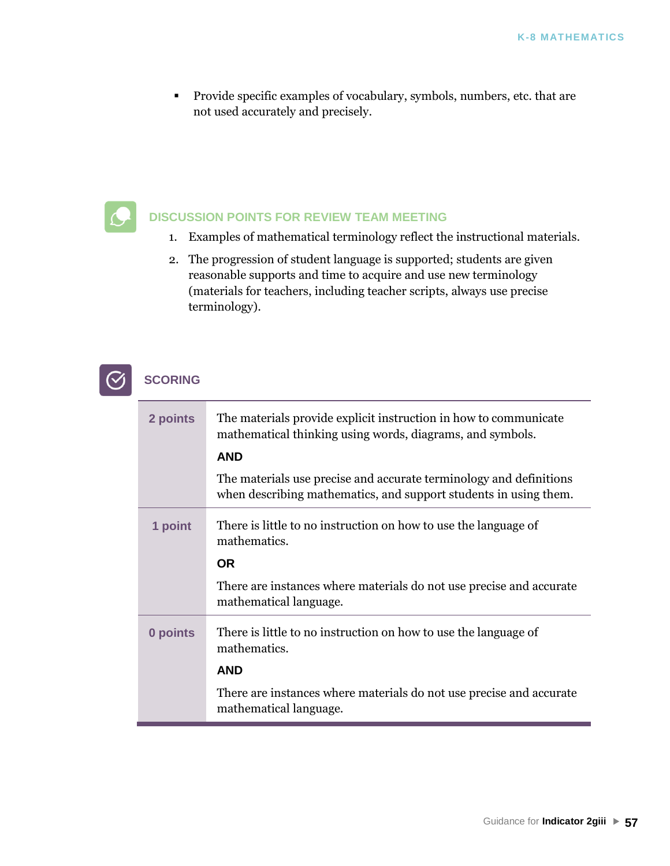▪ Provide specific examples of vocabulary, symbols, numbers, etc. that are not used accurately and precisely.

### **DISCUSSION POINTS FOR REVIEW TEAM MEETING**

- 1. Examples of mathematical terminology reflect the instructional materials.
- 2. The progression of student language is supported; students are given reasonable supports and time to acquire and use new terminology (materials for teachers, including teacher scripts, always use precise terminology).

| 2 points | The materials provide explicit instruction in how to communicate<br>mathematical thinking using words, diagrams, and symbols.          |
|----------|----------------------------------------------------------------------------------------------------------------------------------------|
|          | <b>AND</b>                                                                                                                             |
|          | The materials use precise and accurate terminology and definitions<br>when describing mathematics, and support students in using them. |
| 1 point  | There is little to no instruction on how to use the language of<br>mathematics.                                                        |
|          | <b>OR</b>                                                                                                                              |
|          | There are instances where materials do not use precise and accurate<br>mathematical language.                                          |
| 0 points | There is little to no instruction on how to use the language of<br>mathematics.                                                        |
|          | <b>AND</b>                                                                                                                             |
|          | There are instances where materials do not use precise and accurate<br>mathematical language.                                          |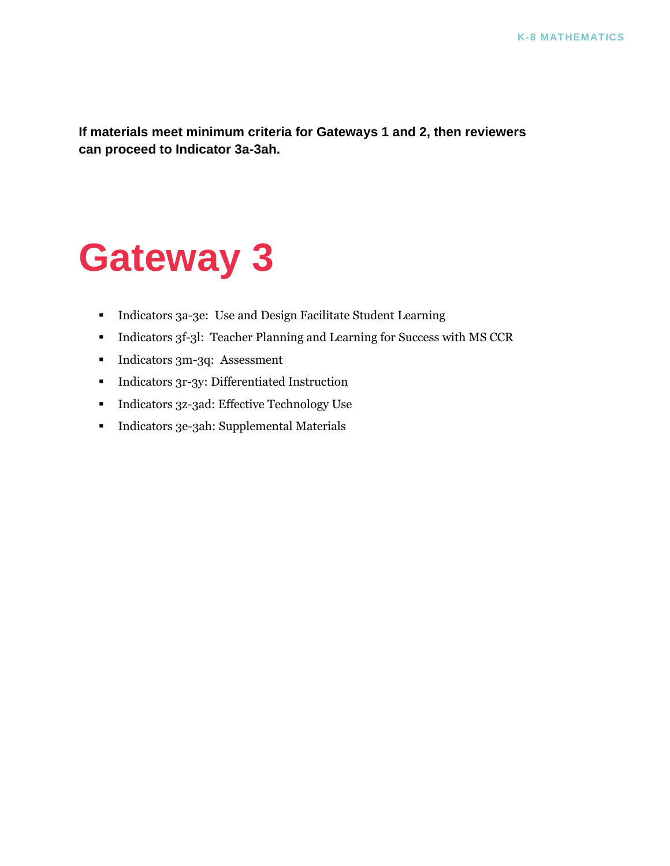**If materials meet minimum criteria for Gateways 1 and 2, then reviewers can proceed to Indicator 3a-3ah.**

# **Gateway 3**

- Indicators 3a-3e: Use and Design Facilitate Student Learning
- **•** Indicators 3f-3l: Teacher Planning and Learning for Success with MS CCR
- Indicators 3m-3q: Assessment
- Indicators 3r-3y: Differentiated Instruction
- Indicators 3z-3ad: Effective Technology Use
- Indicators 3e-3ah: Supplemental Materials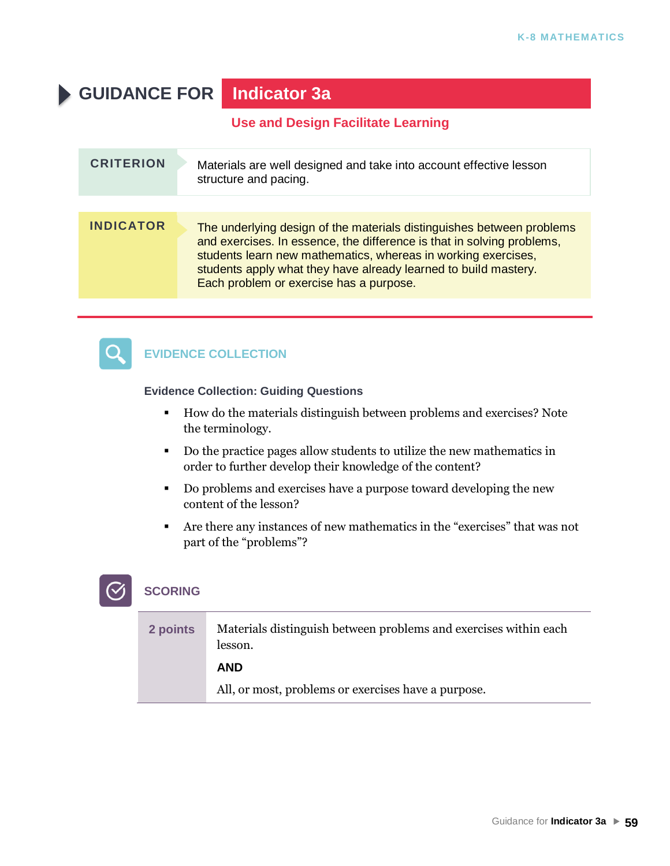# **GUIDANCE FOR Indicator 3a**

### **Use and Design Facilitate Learning**

| <b>CRITERION</b> | Materials are well designed and take into account effective lesson<br>structure and pacing.                                                                                                                                                                                                                                    |
|------------------|--------------------------------------------------------------------------------------------------------------------------------------------------------------------------------------------------------------------------------------------------------------------------------------------------------------------------------|
|                  |                                                                                                                                                                                                                                                                                                                                |
| <b>INDICATOR</b> | The underlying design of the materials distinguishes between problems<br>and exercises. In essence, the difference is that in solving problems,<br>students learn new mathematics, whereas in working exercises,<br>students apply what they have already learned to build mastery.<br>Each problem or exercise has a purpose. |



### **EVIDENCE COLLECTION**

### **Evidence Collection: Guiding Questions**

- How do the materials distinguish between problems and exercises? Note the terminology.
- Do the practice pages allow students to utilize the new mathematics in order to further develop their knowledge of the content?
- Do problems and exercises have a purpose toward developing the new content of the lesson?
- Are there any instances of new mathematics in the "exercises" that was not part of the "problems"?

| 2 points | Materials distinguish between problems and exercises within each<br>lesson. |
|----------|-----------------------------------------------------------------------------|
|          | <b>AND</b>                                                                  |
|          | All, or most, problems or exercises have a purpose.                         |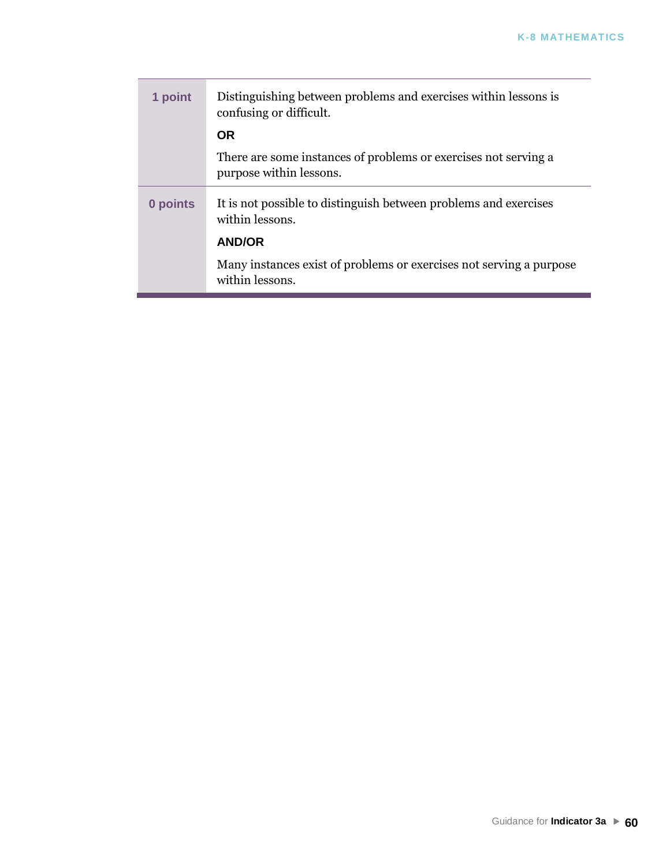| 1 point  | Distinguishing between problems and exercises within lessons is<br>confusing or difficult. |
|----------|--------------------------------------------------------------------------------------------|
|          | <b>OR</b>                                                                                  |
|          | There are some instances of problems or exercises not serving a<br>purpose within lessons. |
| 0 points | It is not possible to distinguish between problems and exercises<br>within lessons.        |
|          | <b>AND/OR</b>                                                                              |
|          | Many instances exist of problems or exercises not serving a purpose<br>within lessons.     |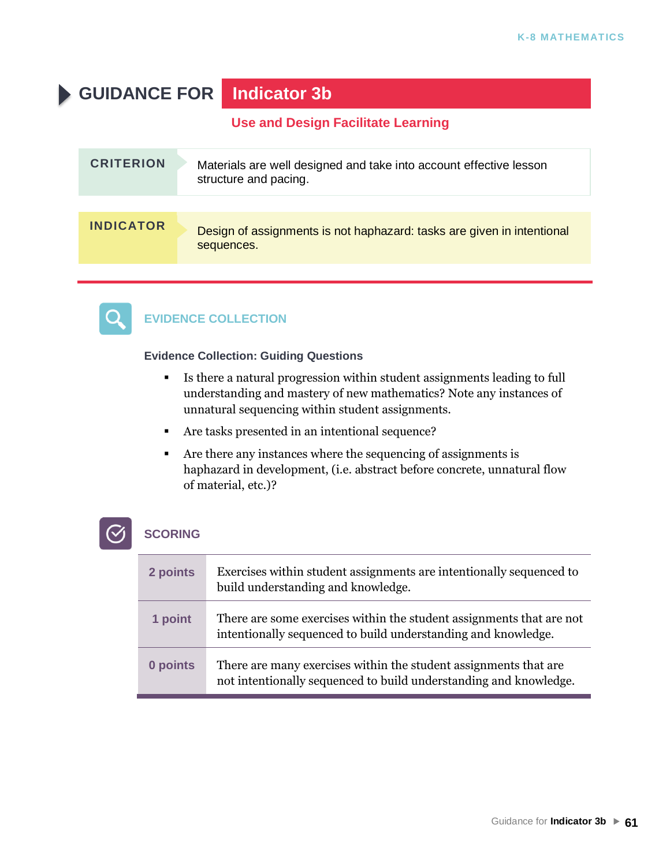# **GUIDANCE FOR Indicator 3b**

**Use and Design Facilitate Learning**

| <b>CRITERION</b> | Materials are well designed and take into account effective lesson<br>structure and pacing. |
|------------------|---------------------------------------------------------------------------------------------|
|                  |                                                                                             |
| <b>INDICATOR</b> | Design of assignments is not haphazard: tasks are given in intentional<br>sequences.        |



### **EVIDENCE COLLECTION**

**Evidence Collection: Guiding Questions**

- Is there a natural progression within student assignments leading to full understanding and mastery of new mathematics? Note any instances of unnatural sequencing within student assignments.
- Are tasks presented in an intentional sequence?
- Are there any instances where the sequencing of assignments is haphazard in development, (i.e. abstract before concrete, unnatural flow of material, etc.)?

| 2 points | Exercises within student assignments are intentionally sequenced to<br>build understanding and knowledge.                             |
|----------|---------------------------------------------------------------------------------------------------------------------------------------|
| 1 point  | There are some exercises within the student assignments that are not<br>intentionally sequenced to build understanding and knowledge. |
| 0 points | There are many exercises within the student assignments that are<br>not intentionally sequenced to build understanding and knowledge. |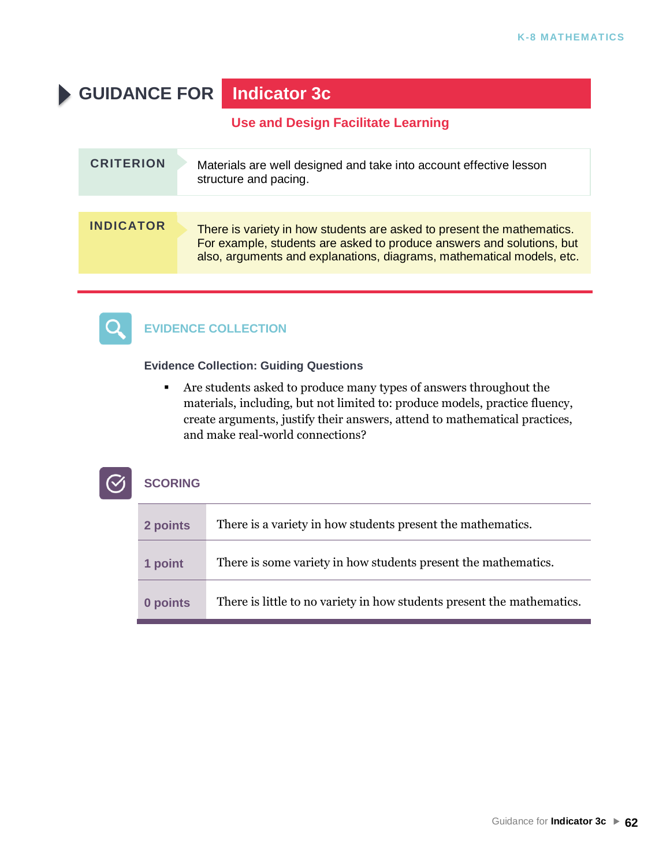# **GUIDANCE FOR Indicator 3c**

**Use and Design Facilitate Learning**

| <b>CRITERION</b> | Materials are well designed and take into account effective lesson<br>structure and pacing.                                                                                                                              |
|------------------|--------------------------------------------------------------------------------------------------------------------------------------------------------------------------------------------------------------------------|
|                  |                                                                                                                                                                                                                          |
| <b>INDICATOR</b> | There is variety in how students are asked to present the mathematics.<br>For example, students are asked to produce answers and solutions, but<br>also, arguments and explanations, diagrams, mathematical models, etc. |



### **EVIDENCE COLLECTION**

### **Evidence Collection: Guiding Questions**

▪ Are students asked to produce many types of answers throughout the materials, including, but not limited to: produce models, practice fluency, create arguments, justify their answers, attend to mathematical practices, and make real-world connections?

| 2 points | There is a variety in how students present the mathematics.            |
|----------|------------------------------------------------------------------------|
| 1 point  | There is some variety in how students present the mathematics.         |
| 0 points | There is little to no variety in how students present the mathematics. |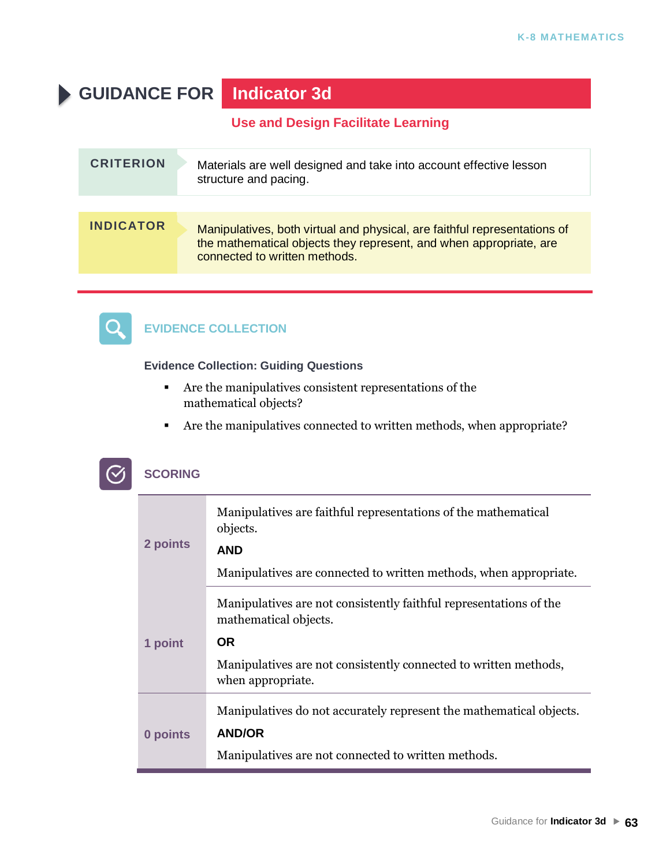# **GUIDANCE FOR Indicator 3d**

**Use and Design Facilitate Learning**

| <b>CRITERION</b> | Materials are well designed and take into account effective lesson<br>structure and pacing.                                                                                      |
|------------------|----------------------------------------------------------------------------------------------------------------------------------------------------------------------------------|
|                  |                                                                                                                                                                                  |
| <b>INDICATOR</b> | Manipulatives, both virtual and physical, are faithful representations of<br>the mathematical objects they represent, and when appropriate, are<br>connected to written methods. |



### **EVIDENCE COLLECTION**

### **Evidence Collection: Guiding Questions**

- Are the manipulatives consistent representations of the mathematical objects?
- Are the manipulatives connected to written methods, when appropriate?

| 2 points | Manipulatives are faithful representations of the mathematical<br>objects.<br><b>AND</b><br>Manipulatives are connected to written methods, when appropriate. |
|----------|---------------------------------------------------------------------------------------------------------------------------------------------------------------|
|          | Manipulatives are not consistently faithful representations of the                                                                                            |
|          | mathematical objects.<br>OR.                                                                                                                                  |
| 1 point  |                                                                                                                                                               |
|          | Manipulatives are not consistently connected to written methods,<br>when appropriate.                                                                         |
| 0 points | Manipulatives do not accurately represent the mathematical objects.                                                                                           |
|          | <b>AND/OR</b>                                                                                                                                                 |
|          | Manipulatives are not connected to written methods.                                                                                                           |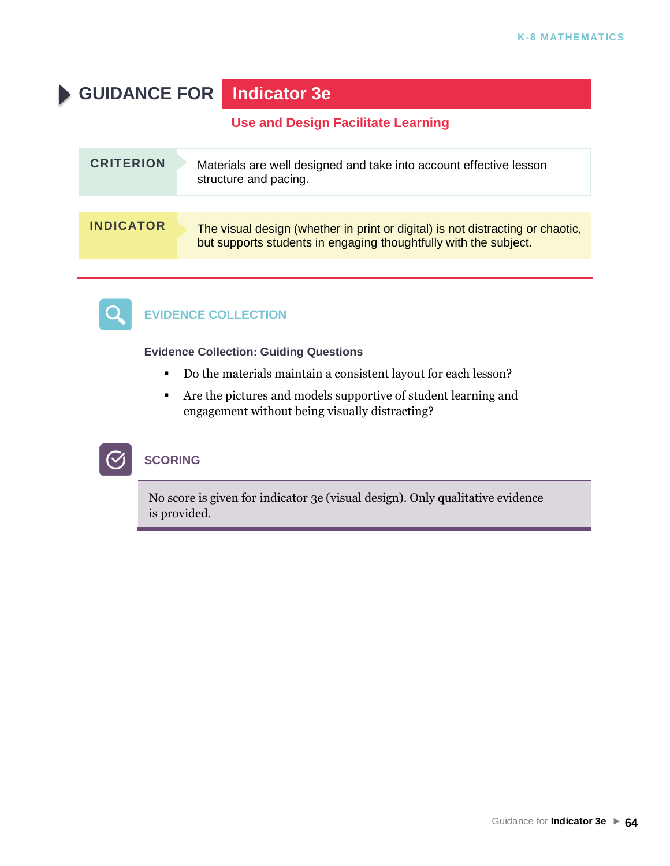# **GUIDANCE FOR Indicator 3e**

**Use and Design Facilitate Learning**

| <b>CRITERION</b> | Materials are well designed and take into account effective lesson<br>structure and pacing.                                                        |
|------------------|----------------------------------------------------------------------------------------------------------------------------------------------------|
| <b>INDICATOR</b> | The visual design (whether in print or digital) is not distracting or chaotic,<br>but supports students in engaging thoughtfully with the subject. |



### **EVIDENCE COLLECTION**

**Evidence Collection: Guiding Questions**

- Do the materials maintain a consistent layout for each lesson?
- Are the pictures and models supportive of student learning and engagement without being visually distracting?



### **SCORING**

No score is given for indicator 3e (visual design). Only qualitative evidence is provided.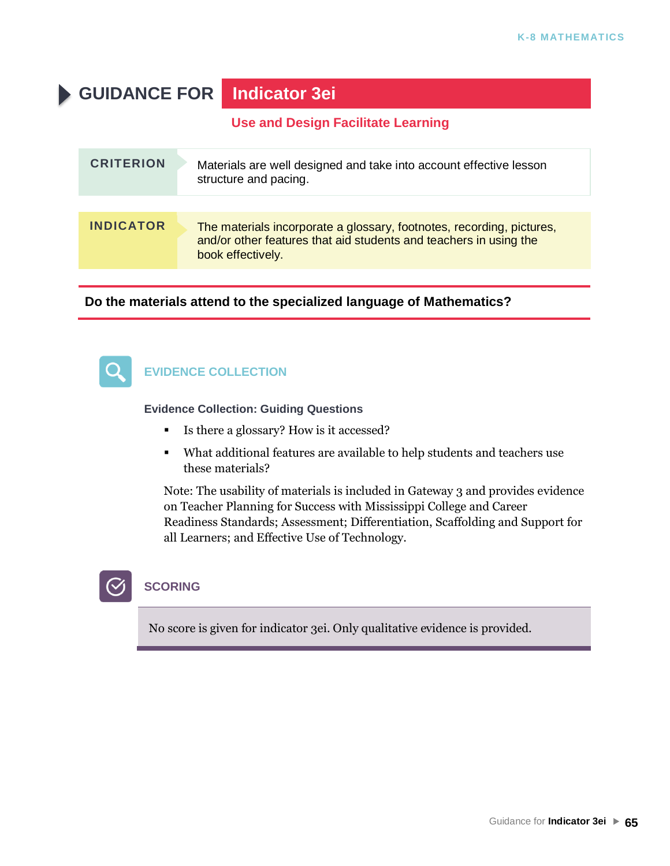# **GUIDANCE FOR Indicator 3ei**

**Use and Design Facilitate Learning**

| <b>CRITERION</b> | Materials are well designed and take into account effective lesson<br>structure and pacing.                                                                     |
|------------------|-----------------------------------------------------------------------------------------------------------------------------------------------------------------|
|                  |                                                                                                                                                                 |
| <b>INDICATOR</b> | The materials incorporate a glossary, footnotes, recording, pictures,<br>and/or other features that aid students and teachers in using the<br>book effectively. |

### **Do the materials attend to the specialized language of Mathematics?**



### **EVIDENCE COLLECTION**

**Evidence Collection: Guiding Questions**

- Is there a glossary? How is it accessed?
- What additional features are available to help students and teachers use these materials?

Note: The usability of materials is included in Gateway 3 and provides evidence on Teacher Planning for Success with Mississippi College and Career Readiness Standards; Assessment; Differentiation, Scaffolding and Support for all Learners; and Effective Use of Technology.

### **SCORING**

No score is given for indicator 3ei. Only qualitative evidence is provided.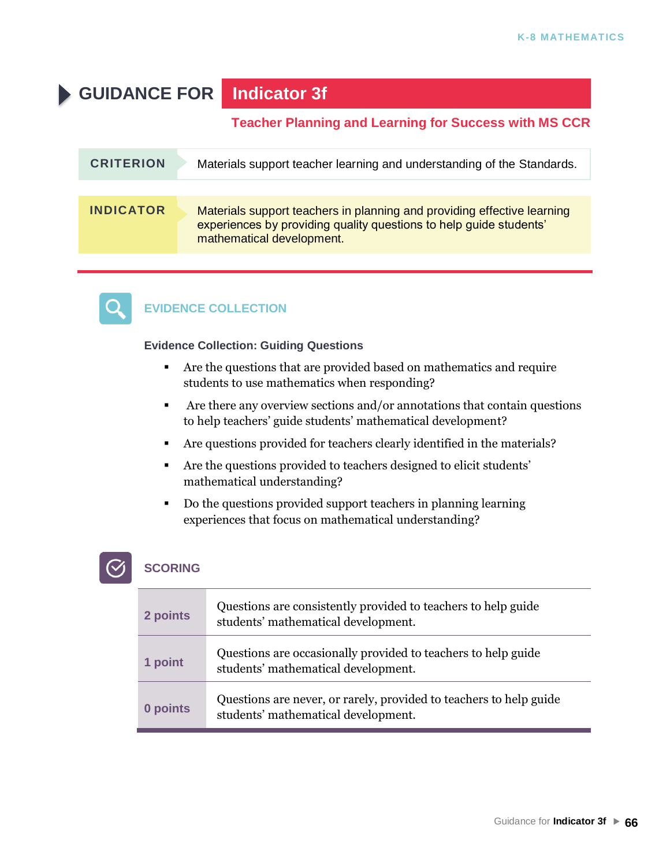# **GUIDANCE FOR Indicator 3f**

### **Teacher Planning and Learning for Success with MS CCR**

| <b>CRITERION</b> | Materials support teacher learning and understanding of the Standards.                                                                                                     |
|------------------|----------------------------------------------------------------------------------------------------------------------------------------------------------------------------|
|                  |                                                                                                                                                                            |
| <b>INDICATOR</b> | Materials support teachers in planning and providing effective learning<br>experiences by providing quality questions to help guide students'<br>mathematical development. |



### **EVIDENCE COLLECTION**

### **Evidence Collection: Guiding Questions**

- Are the questions that are provided based on mathematics and require students to use mathematics when responding?
- Are there any overview sections and/or annotations that contain questions to help teachers' guide students' mathematical development?
- Are questions provided for teachers clearly identified in the materials?
- Are the questions provided to teachers designed to elicit students' mathematical understanding?
- Do the questions provided support teachers in planning learning experiences that focus on mathematical understanding?

| 2 points | Questions are consistently provided to teachers to help guide<br>students' mathematical development.      |
|----------|-----------------------------------------------------------------------------------------------------------|
| 1 point  | Questions are occasionally provided to teachers to help guide<br>students' mathematical development.      |
| 0 points | Questions are never, or rarely, provided to teachers to help guide<br>students' mathematical development. |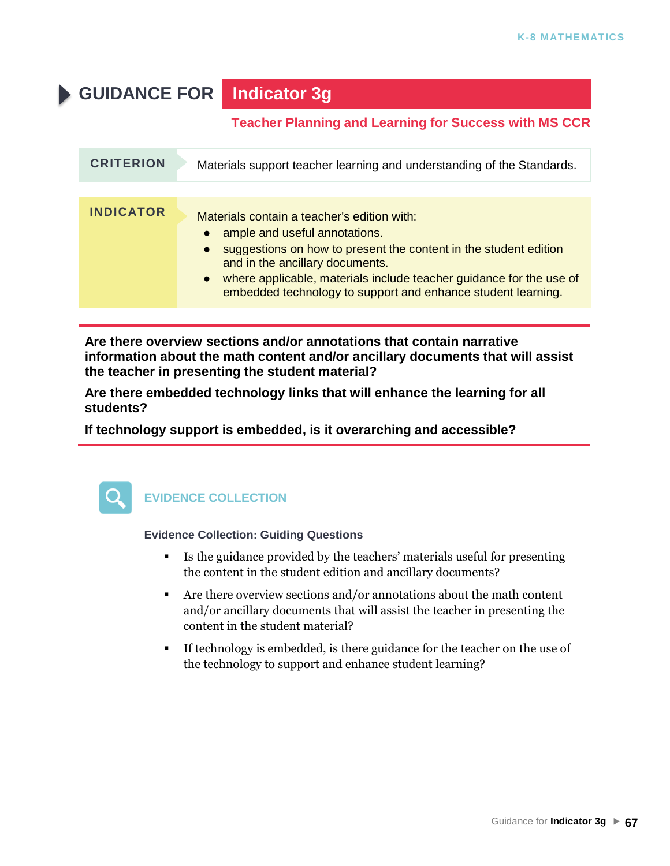# **GUIDANCE FOR Indicator 3g**

### **Teacher Planning and Learning for Success with MS CCR**

| <b>CRITERION</b> | Materials support teacher learning and understanding of the Standards.                                                                                                                                                                                                                                                       |
|------------------|------------------------------------------------------------------------------------------------------------------------------------------------------------------------------------------------------------------------------------------------------------------------------------------------------------------------------|
| <b>INDICATOR</b> | Materials contain a teacher's edition with:<br>ample and useful annotations.<br>suggestions on how to present the content in the student edition<br>and in the ancillary documents.<br>• where applicable, materials include teacher guidance for the use of<br>embedded technology to support and enhance student learning. |

**Are there overview sections and/or annotations that contain narrative information about the math content and/or ancillary documents that will assist the teacher in presenting the student material?**

**Are there embedded technology links that will enhance the learning for all students?**

**If technology support is embedded, is it overarching and accessible?**



### **EVIDENCE COLLECTION**

- Is the guidance provided by the teachers' materials useful for presenting the content in the student edition and ancillary documents?
- Are there overview sections and/or annotations about the math content and/or ancillary documents that will assist the teacher in presenting the content in the student material?
- If technology is embedded, is there guidance for the teacher on the use of the technology to support and enhance student learning?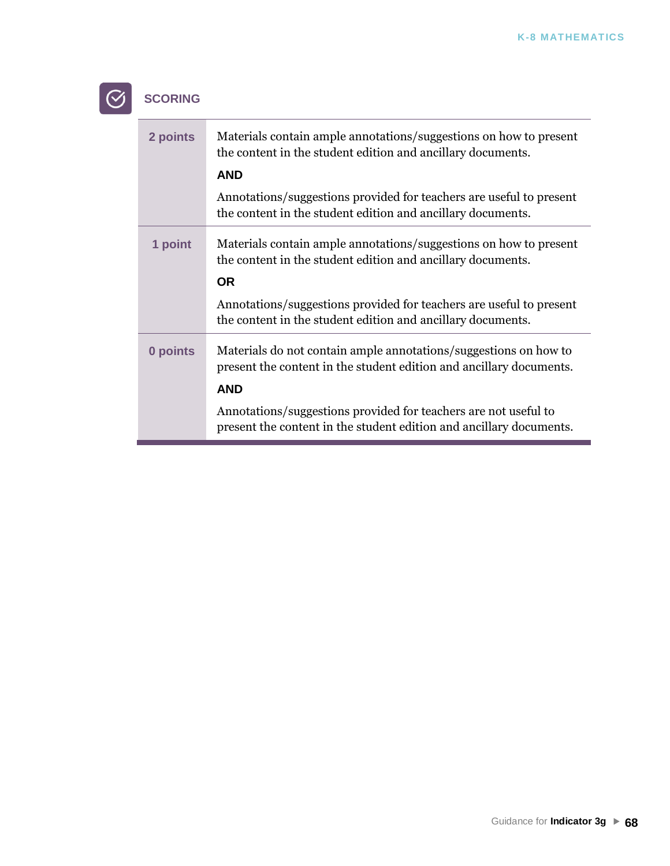### **SCORING**  $\odot$

| 2 points | Materials contain ample annotations/suggestions on how to present<br>the content in the student edition and ancillary documents.<br><b>AND</b>        |
|----------|-------------------------------------------------------------------------------------------------------------------------------------------------------|
|          | Annotations/suggestions provided for teachers are useful to present<br>the content in the student edition and ancillary documents.                    |
| 1 point  | Materials contain ample annotations/suggestions on how to present<br>the content in the student edition and ancillary documents.<br><b>OR</b>         |
|          | Annotations/suggestions provided for teachers are useful to present<br>the content in the student edition and ancillary documents.                    |
| 0 points | Materials do not contain ample annotations/suggestions on how to<br>present the content in the student edition and ancillary documents.<br><b>AND</b> |
|          | Annotations/suggestions provided for teachers are not useful to<br>present the content in the student edition and ancillary documents.                |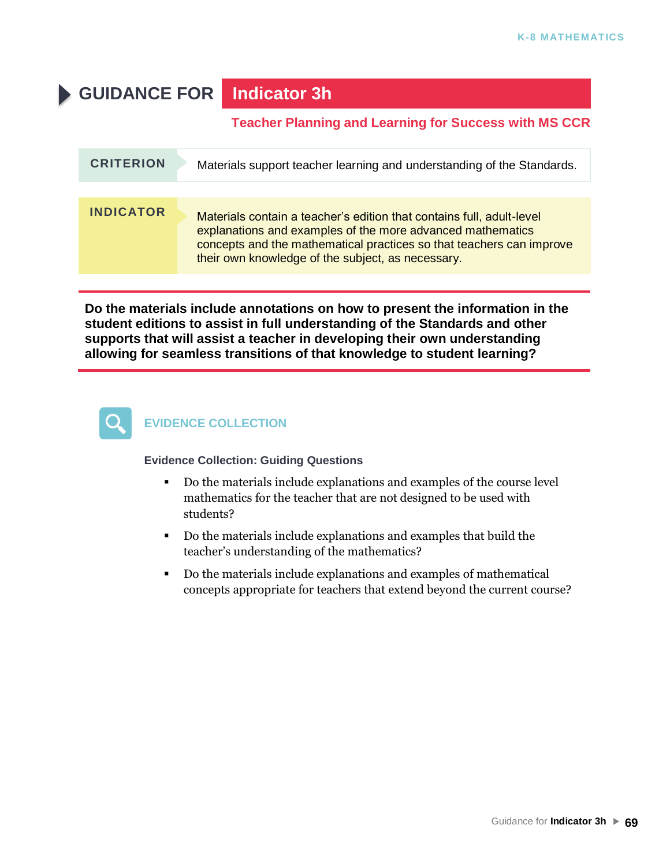# **GUIDANCE FOR Indicator 3h**

### **Teacher Planning and Learning for Success with MS CCR**

| <b>CRITERION</b> | Materials support teacher learning and understanding of the Standards.                                                                                                                                                                                           |
|------------------|------------------------------------------------------------------------------------------------------------------------------------------------------------------------------------------------------------------------------------------------------------------|
|                  |                                                                                                                                                                                                                                                                  |
| <b>INDICATOR</b> | Materials contain a teacher's edition that contains full, adult-level<br>explanations and examples of the more advanced mathematics<br>concepts and the mathematical practices so that teachers can improve<br>their own knowledge of the subject, as necessary. |

**Do the materials include annotations on how to present the information in the student editions to assist in full understanding of the Standards and other supports that will assist a teacher in developing their own understanding allowing for seamless transitions of that knowledge to student learning?**



### **EVIDENCE COLLECTION**

- Do the materials include explanations and examples of the course level mathematics for the teacher that are not designed to be used with students?
- Do the materials include explanations and examples that build the teacher's understanding of the mathematics?
- Do the materials include explanations and examples of mathematical concepts appropriate for teachers that extend beyond the current course?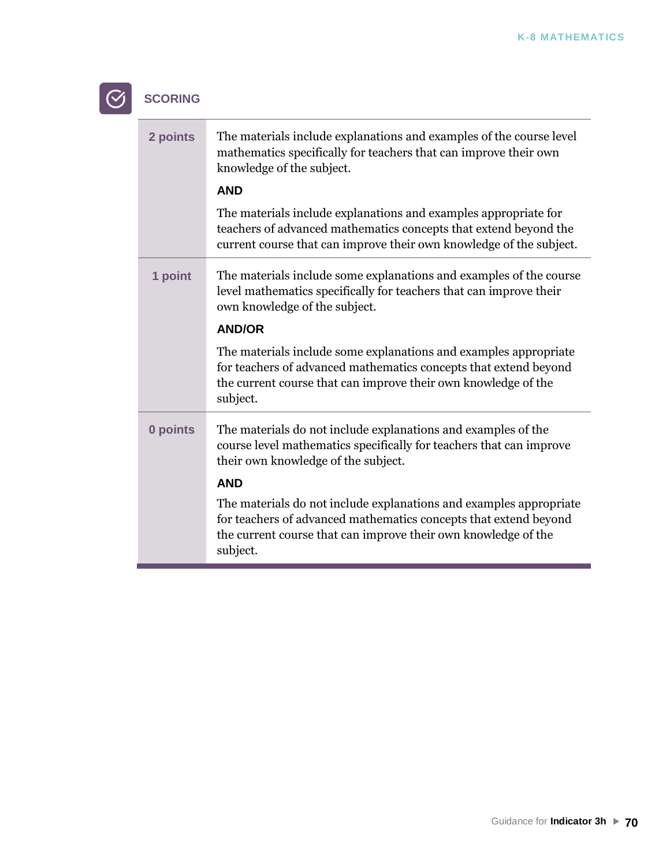### $\odot$ **SCORING**

| 2 points | The materials include explanations and examples of the course level<br>mathematics specifically for teachers that can improve their own<br>knowledge of the subject.                                                 |
|----------|----------------------------------------------------------------------------------------------------------------------------------------------------------------------------------------------------------------------|
|          | <b>AND</b>                                                                                                                                                                                                           |
|          | The materials include explanations and examples appropriate for<br>teachers of advanced mathematics concepts that extend beyond the<br>current course that can improve their own knowledge of the subject.           |
| 1 point  | The materials include some explanations and examples of the course<br>level mathematics specifically for teachers that can improve their<br>own knowledge of the subject.                                            |
|          | <b>AND/OR</b>                                                                                                                                                                                                        |
|          | The materials include some explanations and examples appropriate<br>for teachers of advanced mathematics concepts that extend beyond<br>the current course that can improve their own knowledge of the<br>subject.   |
| 0 points | The materials do not include explanations and examples of the<br>course level mathematics specifically for teachers that can improve<br>their own knowledge of the subject.                                          |
|          | <b>AND</b>                                                                                                                                                                                                           |
|          | The materials do not include explanations and examples appropriate<br>for teachers of advanced mathematics concepts that extend beyond<br>the current course that can improve their own knowledge of the<br>subject. |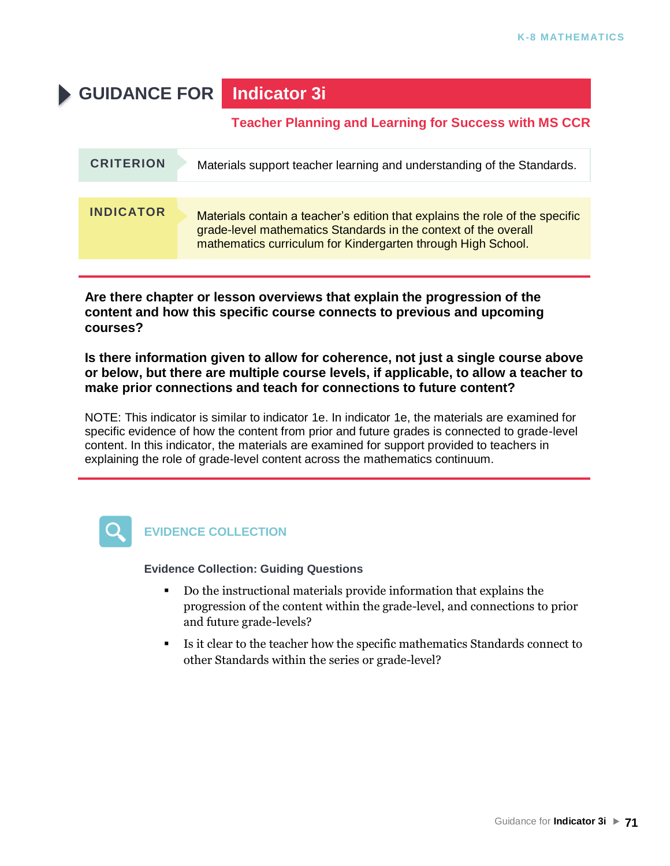# **GUIDANCE FOR Indicator 3i**

### **Teacher Planning and Learning for Success with MS CCR**

| <b>CRITERION</b> | Materials support teacher learning and understanding of the Standards.                                                                                                                                          |
|------------------|-----------------------------------------------------------------------------------------------------------------------------------------------------------------------------------------------------------------|
|                  |                                                                                                                                                                                                                 |
| <b>INDICATOR</b> | Materials contain a teacher's edition that explains the role of the specific<br>grade-level mathematics Standards in the context of the overall<br>mathematics curriculum for Kindergarten through High School. |

**Are there chapter or lesson overviews that explain the progression of the content and how this specific course connects to previous and upcoming courses?**

**Is there information given to allow for coherence, not just a single course above or below, but there are multiple course levels, if applicable, to allow a teacher to make prior connections and teach for connections to future content?**

NOTE: This indicator is similar to indicator 1e. In indicator 1e, the materials are examined for specific evidence of how the content from prior and future grades is connected to grade-level content. In this indicator, the materials are examined for support provided to teachers in explaining the role of grade-level content across the mathematics continuum.



### **EVIDENCE COLLECTION**

- Do the instructional materials provide information that explains the progression of the content within the grade-level, and connections to prior and future grade-levels?
- Is it clear to the teacher how the specific mathematics Standards connect to other Standards within the series or grade-level?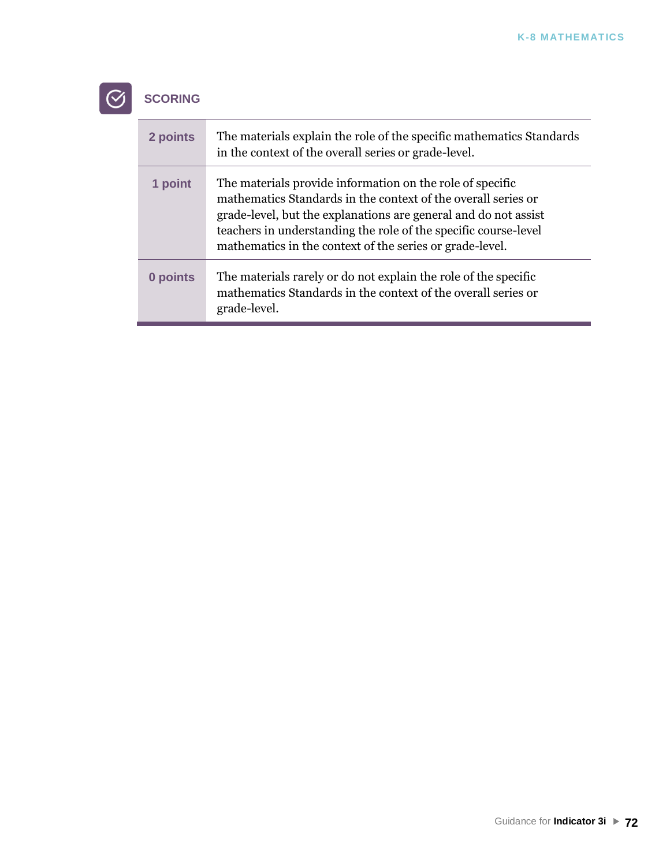### **SCORING**  $\odot$

| 2 points | The materials explain the role of the specific mathematics Standards<br>in the context of the overall series or grade-level.                                                                                                                                                                                                 |
|----------|------------------------------------------------------------------------------------------------------------------------------------------------------------------------------------------------------------------------------------------------------------------------------------------------------------------------------|
| 1 point  | The materials provide information on the role of specific<br>mathematics Standards in the context of the overall series or<br>grade-level, but the explanations are general and do not assist<br>teachers in understanding the role of the specific course-level<br>mathematics in the context of the series or grade-level. |
| 0 points | The materials rarely or do not explain the role of the specific<br>mathematics Standards in the context of the overall series or<br>grade-level.                                                                                                                                                                             |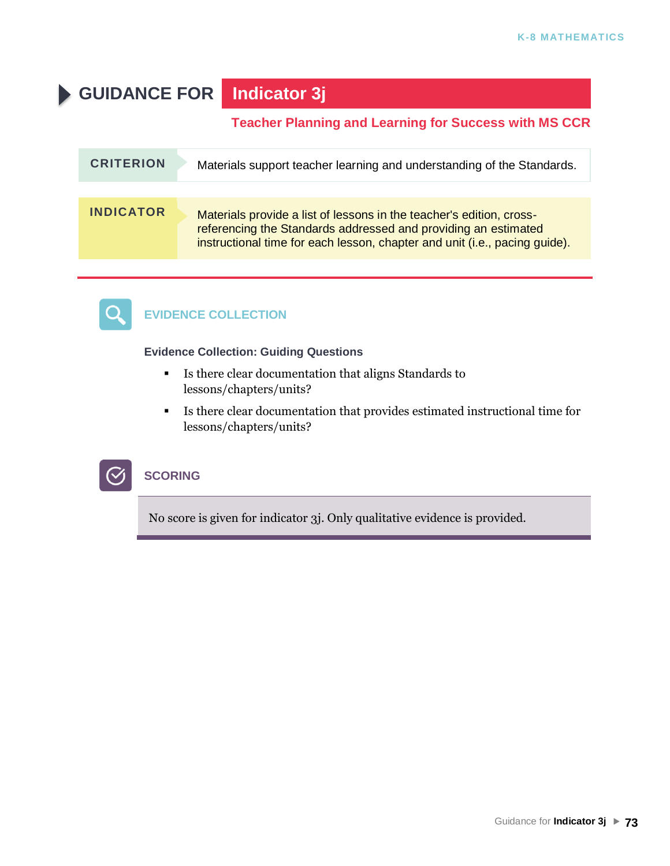# **GUIDANCE FOR Indicator 3j**

### **Teacher Planning and Learning for Success with MS CCR**

| <b>CRITERION</b> | Materials support teacher learning and understanding of the Standards.                                                                                                                                               |
|------------------|----------------------------------------------------------------------------------------------------------------------------------------------------------------------------------------------------------------------|
|                  |                                                                                                                                                                                                                      |
| <b>INDICATOR</b> | Materials provide a list of lessons in the teacher's edition, cross-<br>referencing the Standards addressed and providing an estimated<br>instructional time for each lesson, chapter and unit (i.e., pacing guide). |



# **EVIDENCE COLLECTION**

#### **Evidence Collection: Guiding Questions**

- Is there clear documentation that aligns Standards to lessons/chapters/units?
- Is there clear documentation that provides estimated instructional time for lessons/chapters/units?



### **SCORING**

No score is given for indicator 3j. Only qualitative evidence is provided.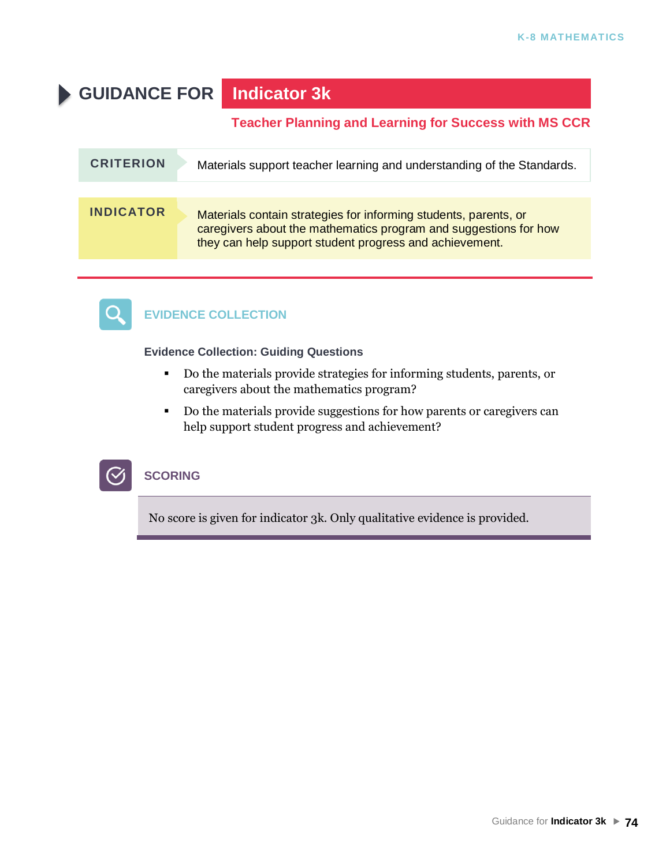# **GUIDANCE FOR Indicator 3k**

### **Teacher Planning and Learning for Success with MS CCR**

| <b>CRITERION</b> | Materials support teacher learning and understanding of the Standards.                                                                                                                          |
|------------------|-------------------------------------------------------------------------------------------------------------------------------------------------------------------------------------------------|
|                  |                                                                                                                                                                                                 |
| <b>INDICATOR</b> | Materials contain strategies for informing students, parents, or<br>caregivers about the mathematics program and suggestions for how<br>they can help support student progress and achievement. |



# **EVIDENCE COLLECTION**

**Evidence Collection: Guiding Questions**

- Do the materials provide strategies for informing students, parents, or caregivers about the mathematics program?
- Do the materials provide suggestions for how parents or caregivers can help support student progress and achievement?



#### **SCORING**

No score is given for indicator 3k. Only qualitative evidence is provided.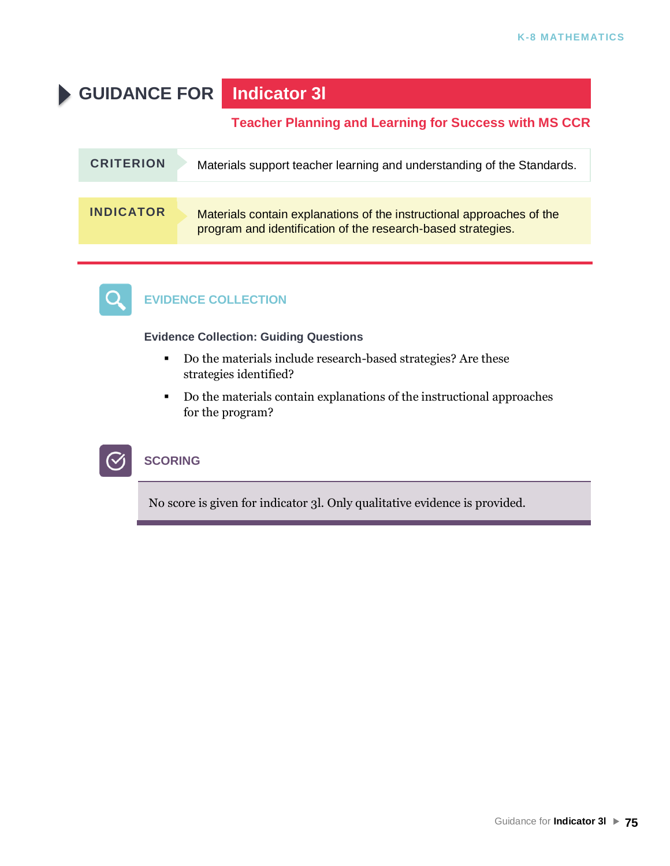# **GUIDANCE FOR Indicator 3l**

### **Teacher Planning and Learning for Success with MS CCR**

| <b>CRITERION</b> | Materials support teacher learning and understanding of the Standards.                                                                |
|------------------|---------------------------------------------------------------------------------------------------------------------------------------|
|                  |                                                                                                                                       |
| <b>INDICATOR</b> | Materials contain explanations of the instructional approaches of the<br>program and identification of the research-based strategies. |



# **EVIDENCE COLLECTION**

**Evidence Collection: Guiding Questions**

- Do the materials include research-based strategies? Are these strategies identified?
- Do the materials contain explanations of the instructional approaches for the program?



# **SCORING**

No score is given for indicator 3l. Only qualitative evidence is provided.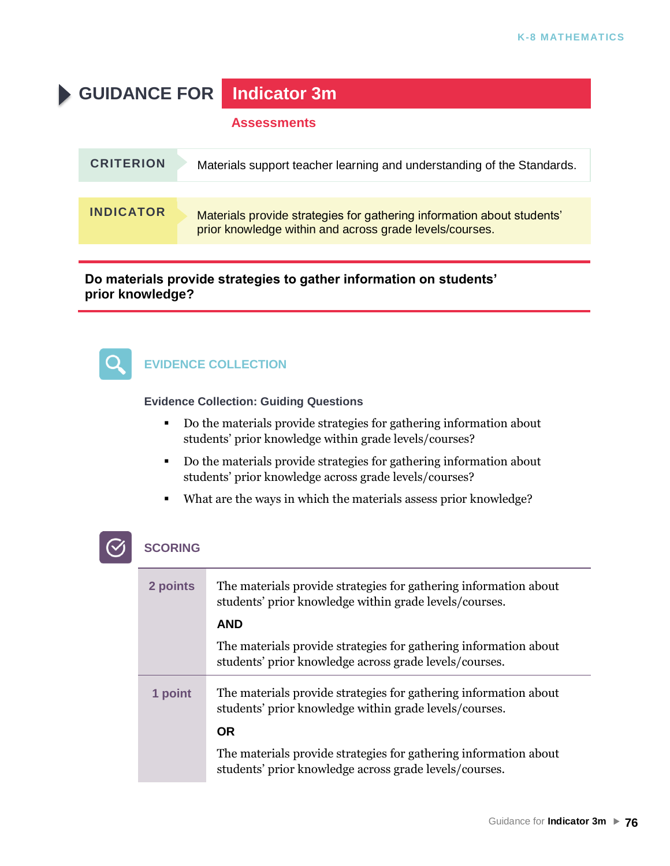# **GUIDANCE FOR Indicator 3m**

#### **Assessments**

| <b>CRITERION</b> | Materials support teacher learning and understanding of the Standards.                                                            |
|------------------|-----------------------------------------------------------------------------------------------------------------------------------|
| <b>INDICATOR</b> | Materials provide strategies for gathering information about students'<br>prior knowledge within and across grade levels/courses. |

**Do materials provide strategies to gather information on students' prior knowledge?**



## **EVIDENCE COLLECTION**

**Evidence Collection: Guiding Questions**

- Do the materials provide strategies for gathering information about students' prior knowledge within grade levels/courses?
- Do the materials provide strategies for gathering information about students' prior knowledge across grade levels/courses?
- What are the ways in which the materials assess prior knowledge?

| 2 points | The materials provide strategies for gathering information about<br>students' prior knowledge within grade levels/courses. |
|----------|----------------------------------------------------------------------------------------------------------------------------|
|          | <b>AND</b>                                                                                                                 |
|          | The materials provide strategies for gathering information about<br>students' prior knowledge across grade levels/courses. |
| 1 point  | The materials provide strategies for gathering information about<br>students' prior knowledge within grade levels/courses. |
|          | <b>OR</b>                                                                                                                  |
|          | The materials provide strategies for gathering information about<br>students' prior knowledge across grade levels/courses. |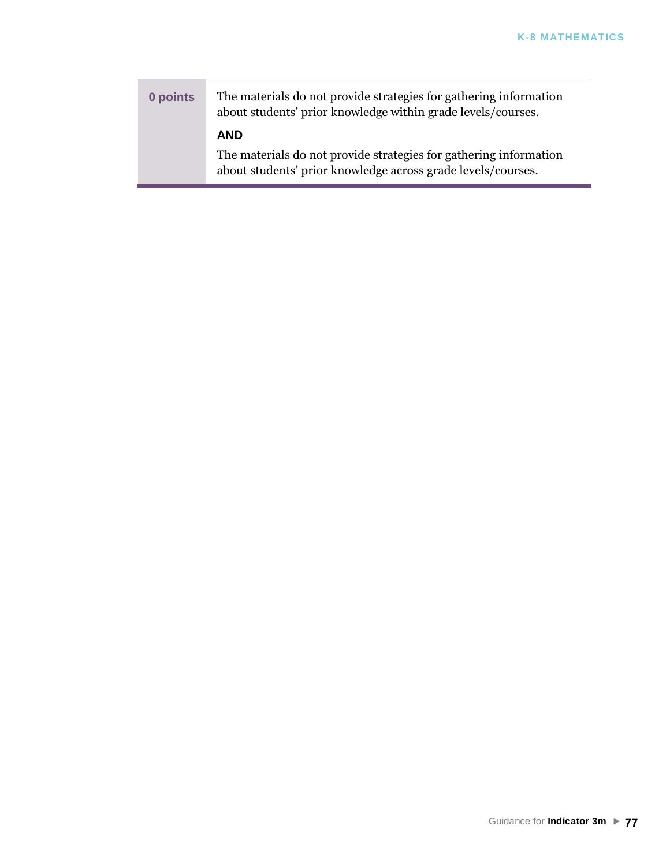**0 points** The materials do not provide strategies for gathering information about students' prior knowledge within grade levels/courses. **AND** The materials do not provide strategies for gathering information about students' prior knowledge across grade levels/courses.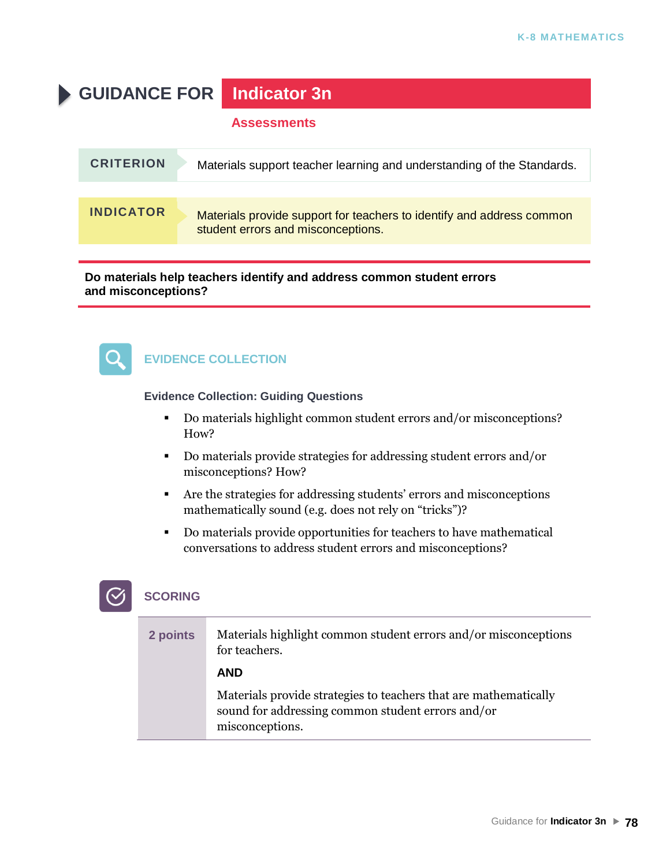**GUIDANCE FOR Indicator 3n**

#### **Assessments**

| <b>CRITERION</b> | Materials support teacher learning and understanding of the Standards.                                      |
|------------------|-------------------------------------------------------------------------------------------------------------|
|                  |                                                                                                             |
| <b>INDICATOR</b> | Materials provide support for teachers to identify and address common<br>student errors and misconceptions. |

**Do materials help teachers identify and address common student errors and misconceptions?**



### **EVIDENCE COLLECTION**

**Evidence Collection: Guiding Questions**

- Do materials highlight common student errors and/or misconceptions? How?
- Do materials provide strategies for addressing student errors and/or misconceptions? How?
- Are the strategies for addressing students' errors and misconceptions mathematically sound (e.g. does not rely on "tricks")?
- Do materials provide opportunities for teachers to have mathematical conversations to address student errors and misconceptions?

| 2 points | Materials highlight common student errors and/or misconceptions<br>for teachers.                                                         |
|----------|------------------------------------------------------------------------------------------------------------------------------------------|
|          | <b>AND</b>                                                                                                                               |
|          | Materials provide strategies to teachers that are mathematically<br>sound for addressing common student errors and/or<br>misconceptions. |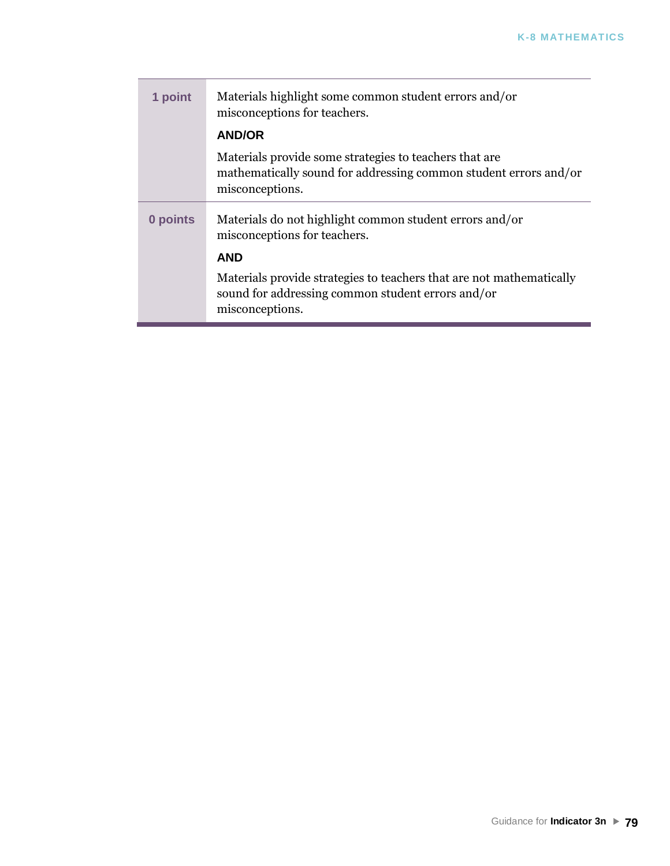| 1 point  | Materials highlight some common student errors and/or<br>misconceptions for teachers.                                                          |
|----------|------------------------------------------------------------------------------------------------------------------------------------------------|
|          | <b>AND/OR</b>                                                                                                                                  |
|          | Materials provide some strategies to teachers that are.<br>mathematically sound for addressing common student errors and/or<br>misconceptions. |
| 0 points | Materials do not highlight common student errors and/or<br>misconceptions for teachers.                                                        |
|          | <b>AND</b>                                                                                                                                     |
|          | Materials provide strategies to teachers that are not mathematically<br>sound for addressing common student errors and/or<br>misconceptions.   |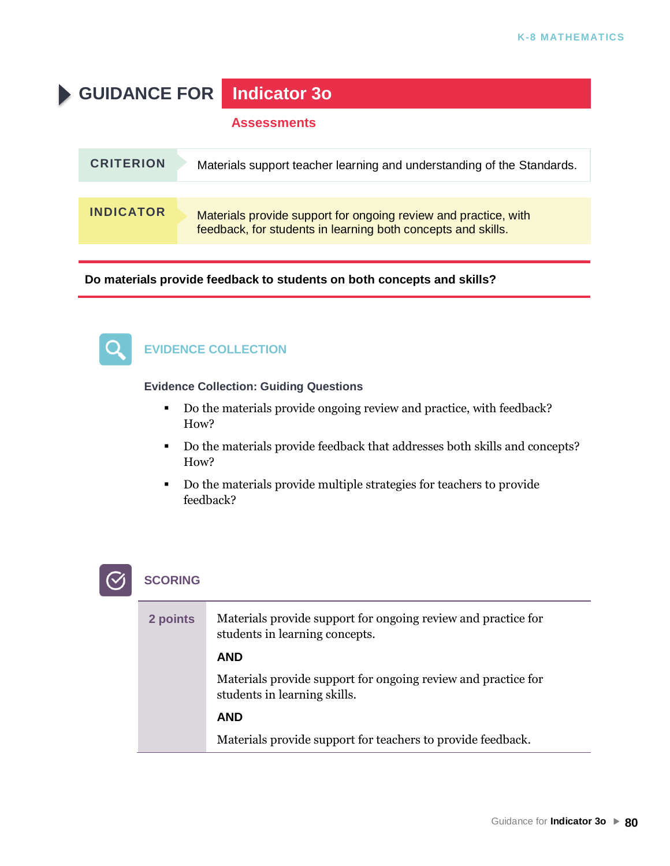**GUIDANCE FOR Indicator 3o**

#### **Assessments**

| <b>CRITERION</b> | Materials support teacher learning and understanding of the Standards.                                                          |
|------------------|---------------------------------------------------------------------------------------------------------------------------------|
|                  |                                                                                                                                 |
| <b>INDICATOR</b> | Materials provide support for ongoing review and practice, with<br>feedback, for students in learning both concepts and skills. |

**Do materials provide feedback to students on both concepts and skills?**



### **EVIDENCE COLLECTION**

**Evidence Collection: Guiding Questions**

- Do the materials provide ongoing review and practice, with feedback? How?
- Do the materials provide feedback that addresses both skills and concepts? How?
- Do the materials provide multiple strategies for teachers to provide feedback?



| 2 points | Materials provide support for ongoing review and practice for<br>students in learning concepts. |
|----------|-------------------------------------------------------------------------------------------------|
|          | <b>AND</b>                                                                                      |
|          | Materials provide support for ongoing review and practice for<br>students in learning skills.   |
|          | <b>AND</b>                                                                                      |
|          | Materials provide support for teachers to provide feedback.                                     |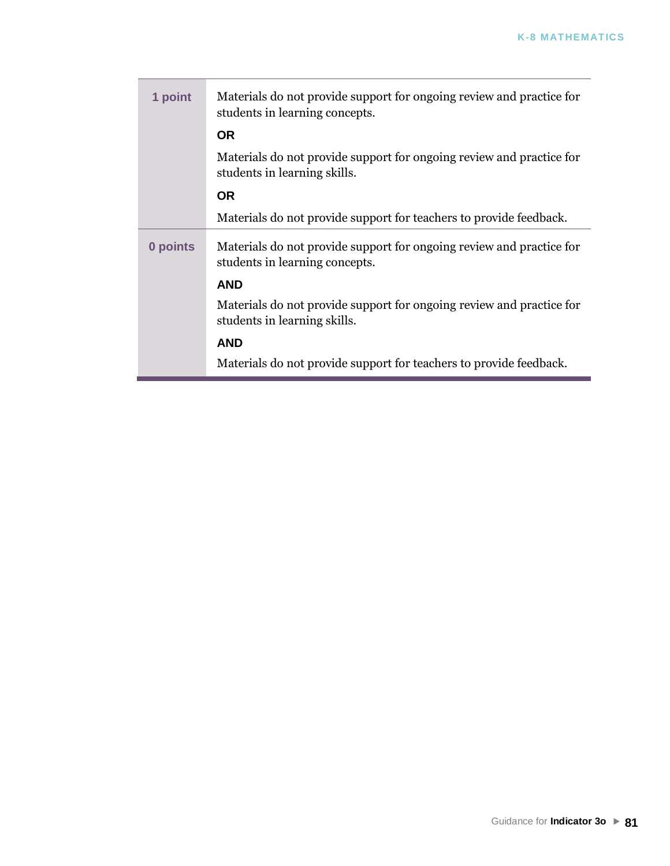| 1 point  | Materials do not provide support for ongoing review and practice for<br>students in learning concepts. |
|----------|--------------------------------------------------------------------------------------------------------|
|          | <b>OR</b>                                                                                              |
|          | Materials do not provide support for ongoing review and practice for<br>students in learning skills.   |
|          | <b>OR</b>                                                                                              |
|          | Materials do not provide support for teachers to provide feedback.                                     |
| 0 points | Materials do not provide support for ongoing review and practice for<br>students in learning concepts. |
|          | <b>AND</b>                                                                                             |
|          | Materials do not provide support for ongoing review and practice for<br>students in learning skills.   |
|          | <b>AND</b>                                                                                             |
|          | Materials do not provide support for teachers to provide feedback.                                     |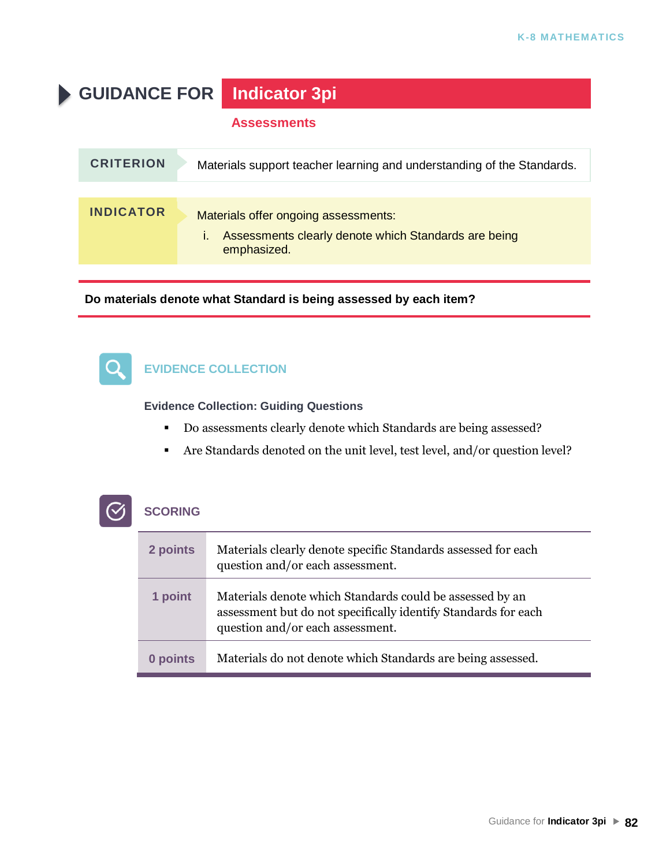**GUIDANCE FOR Indicator 3pi**

#### **Assessments**

| <b>CRITERION</b> | Materials support teacher learning and understanding of the Standards.                                      |
|------------------|-------------------------------------------------------------------------------------------------------------|
|                  |                                                                                                             |
| <b>INDICATOR</b> | Materials offer ongoing assessments:<br>Assessments clearly denote which Standards are being<br>emphasized. |

**Do materials denote what Standard is being assessed by each item?**

#### **EVIDENCE COLLECTION**  $\bullet$  .

**Evidence Collection: Guiding Questions**

- Do assessments clearly denote which Standards are being assessed?
- Are Standards denoted on the unit level, test level, and/or question level?

| 2 points | Materials clearly denote specific Standards assessed for each<br>question and/or each assessment.                                                              |
|----------|----------------------------------------------------------------------------------------------------------------------------------------------------------------|
| 1 point  | Materials denote which Standards could be assessed by an<br>assessment but do not specifically identify Standards for each<br>question and/or each assessment. |
| 0 points | Materials do not denote which Standards are being assessed.                                                                                                    |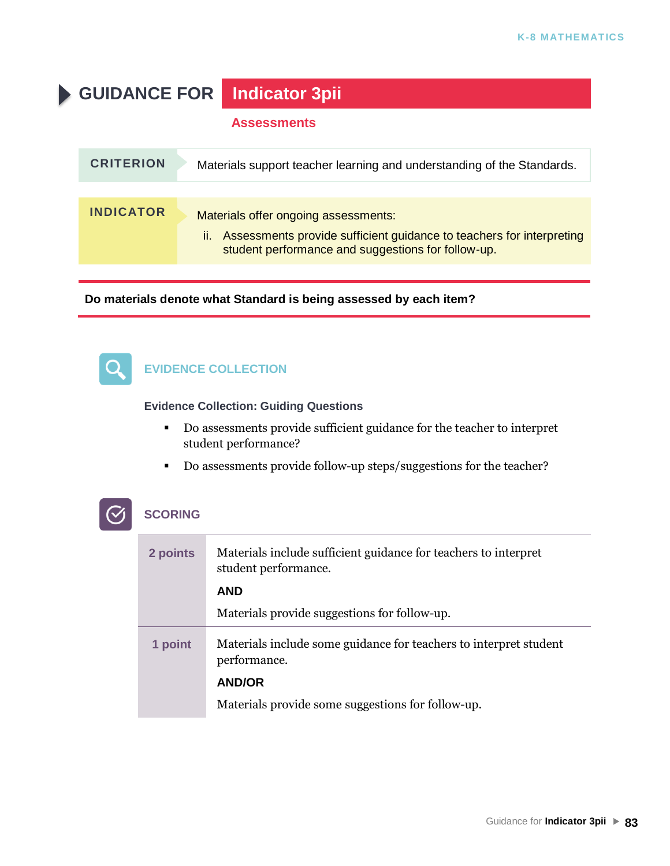**GUIDANCE FOR Indicator 3pii**

#### **Assessments**

| <b>CRITERION</b> | Materials support teacher learning and understanding of the Standards.                                                                                                   |
|------------------|--------------------------------------------------------------------------------------------------------------------------------------------------------------------------|
|                  |                                                                                                                                                                          |
| <b>INDICATOR</b> | Materials offer ongoing assessments:<br>Assessments provide sufficient guidance to teachers for interpreting<br>Ш.<br>student performance and suggestions for follow-up. |

**Do materials denote what Standard is being assessed by each item?**

#### **EVIDENCE COLLECTION**  $\mathbf{O}$

**Evidence Collection: Guiding Questions**

- Do assessments provide sufficient guidance for the teacher to interpret student performance?
- Do assessments provide follow-up steps/suggestions for the teacher?

| 2 points | Materials include sufficient guidance for teachers to interpret<br>student performance. |
|----------|-----------------------------------------------------------------------------------------|
|          | <b>AND</b>                                                                              |
|          | Materials provide suggestions for follow-up.                                            |
| 1 point  | Materials include some guidance for teachers to interpret student<br>performance.       |
|          | <b>AND/OR</b>                                                                           |
|          | Materials provide some suggestions for follow-up.                                       |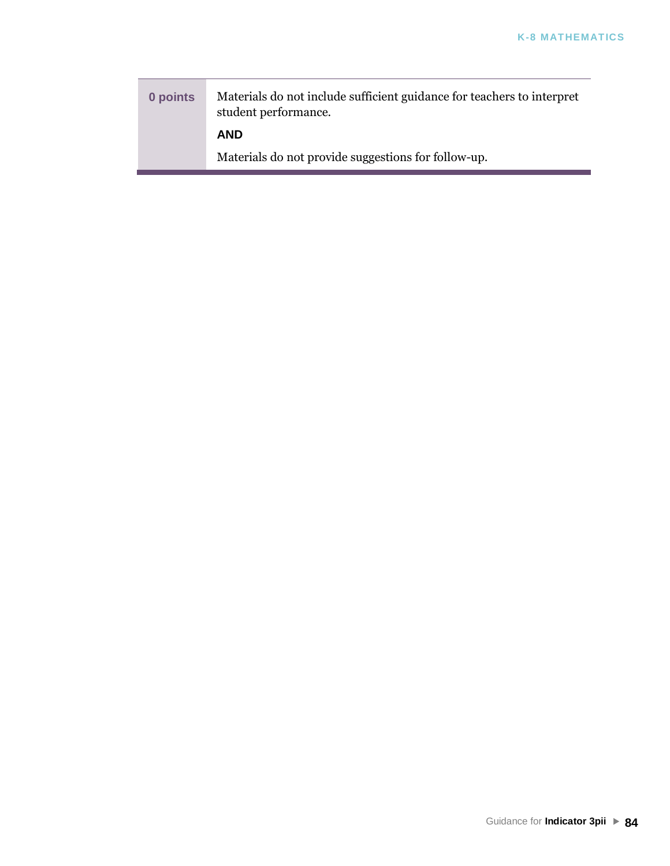**0 points** Materials do not include sufficient guidance for teachers to interpret student performance. **AND** Materials do not provide suggestions for follow-up.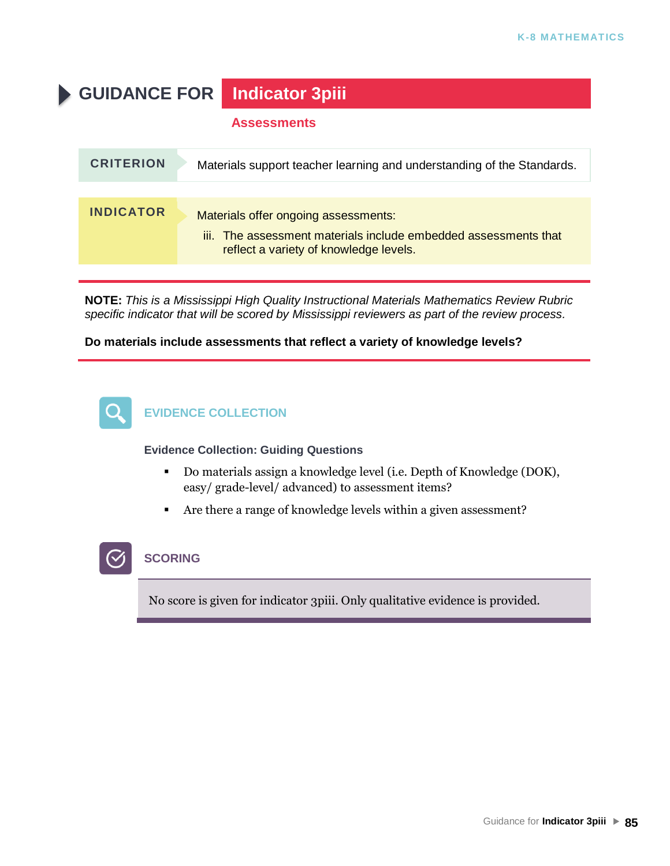**GUIDANCE FOR Indicator 3piii**

#### **Assessments**

| <b>CRITERION</b> | Materials support teacher learning and understanding of the Standards.                                                                            |
|------------------|---------------------------------------------------------------------------------------------------------------------------------------------------|
|                  |                                                                                                                                                   |
| <b>INDICATOR</b> | Materials offer ongoing assessments:<br>iii. The assessment materials include embedded assessments that<br>reflect a variety of knowledge levels. |
|                  |                                                                                                                                                   |

**NOTE:** *This is a Mississippi High Quality Instructional Materials Mathematics Review Rubric specific indicator that will be scored by Mississippi reviewers as part of the review process.*

**Do materials include assessments that reflect a variety of knowledge levels?**



**Evidence Collection: Guiding Questions**

- Do materials assign a knowledge level (i.e. Depth of Knowledge (DOK), easy/ grade-level/ advanced) to assessment items?
- Are there a range of knowledge levels within a given assessment?



#### **SCORING**

No score is given for indicator 3piii. Only qualitative evidence is provided.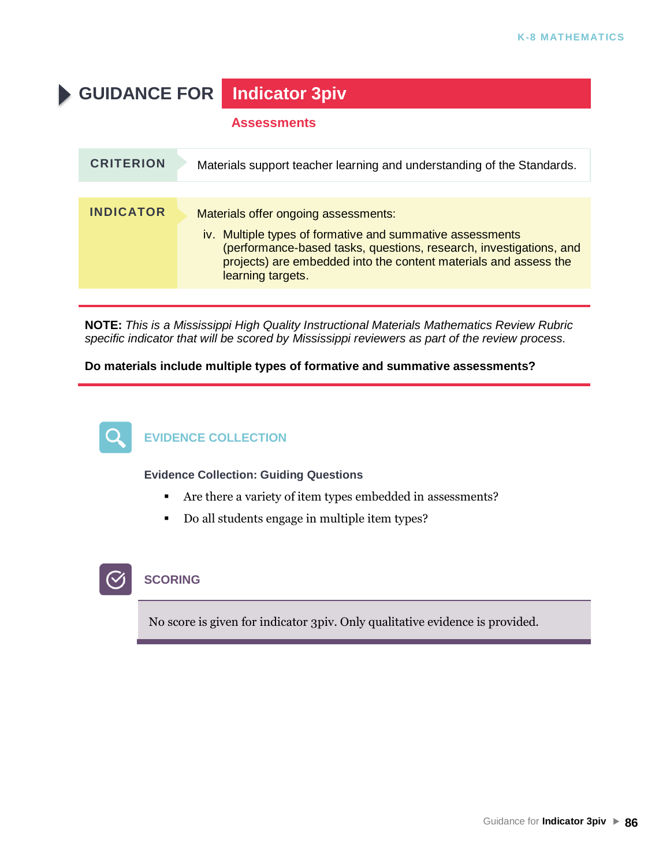**GUIDANCE FOR Indicator 3piv**

#### **Assessments**

| <b>CRITERION</b> | Materials support teacher learning and understanding of the Standards.                                                                                                                                                                                           |
|------------------|------------------------------------------------------------------------------------------------------------------------------------------------------------------------------------------------------------------------------------------------------------------|
|                  |                                                                                                                                                                                                                                                                  |
| <b>INDICATOR</b> | Materials offer ongoing assessments:<br>iv. Multiple types of formative and summative assessments<br>(performance-based tasks, questions, research, investigations, and<br>projects) are embedded into the content materials and assess the<br>learning targets. |
|                  |                                                                                                                                                                                                                                                                  |

**NOTE:** *This is a Mississippi High Quality Instructional Materials Mathematics Review Rubric specific indicator that will be scored by Mississippi reviewers as part of the review process.*

**Do materials include multiple types of formative and summative assessments?**



# **EVIDENCE COLLECTION**

**Evidence Collection: Guiding Questions**

- Are there a variety of item types embedded in assessments?
- Do all students engage in multiple item types?

# **SCORING**

No score is given for indicator 3piv. Only qualitative evidence is provided.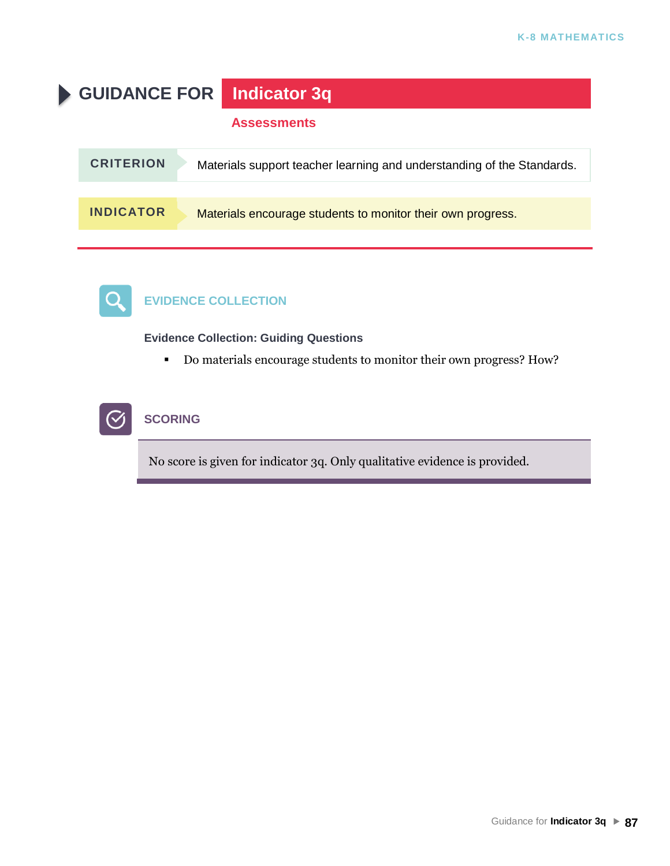



# **EVIDENCE COLLECTION**

**Evidence Collection: Guiding Questions**

▪ Do materials encourage students to monitor their own progress? How?



### **SCORING**

No score is given for indicator 3q. Only qualitative evidence is provided.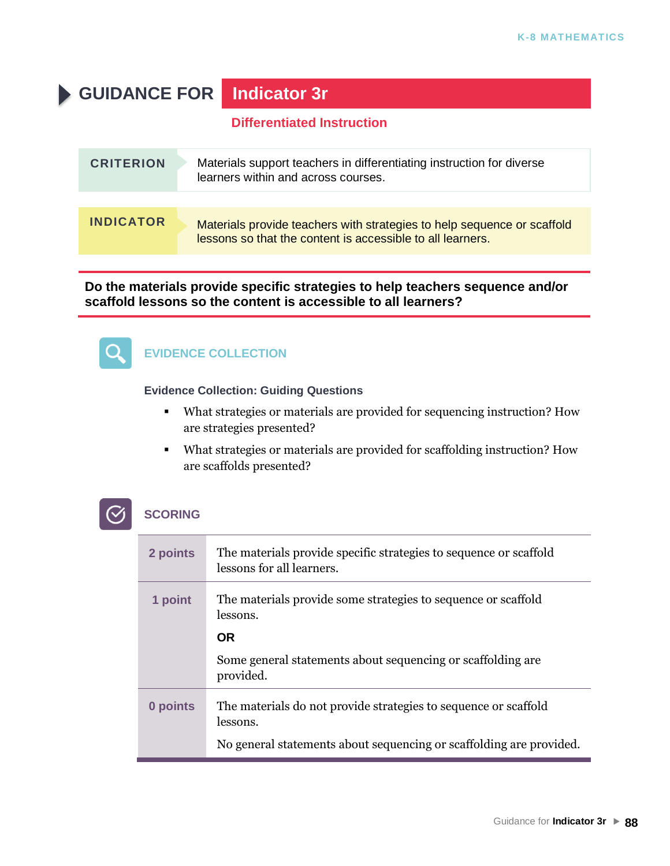# **GUIDANCE FOR Indicator 3r**

### **Differentiated Instruction**

| <b>CRITERION</b> | Materials support teachers in differentiating instruction for diverse<br>learners within and across courses.                          |
|------------------|---------------------------------------------------------------------------------------------------------------------------------------|
|                  |                                                                                                                                       |
| <b>INDICATOR</b> | Materials provide teachers with strategies to help sequence or scaffold<br>lessons so that the content is accessible to all learners. |

**Do the materials provide specific strategies to help teachers sequence and/or scaffold lessons so the content is accessible to all learners?**



# **EVIDENCE COLLECTION**

#### **Evidence Collection: Guiding Questions**

- What strategies or materials are provided for sequencing instruction? How are strategies presented?
- What strategies or materials are provided for scaffolding instruction? How are scaffolds presented?

| 2 points | The materials provide specific strategies to sequence or scaffold<br>lessons for all learners. |
|----------|------------------------------------------------------------------------------------------------|
| 1 point  | The materials provide some strategies to sequence or scaffold<br>lessons.                      |
|          | <b>OR</b>                                                                                      |
|          | Some general statements about sequencing or scaffolding are.<br>provided.                      |
| 0 points | The materials do not provide strategies to sequence or scaffold<br>lessons.                    |
|          | No general statements about sequencing or scaffolding are provided.                            |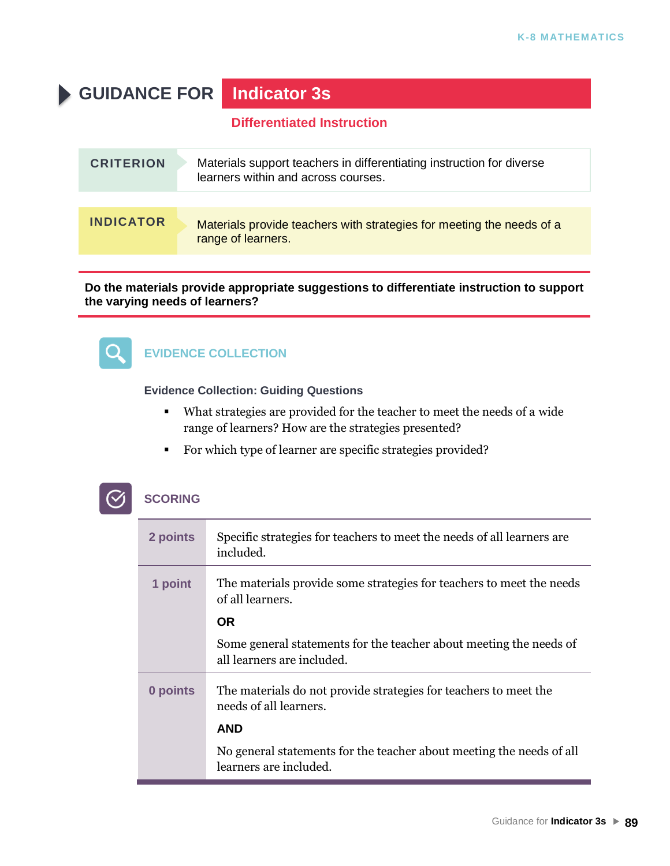# **GUIDANCE FOR Indicator 3s**

### **Differentiated Instruction**

| <b>CRITERION</b> | Materials support teachers in differentiating instruction for diverse<br>learners within and across courses. |
|------------------|--------------------------------------------------------------------------------------------------------------|
|                  |                                                                                                              |
| <b>INDICATOR</b> | Materials provide teachers with strategies for meeting the needs of a<br>range of learners.                  |

#### **Do the materials provide appropriate suggestions to differentiate instruction to support the varying needs of learners?**



# **EVIDENCE COLLECTION**

#### **Evidence Collection: Guiding Questions**

- What strategies are provided for the teacher to meet the needs of a wide range of learners? How are the strategies presented?
- For which type of learner are specific strategies provided?

| 2 points | Specific strategies for teachers to meet the needs of all learners are<br>included.              |
|----------|--------------------------------------------------------------------------------------------------|
| 1 point  | The materials provide some strategies for teachers to meet the needs<br>of all learners.         |
|          | <b>OR</b>                                                                                        |
|          | Some general statements for the teacher about meeting the needs of<br>all learners are included. |
| 0 points | The materials do not provide strategies for teachers to meet the<br>needs of all learners.       |
|          | <b>AND</b>                                                                                       |
|          | No general statements for the teacher about meeting the needs of all<br>learners are included.   |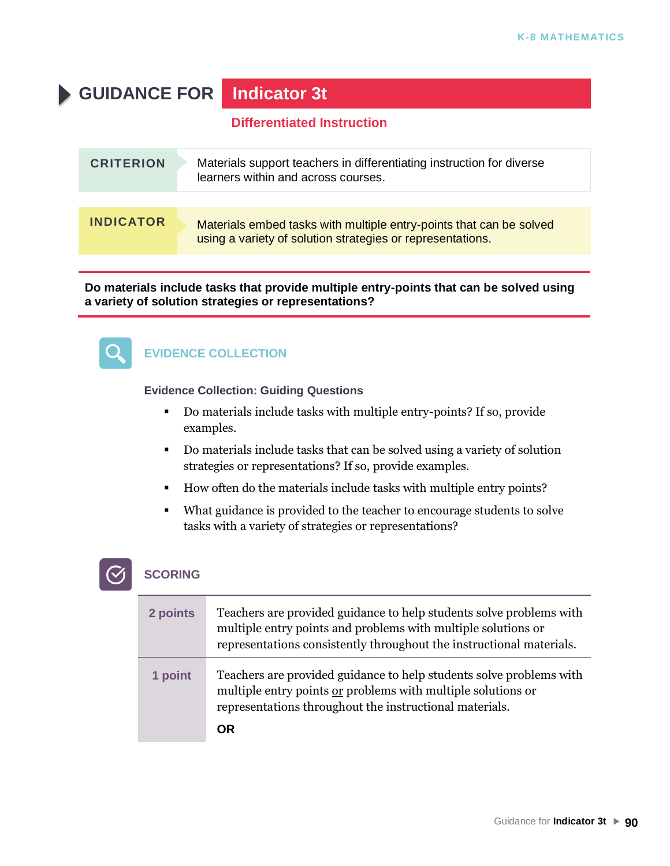# **GUIDANCE FOR Indicator 3t**

### **Differentiated Instruction**

| <b>CRITERION</b> | Materials support teachers in differentiating instruction for diverse<br>learners within and across courses.                      |
|------------------|-----------------------------------------------------------------------------------------------------------------------------------|
|                  |                                                                                                                                   |
| <b>INDICATOR</b> | Materials embed tasks with multiple entry-points that can be solved<br>using a variety of solution strategies or representations. |

**Do materials include tasks that provide multiple entry-points that can be solved using a variety of solution strategies or representations?**



# **EVIDENCE COLLECTION**

#### **Evidence Collection: Guiding Questions**

- Do materials include tasks with multiple entry-points? If so, provide examples.
- Do materials include tasks that can be solved using a variety of solution strategies or representations? If so, provide examples.
- How often do the materials include tasks with multiple entry points?
- What guidance is provided to the teacher to encourage students to solve tasks with a variety of strategies or representations?



| 2 points | Teachers are provided guidance to help students solve problems with<br>multiple entry points and problems with multiple solutions or<br>representations consistently throughout the instructional materials. |
|----------|--------------------------------------------------------------------------------------------------------------------------------------------------------------------------------------------------------------|
| 1 point  | Teachers are provided guidance to help students solve problems with<br>multiple entry points or problems with multiple solutions or<br>representations throughout the instructional materials.<br>ΩR         |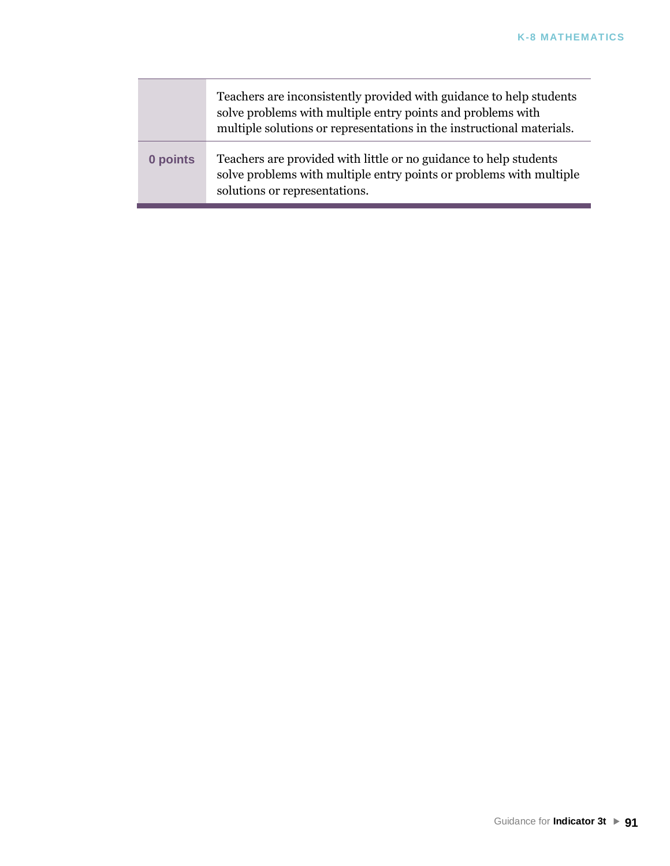|          | Teachers are inconsistently provided with guidance to help students<br>solve problems with multiple entry points and problems with<br>multiple solutions or representations in the instructional materials. |
|----------|-------------------------------------------------------------------------------------------------------------------------------------------------------------------------------------------------------------|
| 0 points | Teachers are provided with little or no guidance to help students<br>solve problems with multiple entry points or problems with multiple<br>solutions or representations.                                   |

π

T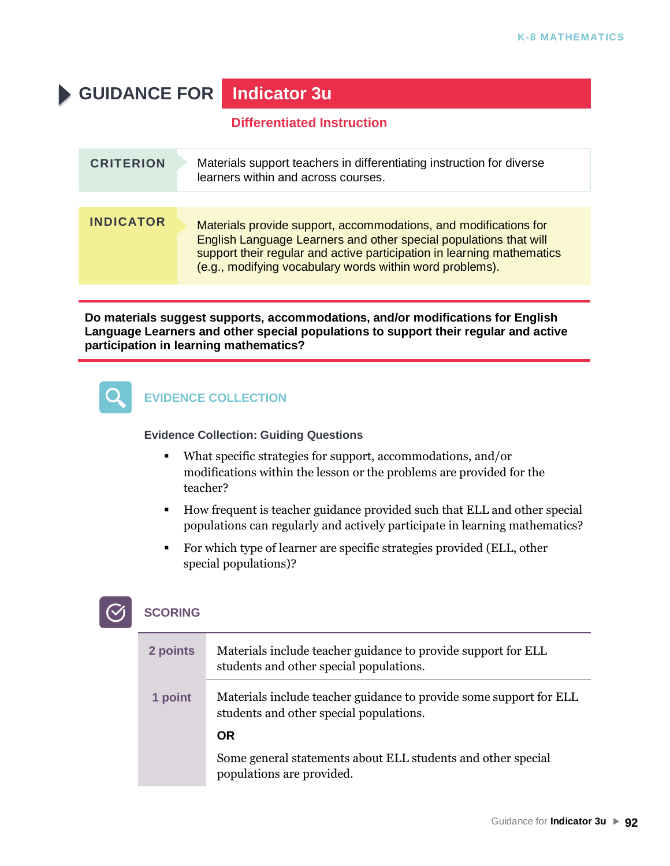# **GUIDANCE FOR Indicator 3u**

### **Differentiated Instruction**

| <b>CRITERION</b> | Materials support teachers in differentiating instruction for diverse<br>learners within and across courses.                                                                                                                                                                |
|------------------|-----------------------------------------------------------------------------------------------------------------------------------------------------------------------------------------------------------------------------------------------------------------------------|
| <b>INDICATOR</b> | Materials provide support, accommodations, and modifications for<br>English Language Learners and other special populations that will<br>support their regular and active participation in learning mathematics<br>(e.g., modifying vocabulary words within word problems). |

**Do materials suggest supports, accommodations, and/or modifications for English Language Learners and other special populations to support their regular and active participation in learning mathematics?**



### **EVIDENCE COLLECTION**

#### **Evidence Collection: Guiding Questions**

- What specific strategies for support, accommodations, and/or modifications within the lesson or the problems are provided for the teacher?
- How frequent is teacher guidance provided such that ELL and other special populations can regularly and actively participate in learning mathematics?
- For which type of learner are specific strategies provided (ELL, other special populations)?

| 2 points | Materials include teacher guidance to provide support for ELL<br>students and other special populations.      |
|----------|---------------------------------------------------------------------------------------------------------------|
| 1 point  | Materials include teacher guidance to provide some support for ELL<br>students and other special populations. |
|          | <b>OR</b>                                                                                                     |
|          | Some general statements about ELL students and other special<br>populations are provided.                     |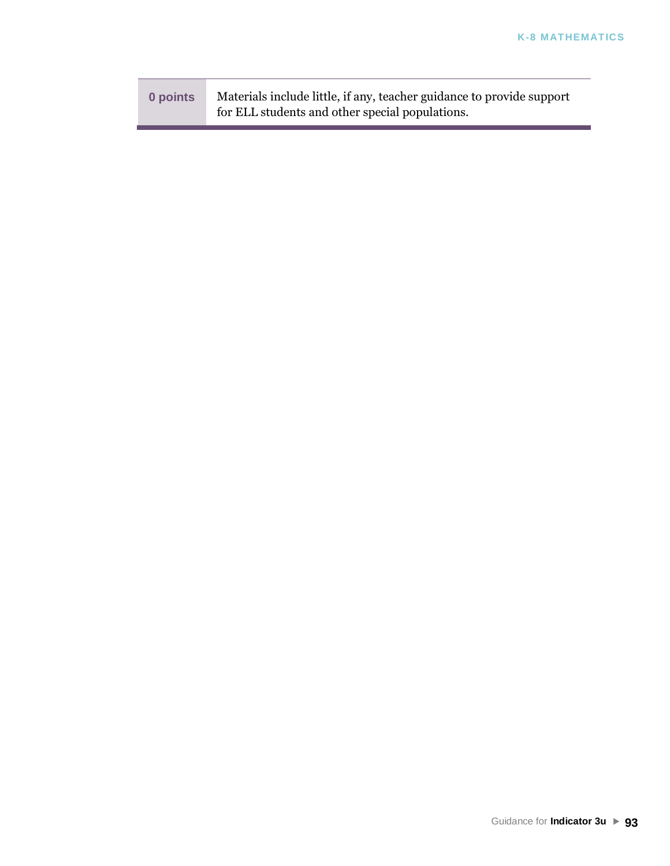| 0 points | Materials include little, if any, teacher guidance to provide support |
|----------|-----------------------------------------------------------------------|
|          | for ELL students and other special populations.                       |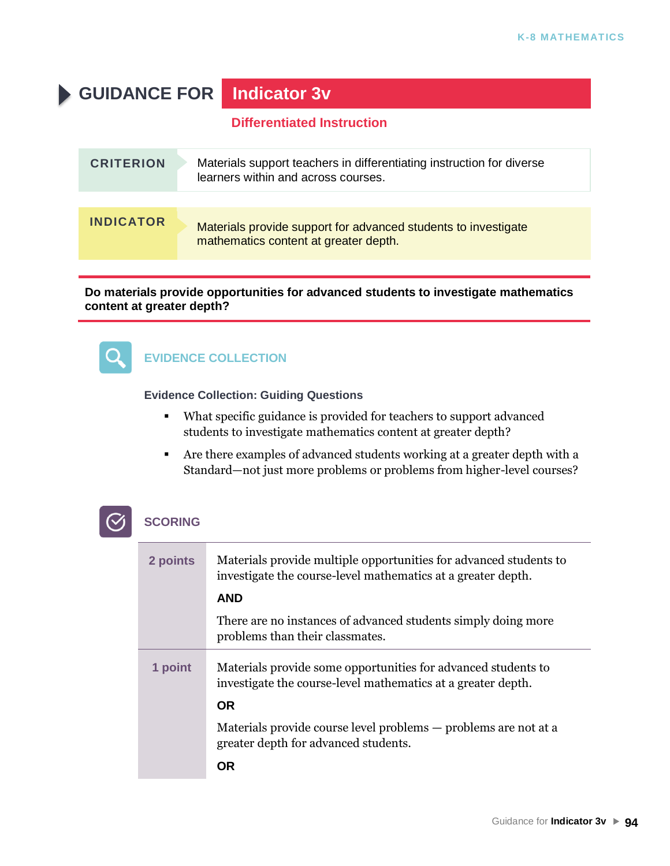# **GUIDANCE FOR Indicator 3v**

#### **Differentiated Instruction**

| <b>CRITERION</b> | Materials support teachers in differentiating instruction for diverse<br>learners within and across courses. |
|------------------|--------------------------------------------------------------------------------------------------------------|
|                  |                                                                                                              |
| <b>INDICATOR</b> | Materials provide support for advanced students to investigate<br>mathematics content at greater depth.      |

#### **Do materials provide opportunities for advanced students to investigate mathematics content at greater depth?**



### **EVIDENCE COLLECTION**

#### **Evidence Collection: Guiding Questions**

- What specific guidance is provided for teachers to support advanced students to investigate mathematics content at greater depth?
- Are there examples of advanced students working at a greater depth with a Standard—not just more problems or problems from higher-level courses?

| 2 points | Materials provide multiple opportunities for advanced students to<br>investigate the course-level mathematics at a greater depth. |
|----------|-----------------------------------------------------------------------------------------------------------------------------------|
|          | <b>AND</b>                                                                                                                        |
|          | There are no instances of advanced students simply doing more<br>problems than their classmates.                                  |
| 1 point  | Materials provide some opportunities for advanced students to<br>investigate the course-level mathematics at a greater depth.     |
|          | <b>OR</b>                                                                                                                         |
|          | Materials provide course level problems — problems are not at a<br>greater depth for advanced students.                           |
|          | ΟR                                                                                                                                |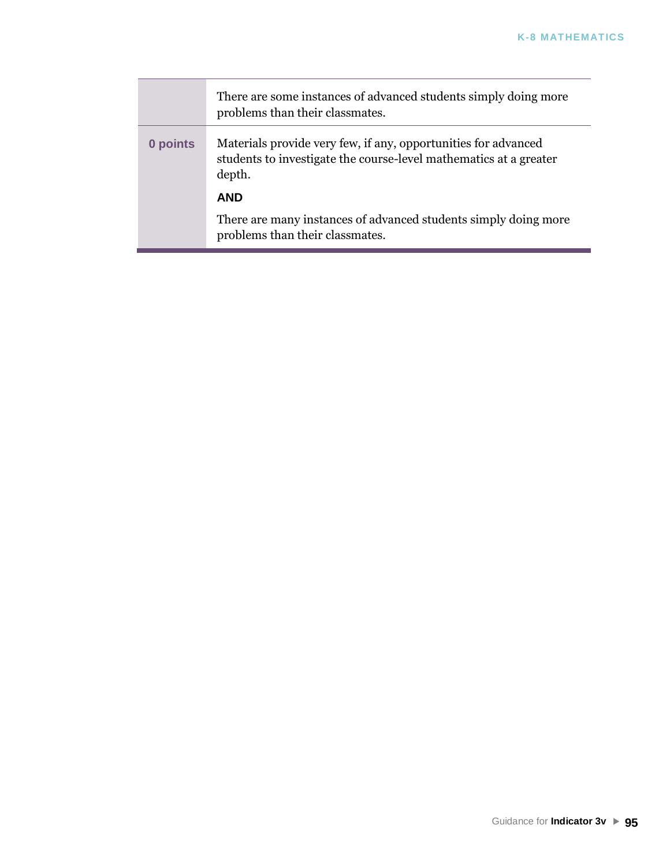|          | There are some instances of advanced students simply doing more<br>problems than their classmates.                                            |
|----------|-----------------------------------------------------------------------------------------------------------------------------------------------|
| 0 points | Materials provide very few, if any, opportunities for advanced<br>students to investigate the course-level mathematics at a greater<br>depth. |
|          | <b>AND</b>                                                                                                                                    |
|          | There are many instances of advanced students simply doing more<br>problems than their classmates.                                            |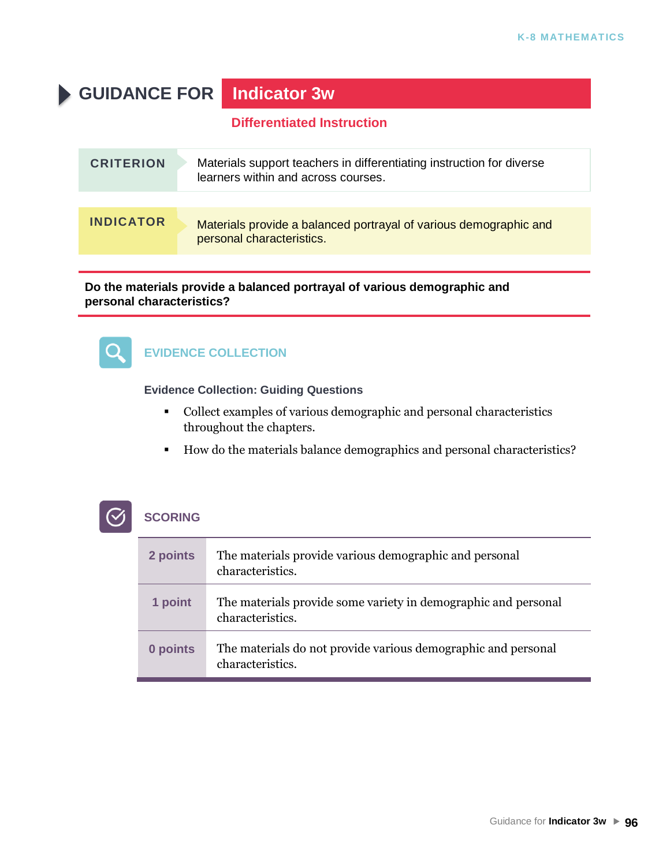# **GUIDANCE FOR Indicator 3w**

### **Differentiated Instruction**

| <b>CRITERION</b> | Materials support teachers in differentiating instruction for diverse<br>learners within and across courses. |
|------------------|--------------------------------------------------------------------------------------------------------------|
|                  |                                                                                                              |
| <b>INDICATOR</b> | Materials provide a balanced portrayal of various demographic and<br>personal characteristics.               |

#### **Do the materials provide a balanced portrayal of various demographic and personal characteristics?**



# **EVIDENCE COLLECTION**

#### **Evidence Collection: Guiding Questions**

- Collect examples of various demographic and personal characteristics throughout the chapters.
- How do the materials balance demographics and personal characteristics?



| 2 points | The materials provide various demographic and personal<br>characteristics.         |
|----------|------------------------------------------------------------------------------------|
| 1 point  | The materials provide some variety in demographic and personal<br>characteristics. |
| 0 points | The materials do not provide various demographic and personal<br>characteristics.  |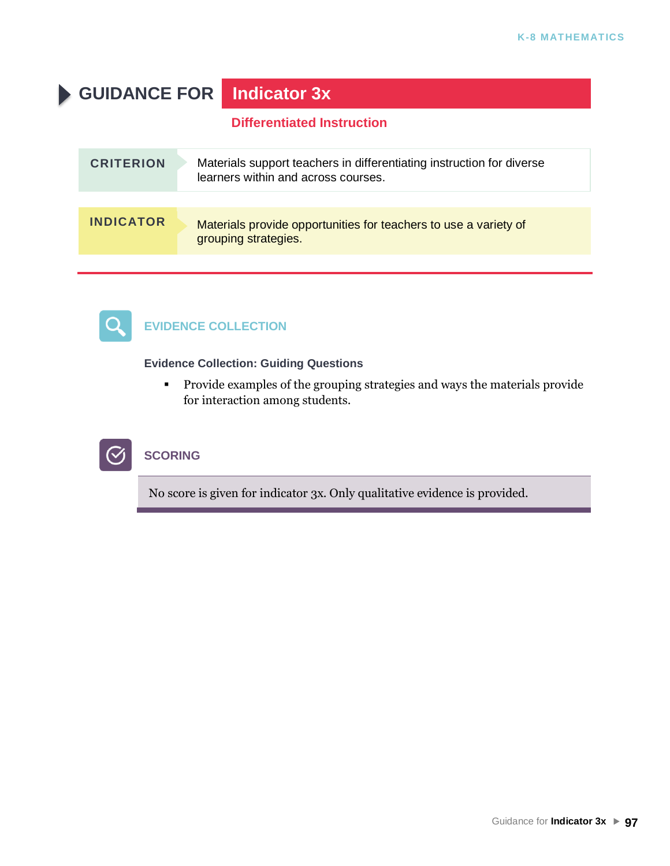# **GUIDANCE FOR Indicator 3x**

### **Differentiated Instruction**

| <b>CRITERION</b> | Materials support teachers in differentiating instruction for diverse<br>learners within and across courses. |
|------------------|--------------------------------------------------------------------------------------------------------------|
|                  |                                                                                                              |
| <b>INDICATOR</b> | Materials provide opportunities for teachers to use a variety of<br>grouping strategies.                     |



## **EVIDENCE COLLECTION**

#### **Evidence Collection: Guiding Questions**

▪ Provide examples of the grouping strategies and ways the materials provide for interaction among students.



### **SCORING**

No score is given for indicator 3x. Only qualitative evidence is provided.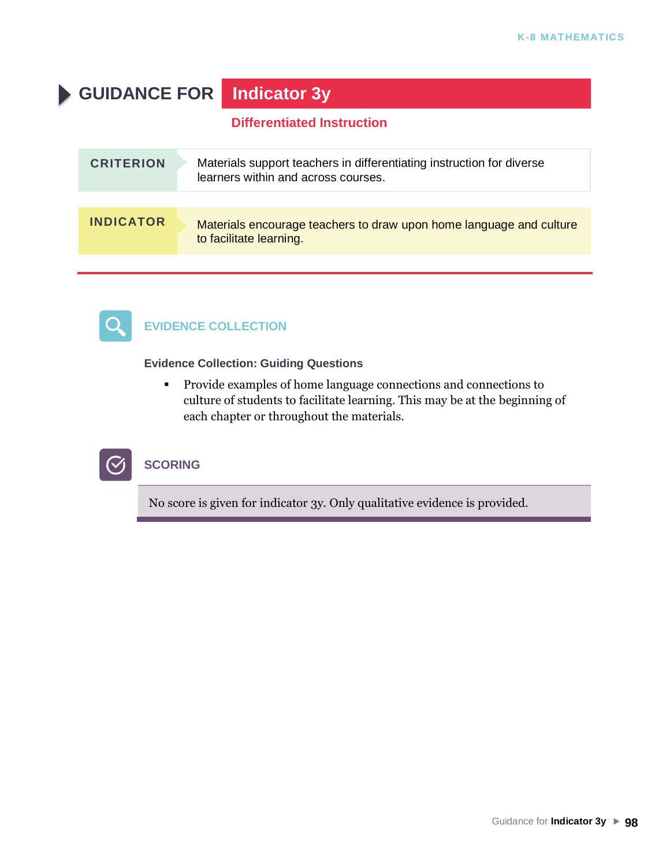# **GUIDANCE FOR Indicator 3y**

### **Differentiated Instruction**

| <b>CRITERION</b> | Materials support teachers in differentiating instruction for diverse<br>learners within and across courses. |
|------------------|--------------------------------------------------------------------------------------------------------------|
|                  |                                                                                                              |
| <b>INDICATOR</b> | Materials encourage teachers to draw upon home language and culture<br>to facilitate learning.               |



## **EVIDENCE COLLECTION**

#### **Evidence Collection: Guiding Questions**

▪ Provide examples of home language connections and connections to culture of students to facilitate learning. This may be at the beginning of each chapter or throughout the materials.



# **SCORING**

No score is given for indicator 3y. Only qualitative evidence is provided.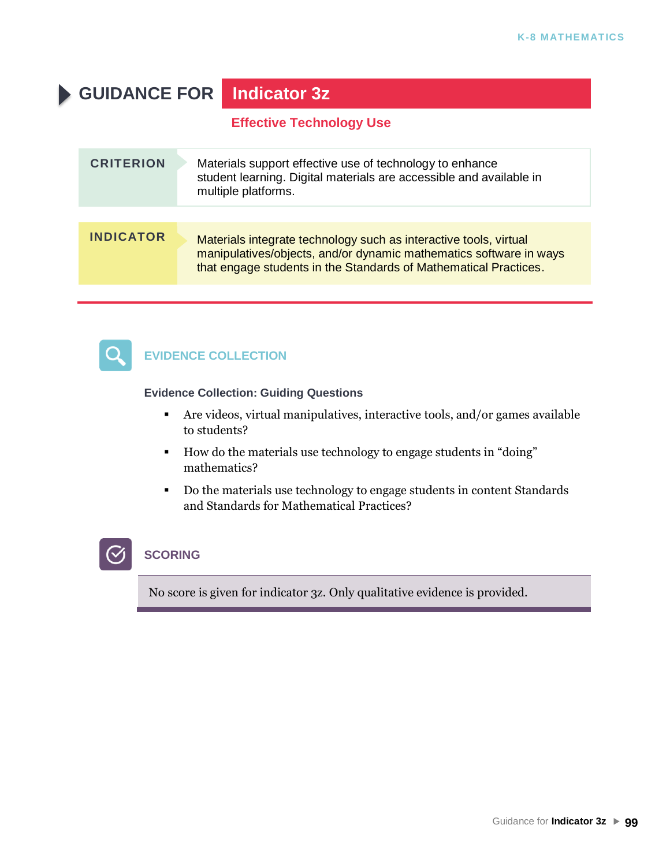# **GUIDANCE FOR Indicator 3z**

**Effective Technology Use**

| <b>CRITERION</b> | Materials support effective use of technology to enhance<br>student learning. Digital materials are accessible and available in<br>multiple platforms.                                                      |
|------------------|-------------------------------------------------------------------------------------------------------------------------------------------------------------------------------------------------------------|
|                  |                                                                                                                                                                                                             |
| <b>INDICATOR</b> | Materials integrate technology such as interactive tools, virtual<br>manipulatives/objects, and/or dynamic mathematics software in ways<br>that engage students in the Standards of Mathematical Practices. |



# **EVIDENCE COLLECTION**

#### **Evidence Collection: Guiding Questions**

- Are videos, virtual manipulatives, interactive tools, and/or games available to students?
- How do the materials use technology to engage students in "doing" mathematics?
- Do the materials use technology to engage students in content Standards and Standards for Mathematical Practices?

# **SCORING**

No score is given for indicator 3z. Only qualitative evidence is provided.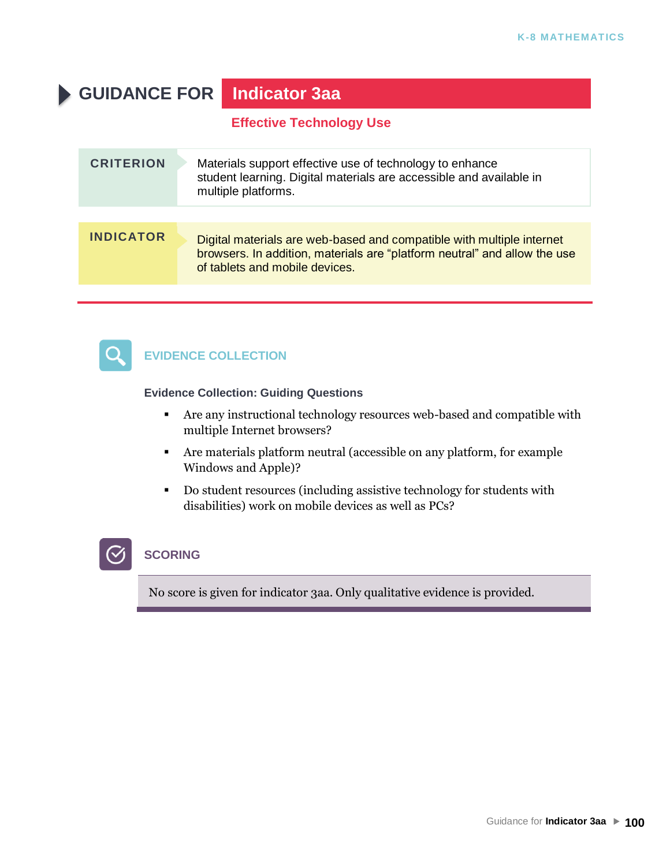# **GUIDANCE FOR Indicator 3aa**

**Effective Technology Use**

| <b>CRITERION</b> | Materials support effective use of technology to enhance<br>student learning. Digital materials are accessible and available in<br>multiple platforms.                               |
|------------------|--------------------------------------------------------------------------------------------------------------------------------------------------------------------------------------|
|                  |                                                                                                                                                                                      |
| <b>INDICATOR</b> | Digital materials are web-based and compatible with multiple internet<br>browsers. In addition, materials are "platform neutral" and allow the use<br>of tablets and mobile devices. |
|                  |                                                                                                                                                                                      |



# **EVIDENCE COLLECTION**

#### **Evidence Collection: Guiding Questions**

- Are any instructional technology resources web-based and compatible with multiple Internet browsers?
- Are materials platform neutral (accessible on any platform, for example Windows and Apple)?
- Do student resources (including assistive technology for students with disabilities) work on mobile devices as well as PCs?

# **SCORING**

No score is given for indicator 3aa. Only qualitative evidence is provided.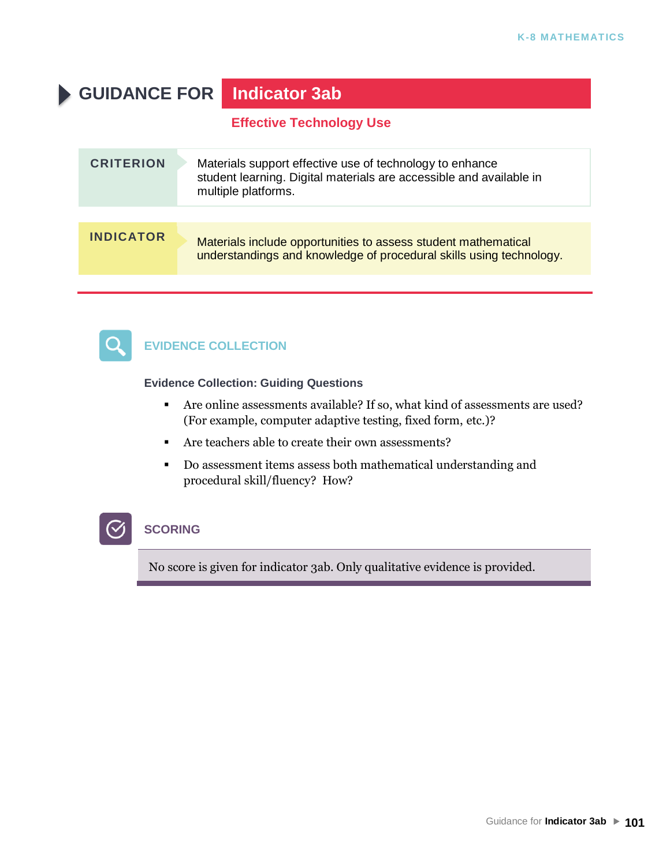# **GUIDANCE FOR Indicator 3ab**

**Effective Technology Use**

| <b>CRITERION</b> | Materials support effective use of technology to enhance<br>student learning. Digital materials are accessible and available in<br>multiple platforms. |
|------------------|--------------------------------------------------------------------------------------------------------------------------------------------------------|
|                  |                                                                                                                                                        |
| <b>INDICATOR</b> | Materials include opportunities to assess student mathematical<br>understandings and knowledge of procedural skills using technology.                  |



 $\mathcal{C}$ 

# **EVIDENCE COLLECTION**

**Evidence Collection: Guiding Questions**

- Are online assessments available? If so, what kind of assessments are used? (For example, computer adaptive testing, fixed form, etc.)?
- Are teachers able to create their own assessments?
- Do assessment items assess both mathematical understanding and procedural skill/fluency? How?

# **SCORING**

No score is given for indicator 3ab. Only qualitative evidence is provided.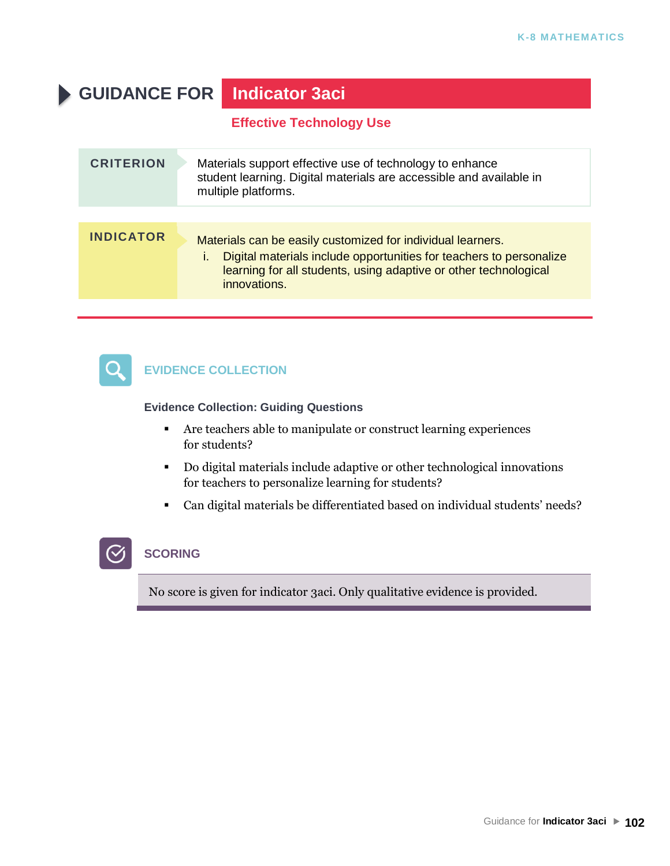# **GUIDANCE FOR Indicator 3aci**

**Effective Technology Use**

| <b>CRITERION</b> | Materials support effective use of technology to enhance<br>student learning. Digital materials are accessible and available in<br>multiple platforms.                                                                 |
|------------------|------------------------------------------------------------------------------------------------------------------------------------------------------------------------------------------------------------------------|
| <b>INDICATOR</b> | Materials can be easily customized for individual learners.<br>Digital materials include opportunities for teachers to personalize<br>learning for all students, using adaptive or other technological<br>innovations. |



 $\mathcal{C}$ 

# **EVIDENCE COLLECTION**

**Evidence Collection: Guiding Questions**

- Are teachers able to manipulate or construct learning experiences for students?
- Do digital materials include adaptive or other technological innovations for teachers to personalize learning for students?
- Can digital materials be differentiated based on individual students' needs?

# **SCORING**

No score is given for indicator 3aci. Only qualitative evidence is provided.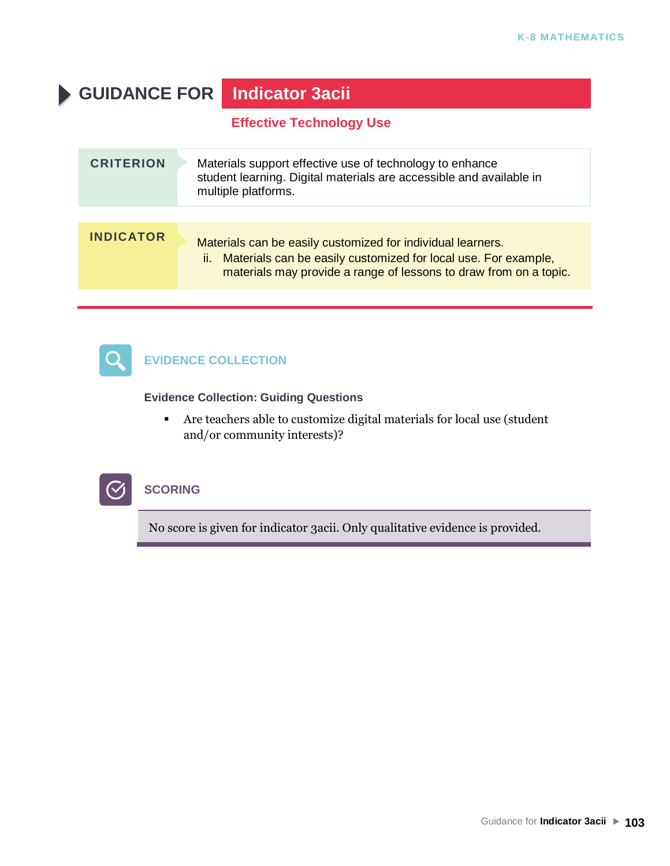# **GUIDANCE FOR Indicator 3acii**

**Effective Technology Use**

| <b>CRITERION</b> | Materials support effective use of technology to enhance<br>student learning. Digital materials are accessible and available in<br>multiple platforms.                                                    |
|------------------|-----------------------------------------------------------------------------------------------------------------------------------------------------------------------------------------------------------|
|                  |                                                                                                                                                                                                           |
| <b>INDICATOR</b> | Materials can be easily customized for individual learners.<br>Materials can be easily customized for local use. For example,<br>ii.<br>materials may provide a range of lessons to draw from on a topic. |



# **EVIDENCE COLLECTION**

**Evidence Collection: Guiding Questions**

▪ Are teachers able to customize digital materials for local use (student and/or community interests)?



### **SCORING**

No score is given for indicator 3acii. Only qualitative evidence is provided.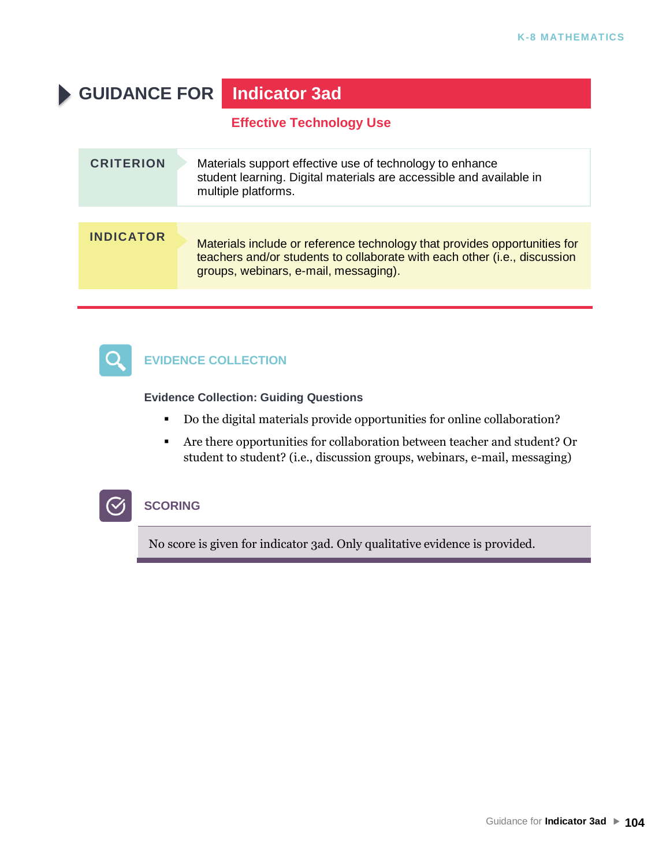# **GUIDANCE FOR Indicator 3ad**

**Effective Technology Use**

| <b>CRITERION</b> | Materials support effective use of technology to enhance<br>student learning. Digital materials are accessible and available in<br>multiple platforms.                                          |
|------------------|-------------------------------------------------------------------------------------------------------------------------------------------------------------------------------------------------|
|                  |                                                                                                                                                                                                 |
| <b>INDICATOR</b> | Materials include or reference technology that provides opportunities for<br>teachers and/or students to collaborate with each other (i.e., discussion<br>groups, webinars, e-mail, messaging). |
|                  |                                                                                                                                                                                                 |



# **EVIDENCE COLLECTION**

**Evidence Collection: Guiding Questions**

- Do the digital materials provide opportunities for online collaboration?
- Are there opportunities for collaboration between teacher and student? Or student to student? (i.e., discussion groups, webinars, e-mail, messaging)



# **SCORING**

No score is given for indicator 3ad. Only qualitative evidence is provided.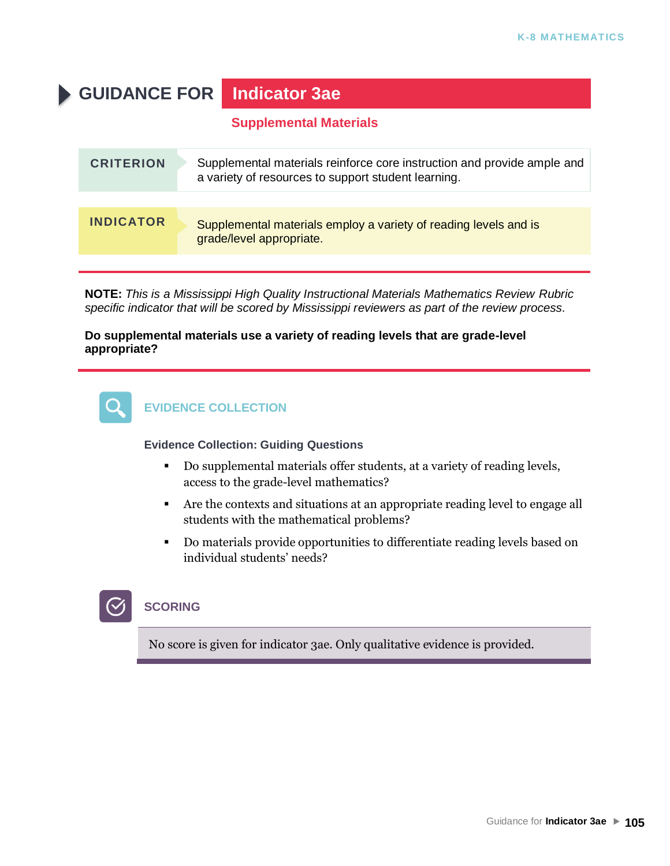# **GUIDANCE FOR Indicator 3ae**

### **Supplemental Materials**

| <b>CRITERION</b> | Supplemental materials reinforce core instruction and provide ample and<br>a variety of resources to support student learning. |
|------------------|--------------------------------------------------------------------------------------------------------------------------------|
|                  |                                                                                                                                |
| <b>INDICATOR</b> | Supplemental materials employ a variety of reading levels and is<br>grade/level appropriate.                                   |

**NOTE:** *This is a Mississippi High Quality Instructional Materials Mathematics Review Rubric specific indicator that will be scored by Mississippi reviewers as part of the review process.*

#### **Do supplemental materials use a variety of reading levels that are grade-level appropriate?**



#### **Evidence Collection: Guiding Questions**

- Do supplemental materials offer students, at a variety of reading levels, access to the grade-level mathematics?
- Are the contexts and situations at an appropriate reading level to engage all students with the mathematical problems?
- Do materials provide opportunities to differentiate reading levels based on individual students' needs?

# **SCORING**

No score is given for indicator 3ae. Only qualitative evidence is provided.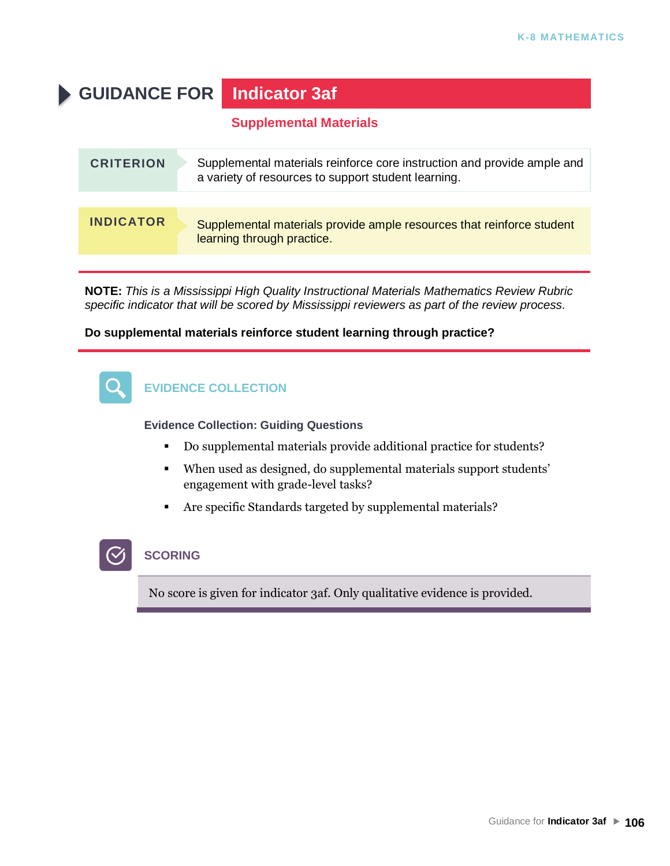# **GUIDANCE FOR Indicator 3af**

### **Supplemental Materials**

| <b>CRITERION</b> | Supplemental materials reinforce core instruction and provide ample and<br>a variety of resources to support student learning. |
|------------------|--------------------------------------------------------------------------------------------------------------------------------|
|                  |                                                                                                                                |
| <b>INDICATOR</b> | Supplemental materials provide ample resources that reinforce student<br>learning through practice.                            |

**NOTE:** *This is a Mississippi High Quality Instructional Materials Mathematics Review Rubric specific indicator that will be scored by Mississippi reviewers as part of the review process.*

#### **Do supplemental materials reinforce student learning through practice?**



**Evidence Collection: Guiding Questions**

- Do supplemental materials provide additional practice for students?
- When used as designed, do supplemental materials support students' engagement with grade-level tasks?
- Are specific Standards targeted by supplemental materials?

# **SCORING**

No score is given for indicator 3af. Only qualitative evidence is provided.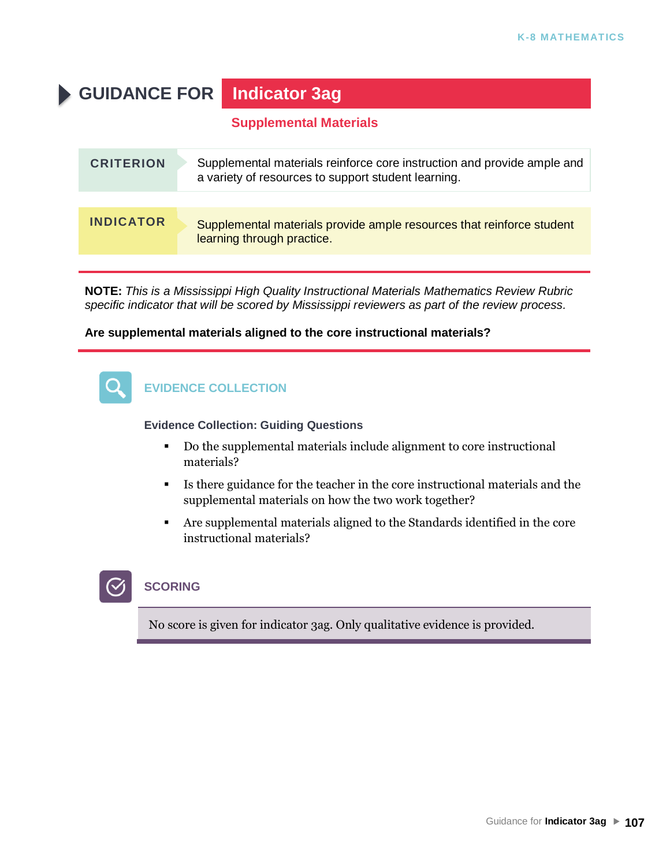# **GUIDANCE FOR Indicator 3ag**

### **Supplemental Materials**

| <b>CRITERION</b> | Supplemental materials reinforce core instruction and provide ample and<br>a variety of resources to support student learning. |
|------------------|--------------------------------------------------------------------------------------------------------------------------------|
|                  |                                                                                                                                |
| <b>INDICATOR</b> | Supplemental materials provide ample resources that reinforce student<br>learning through practice.                            |

**NOTE:** *This is a Mississippi High Quality Instructional Materials Mathematics Review Rubric specific indicator that will be scored by Mississippi reviewers as part of the review process.*

#### **Are supplemental materials aligned to the core instructional materials?**



### **EVIDENCE COLLECTION**

**Evidence Collection: Guiding Questions**

- Do the supplemental materials include alignment to core instructional materials?
- Is there guidance for the teacher in the core instructional materials and the supplemental materials on how the two work together?
- Are supplemental materials aligned to the Standards identified in the core instructional materials?

# **SCORING**

No score is given for indicator 3ag. Only qualitative evidence is provided.